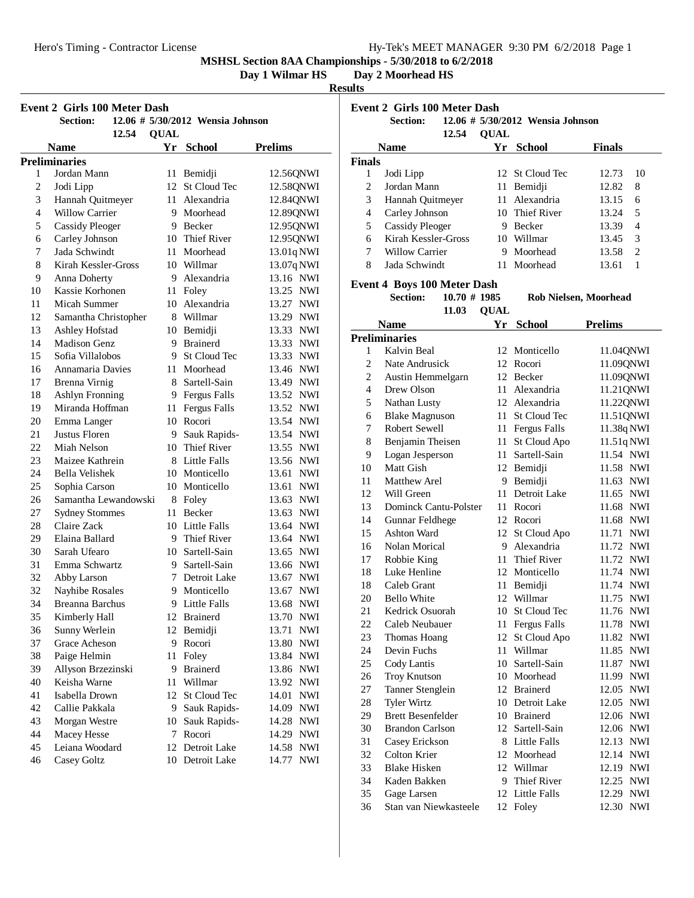#### **Day 2 Moorhead HS**

**Results**

| Event 2 Girls 100 Meter Dash |  |  |
|------------------------------|--|--|

|                | <b>Section:</b>        |             | 12.06 # 5/30/2012 Wensia Johnson |                     |
|----------------|------------------------|-------------|----------------------------------|---------------------|
|                | 12.54                  | <b>QUAL</b> |                                  |                     |
|                | <b>Name</b>            |             | Yr School                        | <b>Prelims</b>      |
|                | <b>Preliminaries</b>   |             |                                  |                     |
| 1              | Jordan Mann            | 11          | Bemidji                          | 12.56QNWI           |
| $\overline{c}$ | Jodi Lipp              | 12          | St Cloud Tec                     | 12.58QNWI           |
| 3              | Hannah Quitmeyer       | 11          | Alexandria                       | 12.84QNWI           |
| $\overline{4}$ | <b>Willow Carrier</b>  |             | 9 Moorhead                       | 12.89QNWI           |
| 5              | Cassidy Pleoger        |             | 9 Becker                         | 12.95QNWI           |
| 6              | Carley Johnson         |             | 10 Thief River                   | 12.95QNWI           |
| 7              | Jada Schwindt          |             | 11 Moorhead                      | 13.01q NWI          |
| 8              | Kirah Kessler-Gross    |             | 10 Willmar                       | 13.07q NWI          |
| 9              | Anna Doherty           |             | 9 Alexandria                     | 13.16 NWI           |
| 10             | Kassie Korhonen        | 11          | Foley                            | 13.25 NWI           |
| 11             | Micah Summer           |             | 10 Alexandria                    | 13.27 NWI           |
| 12             | Samantha Christopher   |             | 8 Willmar                        | 13.29 NWI           |
| 13             | Ashley Hofstad         |             | 10 Bemidji                       | 13.33 NWI           |
| 14             | <b>Madison Genz</b>    |             | 9 Brainerd                       | 13.33 NWI           |
| 15             | Sofia Villalobos       |             | 9 St Cloud Tec                   | 13.33 NWI           |
| 16             | Annamaria Davies       |             | 11 Moorhead                      | 13.46 NWI           |
| 17             | Brenna Virnig          |             | 8 Sartell-Sain                   | 13.49 NWI           |
| 18             | <b>Ashlyn Fronning</b> |             | 9 Fergus Falls                   | 13.52 NWI           |
| 19             | Miranda Hoffman        |             | 11 Fergus Falls                  | 13.52 NWI           |
| 20             | Emma Langer            |             | 10 Rocori                        | 13.54 NWI           |
| 21             | Justus Floren          | 9           | Sauk Rapids-                     | 13.54 NWI           |
| 22             | Miah Nelson            |             | 10 Thief River                   | 13.55 NWI           |
| 23             | Maizee Kathrein        |             | 8 Little Falls                   | 13.56 NWI           |
| 24             | <b>Bella Velishek</b>  |             | 10 Monticello                    | 13.61<br><b>NWI</b> |
| 25             | Sophia Carson          |             | 10 Monticello                    | 13.61<br><b>NWI</b> |
| 26             | Samantha Lewandowski   |             | 8 Foley                          | 13.63 NWI           |
| 27             | <b>Sydney Stommes</b>  | 11          | Becker                           | 13.63 NWI           |
| 28             | Claire Zack            |             | 10 Little Falls                  | 13.64 NWI           |
| 29             | Elaina Ballard         |             | 9 Thief River                    | 13.64 NWI           |
| 30             | Sarah Ufearo           |             | 10 Sartell-Sain                  | 13.65 NWI           |
| 31             | Emma Schwartz          |             | 9 Sartell-Sain                   | 13.66 NWI           |
| 32             | Abby Larson            |             | 7 Detroit Lake                   | 13.67 NWI           |
| 32             | Nayhibe Rosales        |             | 9 Monticello                     | 13.67<br>NWI        |
| 34             | <b>Breanna Barchus</b> |             | 9 Little Falls                   | 13.68<br>NWI        |
| 35             | Kimberly Hall          |             | 12 Brainerd                      | 13.70 NWI           |
| 36             | Sunny Werlein          | 12          | Bemidji                          | 13.71<br><b>NWI</b> |
| 37             | Grace Acheson          | 9           | Rocori                           | 13.80<br>NWI        |
| 38             | Paige Helmin           | 11          | Foley                            | 13.84 NWI           |
| 39             | Allyson Brzezinski     | 9           | <b>Brainerd</b>                  | 13.86 NWI           |
| 40             | Keisha Warne           | 11          | Willmar                          | 13.92<br>NWI        |
| 41             | Isabella Drown         | 12          | St Cloud Tec                     | 14.01<br><b>NWI</b> |
| 42             | Callie Pakkala         | 9.          | Sauk Rapids-                     | 14.09 NWI           |
| 43             | Morgan Westre          | 10          | Sauk Rapids-                     | 14.28<br>NWI        |
| 44             | Macey Hesse            | 7           | Rocori                           | 14.29 NWI           |
| 45             | Leiana Woodard         |             | 12 Detroit Lake                  | 14.58<br>NWI        |
| 46             | Casey Goltz            |             | 10 Detroit Lake                  | 14.77<br><b>NWI</b> |
|                |                        |             |                                  |                     |

|                          | <b>Event 2 Girls 100 Meter Dash</b> |             |                                  |                              |
|--------------------------|-------------------------------------|-------------|----------------------------------|------------------------------|
|                          | Section:                            |             | 12.06 # 5/30/2012 Wensia Johnson |                              |
|                          | 12.54                               | <b>QUAL</b> |                                  |                              |
|                          | <b>Name</b>                         |             | Yr School                        | <b>Finals</b>                |
| <b>Finals</b>            |                                     |             |                                  |                              |
| 1                        | Jodi Lipp                           |             | 12 St Cloud Tec                  | 12.73<br>10                  |
| $\overline{c}$           | Jordan Mann                         |             | 11 Bemidji                       | 12.82<br>8                   |
| 3                        | Hannah Quitmeyer                    |             | 11 Alexandria                    | 13.15<br>6                   |
| $\overline{\mathcal{L}}$ | Carley Johnson                      |             | 10 Thief River                   | 5<br>13.24                   |
| 5                        | <b>Cassidy Pleoger</b>              |             | 9 Becker                         | 4<br>13.39                   |
| 6                        | Kirah Kessler-Gross                 |             | 10 Willmar                       | 13.45<br>3                   |
| 7                        | <b>Willow Carrier</b>               |             | 9 Moorhead                       | $\overline{c}$<br>13.58      |
| 8                        | Jada Schwindt                       | 11          | Moorhead                         | 13.61<br>1                   |
|                          | <b>Event 4 Boys 100 Meter Dash</b>  |             |                                  |                              |
|                          | <b>Section:</b><br>$10.70 \# 1985$  |             |                                  | <b>Rob Nielsen, Moorhead</b> |
|                          | 11.03                               | <b>QUAL</b> |                                  |                              |
|                          | <b>Name</b>                         |             | Yr School                        | <b>Prelims</b>               |
|                          | <b>Preliminaries</b>                |             |                                  |                              |
| 1                        | Kalvin Beal                         |             | 12 Monticello                    | 11.04QNWI                    |
| 2                        | Nate Andrusick                      |             | 12 Rocori                        | 11.09QNWI                    |
| $\overline{c}$           | Austin Hemmelgarn                   |             | 12 Becker                        | 11.09QNWI                    |
| $\overline{4}$           | Drew Olson                          |             | 11 Alexandria                    | 11.21QNWI                    |
| 5                        | Nathan Lusty                        |             | 12 Alexandria                    | 11.22QNWI                    |
| 6                        | <b>Blake Magnuson</b>               |             | 11 St Cloud Tec                  | 11.51QNWI                    |
| 7                        | <b>Robert Sewell</b>                |             | 11 Fergus Falls                  | 11.38q NWI                   |
| 8                        | Benjamin Theisen                    | 11 -        | St Cloud Apo                     | 11.51q NWI                   |
| 9                        | Logan Jesperson                     |             | 11 Sartell-Sain                  | 11.54 NWI                    |
| 10                       | Matt Gish                           |             | 12 Bemidji                       | 11.58 NWI                    |
| 11                       | Matthew Arel                        |             | 9 Bemidji                        | 11.63 NWI                    |
| 12                       | Will Green                          |             | 11 Detroit Lake                  | 11.65 NWI                    |
| 13                       | Dominck Cantu-Polster               |             | 11 Rocori                        | 11.68 NWI                    |
| 14                       | <b>Gunnar Feldhege</b>              |             | 12 Rocori                        | 11.68 NWI                    |
| 15                       | Ashton Ward                         |             | 12 St Cloud Apo                  | 11.71 NWI                    |
| 16                       | Nolan Morical                       |             | 9 Alexandria                     | 11.72 NWI                    |
| 17                       | Robbie King                         |             | 11 Thief River                   | 11.72 NWI                    |
| 18                       | Luke Henline                        |             | 12 Monticello                    | 11.74 NWI                    |
| 18                       | Caleb Grant                         | 11 -        | Bemidji                          | 11.74 NWI                    |
| 20                       | <b>Bello White</b>                  |             | 12 Willmar                       | 11.75 NWI                    |
| 21                       | Kedrick Osuorah                     |             | 10 St Cloud Tec                  | 11.76<br>NWI                 |
| 22                       | Caleb Neubauer                      | 11          | Fergus Falls                     | 11.78<br>NWI                 |
| 23                       | Thomas Hoang                        | 12          | St Cloud Apo                     | 11.82 NWI                    |
| 24                       | Devin Fuchs                         | 11          | Willmar                          | 11.85 NWI                    |
| 25                       | Cody Lantis                         |             | 10 Sartell-Sain                  | 11.87 NWI                    |
| 26                       | <b>Troy Knutson</b>                 |             | 10 Moorhead                      | 11.99 NWI                    |
| 27                       | Tanner Stenglein                    |             | 12 Brainerd                      | 12.05 NWI                    |
| 28                       | <b>Tyler Wirtz</b>                  |             | 10 Detroit Lake                  | 12.05 NWI                    |
| 29                       | <b>Brett Besenfelder</b>            |             | 10 Brainerd                      | 12.06 NWI                    |
| 30                       | <b>Brandon Carlson</b>              |             | 12 Sartell-Sain                  | 12.06 NWI                    |
| 31                       | Casey Erickson                      |             | 8 Little Falls                   | 12.13 NWI                    |
| 32                       | Colton Krier                        | 12          | Moorhead                         | 12.14 NWI                    |
| 33                       | <b>Blake Hisken</b>                 |             | 12 Willmar                       | 12.19 NWI                    |
| 34                       | Kaden Bakken                        |             | 9 Thief River                    | 12.25 NWI                    |
| 35                       | Gage Larsen                         |             | 12 Little Falls                  | 12.29<br><b>NWI</b>          |
| 36                       | Stan van Niewkasteele               |             | 12 Foley                         | 12.30<br>NWI                 |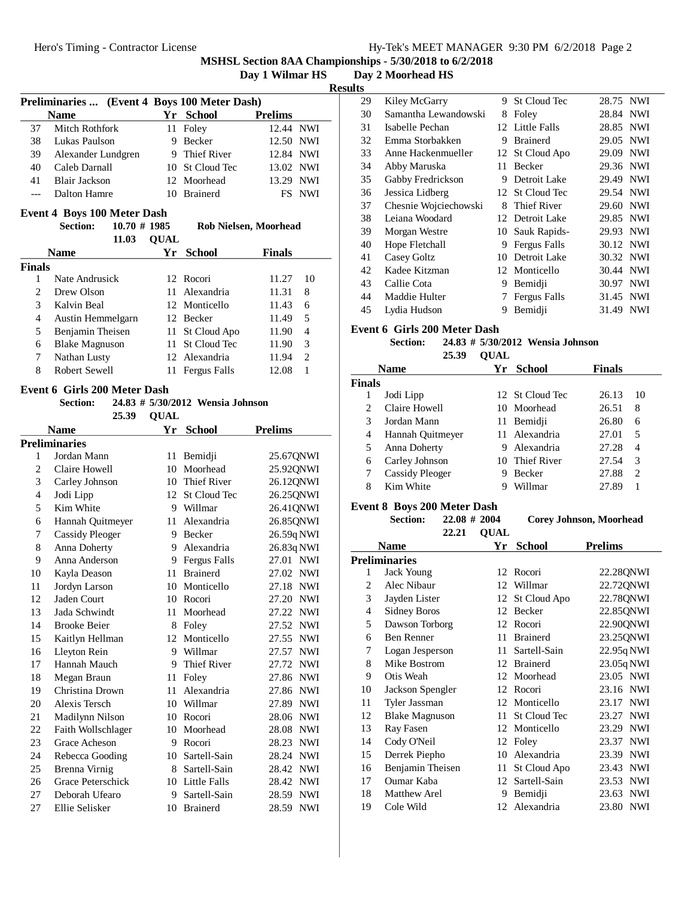**Day 1 Wilmar HS Day 2 Moorhead HS**

#### **Results**

|               | (Event 4 Boys 100 Meter Dash)<br><b>Preliminaries </b> |             |                              |                |                |  |  |  |
|---------------|--------------------------------------------------------|-------------|------------------------------|----------------|----------------|--|--|--|
|               | <b>Name</b>                                            | Yr          | <b>School</b>                | <b>Prelims</b> |                |  |  |  |
| 37            | Mitch Rothfork                                         | 11          | Foley                        | 12.44 NWI      |                |  |  |  |
| 38            | Lukas Paulson                                          | 9           | <b>Becker</b>                | 12.50          | <b>NWI</b>     |  |  |  |
| 39            | Alexander Lundgren                                     | 9           | Thief River                  | 12.84 NWI      |                |  |  |  |
| 40            | Caleb Darnall                                          | 10          | St Cloud Tec                 | 13.02          | <b>NWI</b>     |  |  |  |
| 41            | Blair Jackson                                          | 12          | Moorhead                     | 13.29          | <b>NWI</b>     |  |  |  |
|               | Dalton Hamre                                           | 10          | <b>Brainerd</b>              | FS             | <b>NWI</b>     |  |  |  |
|               | <b>Event 4 Boys 100 Meter Dash</b>                     |             |                              |                |                |  |  |  |
|               | $10.70 \# 1985$<br>Section:                            |             | <b>Rob Nielsen, Moorhead</b> |                |                |  |  |  |
|               | 11.03                                                  | <b>OUAL</b> |                              |                |                |  |  |  |
|               | <b>Name</b>                                            | Yr          | <b>School</b>                | <b>Finals</b>  |                |  |  |  |
| <b>Finals</b> |                                                        |             |                              |                |                |  |  |  |
| 1             | Nate Andrusick                                         |             | 12 Rocori<br>11.27           |                | 10             |  |  |  |
| 2             | Drew Olson                                             | 11          | Alexandria                   | 11.31          | 8              |  |  |  |
| 3             | Kalvin Beal                                            | 12          | Monticello                   | 11.43          | 6              |  |  |  |
| 4             | Austin Hemmelgarn                                      | 12          | Becker                       | 11.49          | 5              |  |  |  |
| 5             | Benjamin Theisen                                       | 11          | St Cloud Apo                 | 11.90          | $\overline{4}$ |  |  |  |
| 6             | <b>Blake Magnuson</b>                                  | 11          | <b>St Cloud Tec</b>          | 11.90          | 3              |  |  |  |
| 7             |                                                        |             | Alexandria                   |                |                |  |  |  |
|               | Nathan Lusty                                           | 12          |                              | 11.94          | $\overline{c}$ |  |  |  |
| 8             | Robert Sewell                                          | 11          | Fergus Falls                 | 12.08          | 1              |  |  |  |

#### **Event 6 Girls 200 Meter Dash**

Section: 24.83 #  $5/30/2012$  Wensia Johnson

25.39 **QUAL** 

|                | <b>Prelims</b><br><b>Name</b><br><b>School</b><br>Yr |    |                     |                                    |
|----------------|------------------------------------------------------|----|---------------------|------------------------------------|
|                | <b>Preliminaries</b>                                 |    |                     |                                    |
| 1              | Jordan Mann                                          | 11 | Bemidji             | 25.67QNWI                          |
| $\overline{2}$ | Claire Howell                                        | 10 | Moorhead            | 25.92QNWI                          |
| 3              | Carley Johnson                                       | 10 | <b>Thief River</b>  | 26.12QNWI                          |
| $\overline{4}$ | Jodi Lipp                                            | 12 | <b>St Cloud Tec</b> | 26.25QNWI                          |
| 5              | Kim White                                            |    | 9 Willmar           | 26.41QNWI                          |
| 6              | Hannah Quitmeyer                                     | 11 | Alexandria          | 26.85QNWI                          |
| 7              | <b>Cassidy Pleoger</b>                               |    | 9 Becker            | 26.59q NWI                         |
| 8              | Anna Doherty                                         | 9  | Alexandria          | 26.83q NWI                         |
| 9              | Anna Anderson                                        | 9  | Fergus Falls        | 27.01 NWI                          |
| 10             | Kayla Deason                                         | 11 | <b>Brainerd</b>     | 27.02<br><b>NWI</b>                |
| 11             | Jordyn Larson                                        |    | 10 Monticello       | 27.18 NWI                          |
| 12             | Jaden Court                                          | 10 | Rocori              | 27.20 NWI                          |
| 13             | Jada Schwindt                                        | 11 | Moorhead            | 27.22 NWI                          |
| 14             | <b>Brooke Beier</b>                                  | 8  | Foley               | 27.52<br><b>NWI</b>                |
| 15             | Kaitlyn Hellman                                      | 12 | Monticello          | 27.55 NWI                          |
| 16             | Lleyton Rein                                         | 9  | Willmar             | <b>NWI</b><br>27.57                |
| 17             | Hannah Mauch                                         | 9  | <b>Thief River</b>  | 27.72 NWI                          |
| 18             | Megan Braun                                          | 11 | Foley               | 27.86<br><b>NWI</b>                |
| 19             | Christina Drown                                      | 11 | Alexandria          | 27.86<br>NWI                       |
| 20             | Alexis Tersch                                        | 10 | Willmar             | 27.89<br><b>NWI</b>                |
| 21             | Madilynn Nilson                                      | 10 | Rocori              | NWI<br>28.06                       |
| 22             | Faith Wollschlager                                   | 10 | Moorhead            | <b>NWI</b><br>28.08                |
| 23             | Grace Acheson                                        | 9  | Rocori              | 28.23 NWI                          |
| 24             | Rebecca Gooding                                      | 10 | Sartell-Sain        | 28.24 NWI                          |
| 25             | Brenna Virnig                                        | 8  | Sartell-Sain        | 28.42 NWI                          |
| 26             | Grace Peterschick                                    | 10 | <b>Little Falls</b> | $\ensuremath{\text{NWI}}$<br>28.42 |
| 27             | Deborah Ufearo                                       | 9  | Sartell-Sain        | 28.59<br><b>NWI</b>                |
| 27             | Ellie Selisker                                       | 10 | <b>Brainerd</b>     | 28.59<br><b>NWI</b>                |

| 29 | Kiley McGarry         | 9  | <b>St Cloud Tec</b> | 28.75 NWI |  |
|----|-----------------------|----|---------------------|-----------|--|
| 30 | Samantha Lewandowski  | 8  | Foley               | 28.84 NWI |  |
| 31 | Isabelle Pechan       |    | 12 Little Falls     | 28.85 NWI |  |
| 32 | Emma Storbakken       | 9  | <b>Brainerd</b>     | 29.05 NWI |  |
| 33 | Anne Hackenmueller    | 12 | St Cloud Apo        | 29.09 NWI |  |
| 34 | Abby Maruska          | 11 | <b>Becker</b>       | 29.36 NWI |  |
| 35 | Gabby Fredrickson     | 9  | Detroit Lake        | 29.49 NWI |  |
| 36 | Jessica Lidberg       |    | 12 St Cloud Tec     | 29.54 NWI |  |
| 37 | Chesnie Wojciechowski | 8  | Thief River         | 29.60 NWI |  |
| 38 | Leiana Woodard        |    | 12 Detroit Lake     | 29.85 NWI |  |
| 39 | Morgan Westre         | 10 | Sauk Rapids-        | 29.93 NWI |  |
| 40 | Hope Fletchall        | 9  | Fergus Falls        | 30.12 NWI |  |
| 41 | Casey Goltz           | 10 | Detroit Lake        | 30.32 NWI |  |
| 42 | Kadee Kitzman         |    | 12 Monticello       | 30.44 NWI |  |
| 43 | Callie Cota           | 9  | Bemidji             | 30.97 NWI |  |
| 44 | Maddie Hulter         | 7  | Fergus Falls        | 31.45 NWI |  |
| 45 | Lydia Hudson          | 9  | Bemidji             | 31.49 NWI |  |

#### **Event 6 Girls 200 Meter Dash**

| <b>Section:</b> |       | $24.83 \# 5/30/2012$ Wensia Johnson |
|-----------------|-------|-------------------------------------|
|                 | 22717 |                                     |

|       | $27.03$ 11 313014014 11     |  |
|-------|-----------------------------|--|
| 25.39 | <b>OUAL</b>                 |  |
|       | $\mathbf{v}$ . $\mathbf{v}$ |  |

| Name<br>Yг                  |                  | <b>School</b> | Finals          |       |    |
|-----------------------------|------------------|---------------|-----------------|-------|----|
| <b>Finals</b>               |                  |               |                 |       |    |
|                             | Jodi Lipp        |               | 12 St Cloud Tec | 26.13 | 10 |
| $\mathcal{D}_{\mathcal{L}}$ | Claire Howell    |               | 10 Moorhead     | 26.51 | 8  |
| 3                           | Jordan Mann      | 11            | Bemidji         | 26.80 | 6  |
| 4                           | Hannah Quitmeyer |               | Alexandria      | 27.01 | 5  |
| 5                           | Anna Doherty     | 9             | Alexandria      | 27.28 | 4  |
| 6                           | Carley Johnson   |               | 10 Thief River  | 27.54 | 3  |
|                             | Cassidy Pleoger  | Q             | <b>Becker</b>   | 27.88 | 2  |
| 8                           | Kim White        |               | Willmar         | 27.89 |    |

# **Event 8 Boys 200 Meter Dash**<br>Section: 22.08 # 2004

 $Corey$  Johnson, Moorhead 22.21 **OUAL** 

|                | <b>Name</b>           |    | <b>School</b><br>Yr | <b>Prelims</b>      |
|----------------|-----------------------|----|---------------------|---------------------|
|                | <b>Preliminaries</b>  |    |                     |                     |
| 1              | Jack Young            |    | 12 Rocori           | 22.28QNWI           |
| 2              | Alec Nibaur           | 12 | Willmar             | 22.72QNWI           |
| 3              | Jayden Lister         | 12 | St Cloud Apo        | 22.78QNWI           |
| $\overline{4}$ | Sidney Boros          | 12 | Becker              | 22.85QNWI           |
| 5              | Dawson Torborg        | 12 | Rocori              | 22.90QNWI           |
| 6              | Ben Renner            | 11 | <b>Brainerd</b>     | 23.25QNWI           |
| 7              | Logan Jesperson       | 11 | Sartell-Sain        | 22.95q NWI          |
| 8              | Mike Bostrom          | 12 | <b>Brainerd</b>     | 23.05q NWI          |
| 9              | Otis Weah             | 12 | Moorhead            | 23.05 NWI           |
| 10             | Jackson Spengler      |    | 12 Rocori           | 23.16 NWI           |
| 11             | <b>Tyler Jassman</b>  |    | 12 Monticello       | 23.17 NWI           |
| 12             | <b>Blake Magnuson</b> | 11 | St Cloud Tec        | 23.27 NWI           |
| 13             | Ray Fasen             | 12 | Monticello          | 23.29<br><b>NWI</b> |
| 14             | Cody O'Neil           | 12 | Foley               | 23.37<br><b>NWI</b> |
| 15             | Derrek Piepho         | 10 | Alexandria          | 23.39 NWI           |
| 16             | Benjamin Theisen      | 11 | St Cloud Apo        | NWI<br>23.43        |
| 17             | Oumar Kaba            | 12 | Sartell-Sain        | 23.53<br><b>NWI</b> |
| 18             | <b>Matthew Arel</b>   | 9  | Bemidji             | <b>NWI</b><br>23.63 |
| 19             | Cole Wild             |    | 12 Alexandria       | 23.80 NWI           |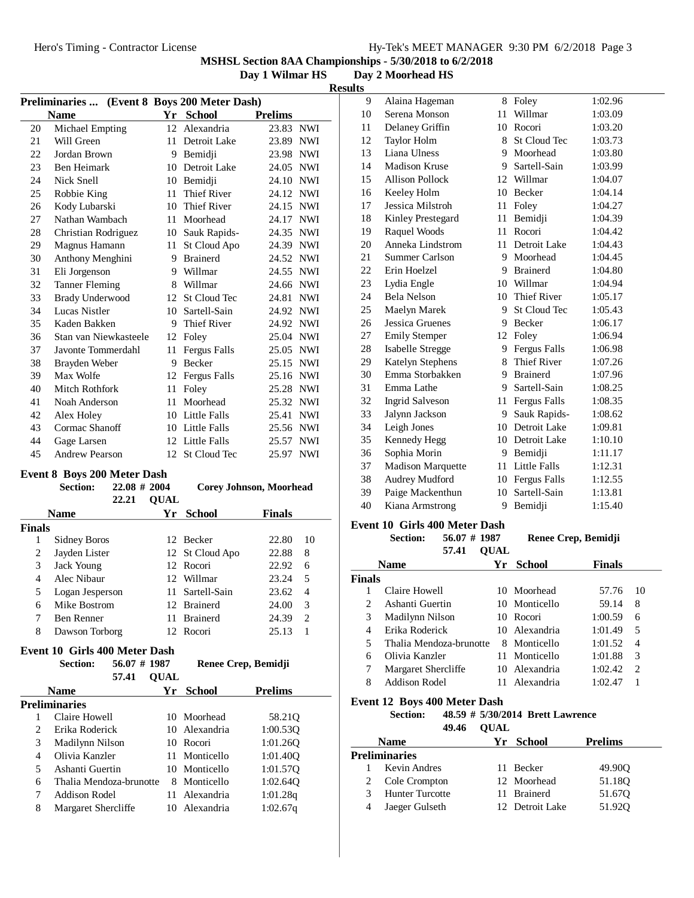1:02.96 1:03.09 1:03.20 1:03.73 1:03.80 1:03.99 1:04.07 1:04.14 1:04.27 1:04.39  $1:04.42$ 1:04.43 1:04.45 1:04.80 1:04.94 1:05.17  $1:05.43$ 1:06.17 1:06.94 1:06.98 1:07.26 1:07.96  $1:08.25$ 1:08.35 1:08.62 1:09.81  $1:10.10$  $1:11.17$  $1:12.31$  $1:12.55$  $1:13.81$  $1:15.40$ 

**MSHSL Section 8AA Championships - 5/30/2018 to 6/2/2018**

**Day 1 Wilmar HS Day 2 Moorhead HS Results**

|               |                                                                                      |                 |             | Preliminaries  (Event 8 Boys 200 Meter Dash) |                                | 9  | Alaina Hageman           |    | 8 Foley             |
|---------------|--------------------------------------------------------------------------------------|-----------------|-------------|----------------------------------------------|--------------------------------|----|--------------------------|----|---------------------|
|               | <b>Name</b>                                                                          |                 |             | Yr School                                    | <b>Prelims</b>                 | 10 | Serena Monson            | 11 | Willmar             |
| 20            | Michael Empting                                                                      |                 |             | 12 Alexandria                                | 23.83 NWI                      | 11 | Delaney Griffin          | 10 | Rocori              |
| 21            | Will Green                                                                           |                 |             | 11 Detroit Lake                              | 23.89 NWI                      | 12 | Taylor Holm              | 8  | <b>St Cloud Tec</b> |
| 22            | Jordan Brown                                                                         |                 |             | 9 Bemidji                                    | 23.98 NWI                      | 13 | Liana Ulness             | 9  | Moorhead            |
| 23            | Ben Heimark                                                                          |                 | 10          | Detroit Lake                                 | 24.05 NWI                      | 14 | <b>Madison Kruse</b>     | 9  | Sartell-Sain        |
| 24            | Nick Snell                                                                           |                 | 10          | Bemidji                                      | 24.10 NWI                      | 15 | <b>Allison Pollock</b>   | 12 | Willmar             |
| 25            | Robbie King                                                                          |                 | 11          | <b>Thief River</b>                           | 24.12 NWI                      | 16 | Keeley Holm              |    | 10 Becker           |
| 26            | Kody Lubarski                                                                        |                 | 10          | Thief River                                  | 24.15 NWI                      | 17 | Jessica Milstroh         | 11 | Foley               |
| 27            | Nathan Wambach                                                                       |                 | 11          | Moorhead                                     | 24.17 NWI                      | 18 | Kinley Prestegard        | 11 | Bemidji             |
| 28            | Christian Rodriguez                                                                  |                 | 10          | Sauk Rapids-                                 | 24.35 NWI                      | 19 | Raquel Woods             | 11 | Rocori              |
| 29            | Magnus Hamann                                                                        |                 | 11          | St Cloud Apo                                 | 24.39 NWI                      | 20 | Anneka Lindstrom         | 11 | Detroit Lake        |
| 30            | Anthony Menghini                                                                     |                 | 9           | Brainerd                                     | 24.52 NWI                      | 21 | <b>Summer Carlson</b>    | 9. | Moorhead            |
| 31            | Eli Jorgenson                                                                        |                 | 9           | Willmar                                      | 24.55 NWI                      | 22 | Erin Hoelzel             | 9  | <b>Brainerd</b>     |
| 32            | <b>Tanner Fleming</b>                                                                |                 | 8           | Willmar                                      | 24.66 NWI                      | 23 | Lydia Engle              | 10 | Willmar             |
| 33            | <b>Brady Underwood</b>                                                               |                 |             | 12 St Cloud Tec                              | 24.81 NWI                      | 24 | Bela Nelson              | 10 | <b>Thief River</b>  |
| 34            | <b>Lucas Nistler</b>                                                                 |                 | 10          | Sartell-Sain                                 | 24.92 NWI                      | 25 | Maelyn Marek             | 9  | <b>St Cloud Tec</b> |
| 35            | Kaden Bakken                                                                         |                 | 9           | <b>Thief River</b>                           | 24.92 NWI                      | 26 | Jessica Gruenes          | 9  | Becker              |
| 36            | Stan van Niewkasteele                                                                |                 |             | 12 Foley                                     | 25.04 NWI                      | 27 | <b>Emily Stemper</b>     |    | 12 Foley            |
| 37            | Javonte Tommerdahl                                                                   |                 |             | 11 Fergus Falls                              | 25.05 NWI                      | 28 | <b>Isabelle Stregge</b>  | 9  | Fergus Falls        |
| 38            | Brayden Weber                                                                        |                 | 9           | Becker                                       | 25.15 NWI                      | 29 | Katelyn Stephens         | 8  | <b>Thief River</b>  |
| 39            | Max Wolfe                                                                            |                 |             | 12 Fergus Falls                              | 25.16 NWI                      | 30 | Emma Storbakken          | 9  | <b>Brainerd</b>     |
| 40            | <b>Mitch Rothfork</b>                                                                |                 |             | 11 Foley                                     | 25.28 NWI                      | 31 | Emma Lathe               | 9  | Sartell-Sain        |
| 41            | <b>Noah Anderson</b>                                                                 |                 | 11.         | Moorhead                                     | 25.32 NWI                      | 32 | <b>Ingrid Salveson</b>   | 11 | Fergus Falls        |
| 42            | Alex Holey                                                                           |                 |             | 10 Little Falls                              | 25.41 NWI                      | 33 | Jalynn Jackson           | 9  | Sauk Rapids-        |
| 43            | Cormac Shanoff                                                                       |                 | 10          | <b>Little Falls</b>                          | 25.56 NWI                      | 34 | Leigh Jones              | 10 | Detroit Lake        |
| 44            | Gage Larsen                                                                          |                 |             | 12 Little Falls                              | 25.57 NWI                      | 35 | Kennedy Hegg             | 10 | Detroit Lake        |
| 45            | <b>Andrew Pearson</b>                                                                |                 |             | 12 St Cloud Tec                              | 25.97 NWI                      | 36 | Sophia Morin             | 9  | Bemidji             |
|               |                                                                                      |                 |             |                                              |                                | 37 | <b>Madison Marquette</b> | 11 | Little Falls        |
|               | <b>Event 8 Boys 200 Meter Dash</b>                                                   |                 |             |                                              |                                | 38 | Audrey Mudford           | 10 | Fergus Falls        |
|               | <b>Section:</b>                                                                      | $22.08 \# 2004$ |             |                                              | <b>Corey Johnson, Moorhead</b> | 39 | Paige Mackenthun         | 10 | Sartell-Sain        |
|               |                                                                                      | 22.21           | <b>OUAL</b> |                                              |                                | 40 | Kiana Armstrong          | 9  | Bemidji             |
|               | <b>Name</b><br><b>School</b><br><b>Finals</b><br>Yr<br>Event 10 Girls 400 Meter Dash |                 |             |                                              |                                |    |                          |    |                     |
| <b>Finals</b> |                                                                                      |                 |             |                                              |                                |    |                          |    |                     |

| <b>Section:</b> | $56.07 \# 1987$        | Renee Crep, Bemidji |
|-----------------|------------------------|---------------------|
|                 | ET 41.<br><b>ATTAT</b> |                     |

|                             | 57.41                   | UUAL |               |               |                |
|-----------------------------|-------------------------|------|---------------|---------------|----------------|
|                             | Name                    | Yr   | <b>School</b> | <b>Finals</b> |                |
| <b>Finals</b>               |                         |      |               |               |                |
|                             | Claire Howell           |      | 10 Moorhead   | 57.76         | -10            |
| $\mathcal{D}_{\mathcal{L}}$ | Ashanti Guertin         |      | 10 Monticello | 59.14         | 8              |
| 3                           | Madilynn Nilson         |      | 10 Rocori     | 1:00.59       | 6              |
| 4                           | Erika Roderick          |      | 10 Alexandria | 1:01.49       | 5              |
| 5                           | Thalia Mendoza-brunotte | 8    | Monticello    | 1:01.52       | $\overline{4}$ |
| 6                           | Olivia Kanzler          | 11   | Monticello    | 1:01.88       | 3              |
| 7                           | Margaret Shercliffe     |      | 10 Alexandria | 1:02.42       | 2              |
| 8                           | Addison Rodel           |      | Alexandria    | 1:02.47       |                |
|                             |                         |      |               |               |                |

# **Event 12 Boys 400 Meter Dash**<br>**Section:** 48.59 # 5/30/2

#### 48.59 #  $5/30/2014$  Brett Lawrence

**QUAL49.46**

| <b>Name</b>            | Yr School       | <b>Prelims</b> |  |
|------------------------|-----------------|----------------|--|
| Preliminaries          |                 |                |  |
| Kevin Andres           | 11 Becker       | 49.90O         |  |
| 2 Cole Crompton        | 12 Moorhead     | 51.180         |  |
| <b>Hunter Turcotte</b> | 11 Brainerd     | 51.670         |  |
| Jaeger Gulseth         | 12 Detroit Lake | 51.920         |  |

# 7 Ben Renner 11 Brainerd 24.39 2 8 Dawson Torborg 12 Rocori 25.13 1 **Event 10 Girls 400 Meter Dash**

|   | <b>Section:</b>         | 56.07 # 1987 |             |               | Renee Crep, Bemidji |  |
|---|-------------------------|--------------|-------------|---------------|---------------------|--|
|   |                         | 57.41        | <b>OUAL</b> |               |                     |  |
|   | <b>Name</b>             |              | Yr          | <b>School</b> | <b>Prelims</b>      |  |
|   | Preliminaries           |              |             |               |                     |  |
|   | Claire Howell           |              |             | 10 Moorhead   | 58.21Q              |  |
| 2 | Erika Roderick          |              |             | 10 Alexandria | 1:00.53Q            |  |
| 3 | Madilynn Nilson         |              |             | 10 Rocori     | 1:01.260            |  |
| 4 | Olivia Kanzler          |              |             | 11 Monticello | 1:01.400            |  |
| 5 | Ashanti Guertin         |              |             | 10 Monticello | 1:01.570            |  |
| 6 | Thalia Mendoza-brunotte |              | 8           | Monticello    | 1:02.64Q            |  |
| 7 | Addison Rodel           |              | 11          | Alexandria    | 1:01.28q            |  |
| 8 | Margaret Shercliffe     |              | 10          | Alexandria    | 1:02.67q            |  |
|   |                         |              |             |               |                     |  |

1 Sidney Boros 12 Becker 22.80 10 2 Jayden Lister 12 St Cloud Apo 22.88 8 3 Jack Young 12 Rocori 22.92 6 4 Alec Nibaur 12 Willmar 23.24 5 5 Logan Jesperson 11 Sartell-Sain 23.62 4 6 Mike Bostrom 12 Brainerd 24.00 3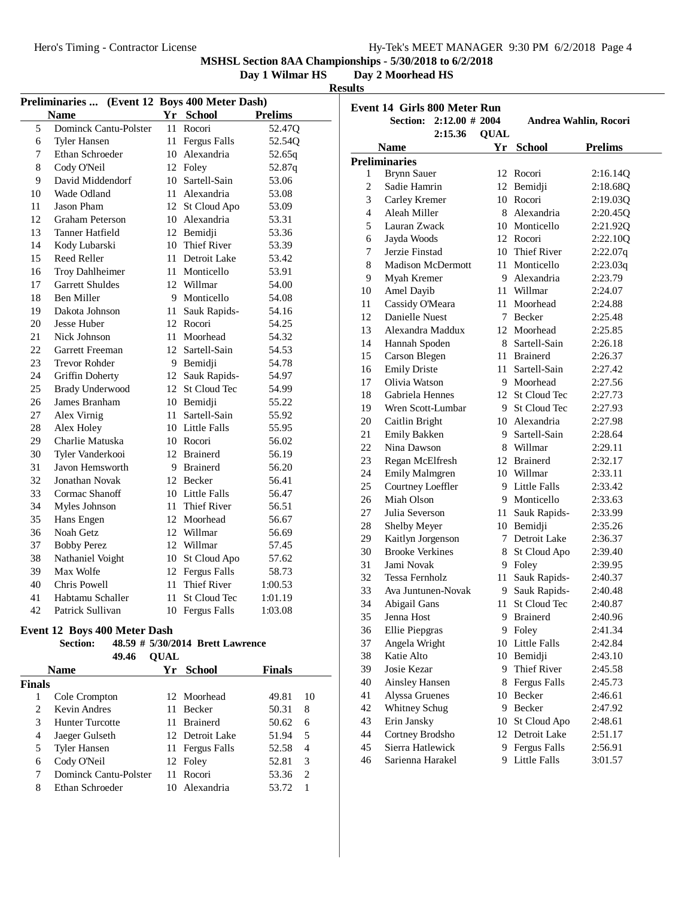**Day 1 Wilmar HS Day 2 Moorhead HS Results**

|    | <b>Preliminaries </b>  |    | (Event 12 Boys 400 Meter Dash) |                |
|----|------------------------|----|--------------------------------|----------------|
|    | <b>Name</b>            |    | Yr School                      | <b>Prelims</b> |
| 5  | Dominck Cantu-Polster  | 11 | Rocori                         | 52.47Q         |
| 6  | <b>Tyler Hansen</b>    | 11 | Fergus Falls                   | 52.54Q         |
| 7  | Ethan Schroeder        | 10 | Alexandria                     | 52.65q         |
| 8  | Cody O'Neil            | 12 | Foley                          | 52.87q         |
| 9  | David Middendorf       | 10 | Sartell-Sain                   | 53.06          |
| 10 | Wade Odland            | 11 | Alexandria                     | 53.08          |
| 11 | Jason Pham             | 12 | St Cloud Apo                   | 53.09          |
| 12 | <b>Graham Peterson</b> | 10 | Alexandria                     | 53.31          |
| 13 | Tanner Hatfield        |    | 12 Bemidji                     | 53.36          |
| 14 | Kody Lubarski          |    | 10 Thief River                 | 53.39          |
| 15 | Reed Reller            | 11 | Detroit Lake                   | 53.42          |
| 16 | Troy Dahlheimer        | 11 | Monticello                     | 53.91          |
| 17 | <b>Garrett Shuldes</b> |    | 12 Willmar                     | 54.00          |
| 18 | Ben Miller             | 9  | Monticello                     | 54.08          |
| 19 | Dakota Johnson         | 11 | Sauk Rapids-                   | 54.16          |
| 20 | Jesse Huber            | 12 | Rocori                         | 54.25          |
| 21 | Nick Johnson           | 11 | Moorhead                       | 54.32          |
| 22 | Garrett Freeman        |    | 12 Sartell-Sain                | 54.53          |
| 23 | <b>Trevor Rohder</b>   |    | 9 Bemidji                      | 54.78          |
| 24 | Griffin Doherty        | 12 | Sauk Rapids-                   | 54.97          |
| 25 | <b>Brady Underwood</b> | 12 | <b>St Cloud Tec</b>            | 54.99          |
| 26 | James Branham          |    | 10 Bemidji                     | 55.22          |
| 27 | Alex Virnig            | 11 | Sartell-Sain                   | 55.92          |
| 28 | Alex Holey             |    | 10 Little Falls                | 55.95          |
| 29 | Charlie Matuska        |    | 10 Rocori                      | 56.02          |
| 30 | Tyler Vanderkooi       |    | 12 Brainerd                    | 56.19          |
| 31 | Javon Hemsworth        |    | 9 Brainerd                     | 56.20          |
| 32 | Jonathan Novak         |    | 12 Becker                      | 56.41          |
| 33 | Cormac Shanoff         |    | 10 Little Falls                | 56.47          |
| 34 | Myles Johnson          | 11 | <b>Thief River</b>             | 56.51          |
| 35 | Hans Engen             |    | 12 Moorhead                    | 56.67          |
| 36 | Noah Getz              |    | 12 Willmar                     | 56.69          |
| 37 | <b>Bobby Perez</b>     |    | 12 Willmar                     | 57.45          |
| 38 | Nathaniel Voight       | 10 | St Cloud Apo                   | 57.62          |
| 39 | Max Wolfe              | 12 | Fergus Falls                   | 58.73          |
| 40 | Chris Powell           | 11 | <b>Thief River</b>             | 1:00.53        |
| 41 | Habtamu Schaller       | 11 | <b>St Cloud Tec</b>            | 1:01.19        |
| 42 | Patrick Sullivan       | 10 | Fergus Falls                   | 1:03.08        |

# **Event 12 Boys 400 Meter Dash**<br>**Section:** 48.59 # 5/30/2

**48.59 # 5/30/2014 Brett Lawrence** 

49.46 **QUAL** 

| <b>Name</b>   |                        | Yr | School          | <b>Finals</b> |                             |
|---------------|------------------------|----|-----------------|---------------|-----------------------------|
| <b>Finals</b> |                        |    |                 |               |                             |
|               | Cole Crompton          |    | 12 Moorhead     | 49.81         | 10                          |
| 2             | Kevin Andres           | 11 | <b>Becker</b>   | 50.31         | 8                           |
| 3             | <b>Hunter Turcotte</b> |    | 11 Brainerd     | 50.62         | 6                           |
| 4             | Jaeger Gulseth         |    | 12 Detroit Lake | 51.94         | 5                           |
| 5             | <b>Tyler Hansen</b>    |    | 11 Fergus Falls | 52.58         | 4                           |
| 6             | Cody O'Neil            |    | 12 Foley        | 52.81         | 3                           |
| 7             | Dominck Cantu-Polster  | 11 | Rocori          | 53.36         | $\mathcal{D}_{\mathcal{A}}$ |
| 8             | Ethan Schroeder        |    | Alexandria      | 53.72         |                             |
|               |                        |    |                 |               |                             |

|                | <b>Event 14 Girls 800 Meter Run</b>  |             |                              |                       |
|----------------|--------------------------------------|-------------|------------------------------|-----------------------|
|                | <b>Section:</b><br>$2:12.00 \# 2004$ |             |                              | Andrea Wahlin, Rocori |
|                | 2:15.36                              | <b>QUAL</b> |                              |                       |
|                | <b>Name</b>                          |             | Yr School                    | <b>Prelims</b>        |
|                | <b>Preliminaries</b>                 |             |                              |                       |
| 1              | <b>Brynn Sauer</b>                   | 12          | Rocori                       | 2:16.14Q              |
| $\overline{c}$ | Sadie Hamrin                         | 12          | Bemidji                      | 2:18.68Q              |
| 3              | Carley Kremer                        | 10          | Rocori                       | 2:19.03Q              |
| $\overline{4}$ | Aleah Miller                         | 8           | Alexandria                   | 2:20.45Q              |
| 5              | Lauran Zwack                         |             | 10 Monticello                | 2:21.92Q              |
| 6              | Jayda Woods                          |             | 12 Rocori                    | 2:22.10Q              |
| 7              | Jerzie Finstad                       |             | 10 Thief River               | 2:22.07q              |
| 8              | <b>Madison McDermott</b>             | 11          | Monticello                   | 2:23.03q              |
| 9              | Myah Kremer                          | 9           | Alexandria                   | 2:23.79               |
| 10             | Amel Dayib                           | 11.         | Willmar                      | 2:24.07               |
| 11             | Cassidy O'Meara                      | 11          | Moorhead                     | 2:24.88               |
| 12             | Danielle Nuest                       | 7           | <b>Becker</b>                | 2:25.48               |
| 13             | Alexandra Maddux                     | 12          | Moorhead                     | 2:25.85               |
| 14             | Hannah Spoden                        | 8.          | Sartell-Sain                 | 2:26.18               |
| 15             | Carson Blegen                        | 11          | <b>Brainerd</b>              | 2:26.37               |
| 16             | <b>Emily Driste</b>                  | 11          | Sartell-Sain                 | 2:27.42               |
| 17             | Olivia Watson                        |             | 9 Moorhead                   | 2:27.56               |
| 18             | Gabriela Hennes                      |             | 12 St Cloud Tec              | 2:27.73               |
| 19             | Wren Scott-Lumbar                    |             | 9 St Cloud Tec               | 2:27.93               |
| 20             | Caitlin Bright                       | 10          | Alexandria                   | 2:27.98               |
| 21             | <b>Emily Bakken</b>                  | 9.          | Sartell-Sain                 | 2:28.64               |
| 22             | Nina Dawson                          | 8           | Willmar                      | 2:29.11               |
| 23             | Regan McElfresh                      | 12          | <b>Brainerd</b>              | 2:32.17               |
| 24             | <b>Emily Malmgren</b>                |             | 10 Willmar                   | 2:33.11               |
| 25             | Courtney Loeffler                    | 9           | Little Falls                 | 2:33.42               |
| 26             | Miah Olson                           | 9           | Monticello                   | 2:33.63               |
| 27             | Julia Severson                       | 11          | Sauk Rapids-                 | 2:33.99               |
| 28             | Shelby Meyer                         | 10          | Bemidji                      | 2:35.26               |
| 29             | Kaitlyn Jorgenson                    | 7           | Detroit Lake                 | 2:36.37               |
| 30             | <b>Brooke Verkines</b>               | 8           | St Cloud Apo                 | 2:39.40               |
| 31             | Jami Novak                           | 9           | Foley                        | 2:39.95               |
| 32             | Tessa Fernholz                       | 11          | Sauk Rapids-                 | 2:40.37               |
| 33             | Ava Juntunen-Novak                   | 9           | Sauk Rapids-                 | 2:40.48               |
| 34             | Abigail Gans                         | 11          | <b>St Cloud Tec</b>          | 2:40.87               |
| 35             | Jenna Host                           | 9           | <b>Brainerd</b>              | 2:40.96               |
| 36             | Ellie Piepgras                       | 9           | Foley                        | 2:41.34               |
| 37             | Angela Wright                        | 10          | Little Falls                 | 2:42.84               |
| 38             | Katie Alto                           | 10          | Bemidji                      | 2:43.10               |
| 39             | Josie Kezar                          | 9           | Thief River                  | 2:45.58               |
| 40             | <b>Ainsley Hansen</b>                | 8           | <b>Fergus Falls</b>          | 2:45.73               |
| 41             | Alyssa Gruenes                       | 10          | Becker                       | 2:46.61               |
| 42             |                                      | 9.          | Becker                       | 2:47.92               |
| 43             | Whitney Schug<br>Erin Jansky         | 10          | St Cloud Apo                 | 2:48.61               |
| 44             | Cortney Brodsho                      | 12          | Detroit Lake                 | 2:51.17               |
| 45             | Sierra Hatlewick                     | 9.          |                              | 2:56.91               |
|                | Sarienna Harakel                     | 9           | Fergus Falls<br>Little Falls |                       |
| 46             |                                      |             |                              | 3:01.57               |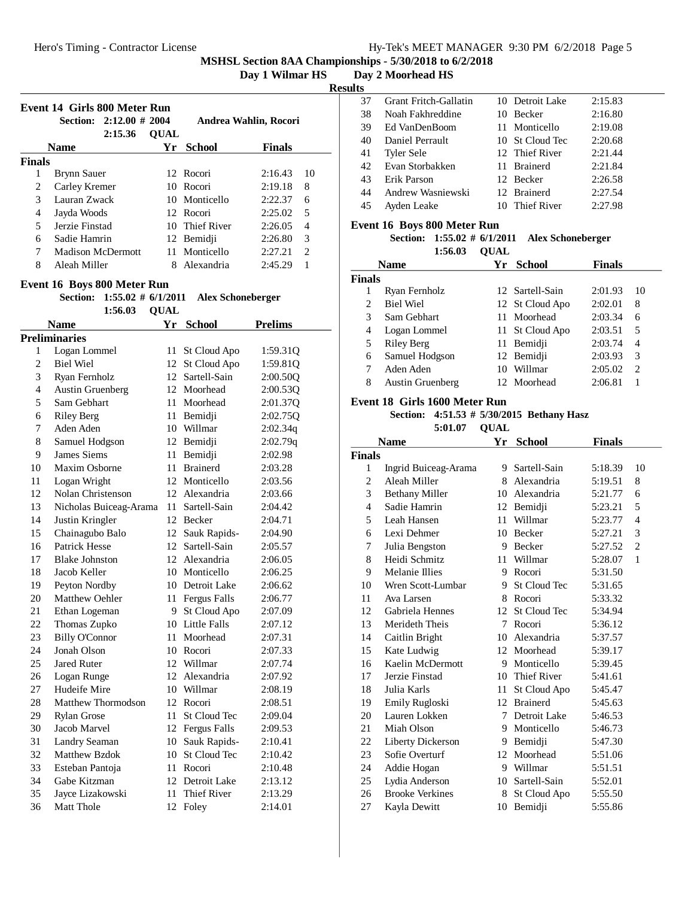#### **Day 1 Wilmar HS Day 2 Moorhead HS**

**Results**

|               | Event 14 Girls 800 Meter Run |                         |             |                |                       |                |
|---------------|------------------------------|-------------------------|-------------|----------------|-----------------------|----------------|
|               |                              | Section: 2:12.00 # 2004 |             |                | Andrea Wahlin, Rocori |                |
|               |                              | 2:15.36                 | <b>OUAL</b> |                |                       |                |
|               | <b>Name</b>                  |                         | Yr.         | <b>School</b>  | <b>Finals</b>         |                |
| <b>Finals</b> |                              |                         |             |                |                       |                |
| 1             | <b>Brynn Sauer</b>           |                         |             | 12 Rocori      | 2:16.43               | 10             |
| 2             | Carley Kremer                |                         |             | 10 Rocori      | 2:19.18               | 8              |
| 3             | Lauran Zwack                 |                         |             | 10 Monticello  | 2:22.37               | 6              |
| 4             | Jayda Woods                  |                         |             | 12 Rocori      | 2:25.02               | 5              |
| 5             | Jerzie Finstad               |                         |             | 10 Thief River | 2:26.05               | 4              |
| 6             | Sadie Hamrin                 |                         | 12          | Bemidji        | 2:26.80               | $\mathcal{R}$  |
| 7             | <b>Madison McDermott</b>     |                         | 11          | Monticello     | 2:27.21               | $\mathfrak{D}$ |
| 8             | Aleah Miller                 |                         |             | Alexandria     | 2:45.29               |                |

#### **Event 16 Boys 800 Meter Run**

Section: 1:55.02 #  $6/1/2011$  Alex Schoneberger 1:56.03 **QUAL** 

|                | <b>Name</b>             | Yr | <b>School</b>      | <b>Prelims</b> |
|----------------|-------------------------|----|--------------------|----------------|
|                | Preliminaries           |    |                    |                |
| 1              | Logan Lommel            | 11 | St Cloud Apo       | 1:59.31Q       |
| $\overline{c}$ | <b>Biel Wiel</b>        | 12 | St Cloud Apo       | 1:59.81Q       |
| $\overline{3}$ | Ryan Fernholz           |    | 12 Sartell-Sain    | 2:00.50Q       |
| $\overline{4}$ | <b>Austin Gruenberg</b> |    | 12 Moorhead        | 2:00.53Q       |
| 5              | Sam Gebhart             |    | 11 Moorhead        | 2:01.37Q       |
| 6              | <b>Riley Berg</b>       | 11 | Bemidji            | 2:02.75Q       |
| 7              | Aden Aden               |    | 10 Willmar         | 2:02.34q       |
| 8              | Samuel Hodgson          |    | 12 Bemidji         | 2:02.79q       |
| 9              | James Siems             | 11 | Bemidji            | 2:02.98        |
| 10             | Maxim Osborne           | 11 | <b>Brainerd</b>    | 2:03.28        |
| 11             | Logan Wright            |    | 12 Monticello      | 2:03.56        |
| 12             | Nolan Christenson       |    | 12 Alexandria      | 2:03.66        |
| 13             | Nicholas Buiceag-Arama  | 11 | Sartell-Sain       | 2:04.42        |
| 14             | Justin Kringler         |    | 12 Becker          | 2:04.71        |
| 15             | Chainagubo Balo         | 12 | Sauk Rapids-       | 2:04.90        |
| 16             | <b>Patrick Hesse</b>    | 12 | Sartell-Sain       | 2:05.57        |
| 17             | <b>Blake Johnston</b>   |    | 12 Alexandria      | 2:06.05        |
| 18             | Jacob Keller            |    | 10 Monticello      | 2:06.25        |
| 19             | Peyton Nordby           |    | 10 Detroit Lake    | 2:06.62        |
| 20             | Matthew Oehler          | 11 | Fergus Falls       | 2:06.77        |
| 21             | Ethan Logeman           | 9  | St Cloud Apo       | 2:07.09        |
| 22             | Thomas Zupko            |    | 10 Little Falls    | 2:07.12        |
| 23             | <b>Billy O'Connor</b>   | 11 | Moorhead           | 2:07.31        |
| 24             | Jonah Olson             |    | 10 Rocori          | 2:07.33        |
| 25             | <b>Jared Ruter</b>      |    | 12 Willmar         | 2:07.74        |
| 26             | Logan Runge             |    | 12 Alexandria      | 2:07.92        |
| 27             | Hudeife Mire            |    | 10 Willmar         | 2:08.19        |
| 28             | Matthew Thormodson      |    | 12 Rocori          | 2:08.51        |
| 29             | <b>Rylan Grose</b>      | 11 | St Cloud Tec       | 2:09.04        |
| 30             | Jacob Marvel            |    | 12 Fergus Falls    | 2:09.53        |
| 31             | Landry Seaman           |    | 10 Sauk Rapids-    | 2:10.41        |
| 32             | <b>Matthew Bzdok</b>    |    | 10 St Cloud Tec    | 2:10.42        |
| 33             | Esteban Pantoja         |    | 11 Rocori          | 2:10.48        |
| 34             | Gabe Kitzman            |    | 12 Detroit Lake    | 2:13.12        |
| 35             | Jayce Lizakowski        | 11 | <b>Thief River</b> | 2:13.29        |
| 36             | <b>Matt Thole</b>       | 12 | Foley              | 2:14.01        |

| 37 | Grant Fritch-Gallatin | 10 Detroit Lake | 2:15.83 |
|----|-----------------------|-----------------|---------|
| 38 | Noah Fakhreddine      | 10 Becker       | 2:16.80 |
| 39 | Ed VanDenBoom         | 11 Monticello   | 2:19.08 |
| 40 | Daniel Perrault       | 10 St Cloud Tec | 2:20.68 |
| 41 | <b>Tyler Sele</b>     | 12 Thief River  | 2:21.44 |
| 42 | Evan Storbakken       | 11 Brainerd     | 2:21.84 |
| 43 | Erik Parson           | 12 Becker       | 2:26.58 |
| 44 | Andrew Wasniewski     | 12 Brainerd     | 2:27.54 |
| 45 | Ayden Leake           | 10 Thief River  | 2:27.98 |

#### **Event 16 Boys 800 Meter Run**

#### **Section:** 1:55.02 # 6/1/2011 Alex Schoneberger 1:56.03 **QUAL**

| <b>Name</b>                 |                         |    | Yr School       | <b>Finals</b> |                |
|-----------------------------|-------------------------|----|-----------------|---------------|----------------|
| <b>Finals</b>               |                         |    |                 |               |                |
|                             | Ryan Fernholz           |    | 12 Sartell-Sain | 2:01.93       | 10             |
| $\mathcal{D}_{\mathcal{L}}$ | <b>Biel Wiel</b>        |    | 12 St Cloud Apo | 2:02.01       | 8              |
| 3                           | Sam Gebhart             |    | 11 Moorhead     | 2:03.34       | 6              |
| 4                           | Logan Lommel            |    | 11 St Cloud Apo | 2:03.51       | 5              |
| 5                           | <b>Riley Berg</b>       |    | 11 Bemidji      | 2:03.74       | 4              |
| 6                           | Samuel Hodgson          |    | 12 Bemidji      | 2:03.93       | 3              |
|                             | Aden Aden               | 10 | Willmar         | 2:05.02       | $\overline{c}$ |
| 8                           | <b>Austin Gruenberg</b> |    | 12 Moorhead     | 2:06.81       |                |

#### **Event 18 Girls 1600 Meter Run**

# Section: 4:51.53 # 5/30/2015 Bethany Hasz

|                | <b>Name</b>            | Yr | <b>School</b>       | <b>Finals</b> |                |  |
|----------------|------------------------|----|---------------------|---------------|----------------|--|
| <b>Finals</b>  |                        |    |                     |               |                |  |
| 1              | Ingrid Buiceag-Arama   | 9  | Sartell-Sain        | 5:18.39       | 10             |  |
| 2              | Aleah Miller           | 8  | Alexandria          | 5:19.51       | 8              |  |
| 3              | <b>Bethany Miller</b>  | 10 | Alexandria          | 5:21.77       | 6              |  |
| $\overline{4}$ | Sadie Hamrin           | 12 | Bemidji             | 5:23.21       | 5              |  |
| 5              | Leah Hansen            | 11 | Willmar             | 5:23.77       | $\overline{4}$ |  |
| 6              | Lexi Dehmer            | 10 | <b>Becker</b>       | 5:27.21       | 3              |  |
| 7              | Julia Bengston         | 9  | Becker              | 5:27.52       | $\overline{c}$ |  |
| 8              | Heidi Schmitz          | 11 | Willmar             | 5:28.07       | $\mathbf{1}$   |  |
| 9              | Melanie Illies         | 9  | Rocori              | 5:31.50       |                |  |
| 10             | Wren Scott-Lumbar      | 9  | St Cloud Tec        | 5:31.65       |                |  |
| 11             | Ava Larsen             | 8  | Rocori              | 5:33.32       |                |  |
| 12             | Gabriela Hennes        | 12 | <b>St Cloud Tec</b> | 5:34.94       |                |  |
| 13             | Merideth Theis         | 7  | Rocori              | 5:36.12       |                |  |
| 14             | Caitlin Bright         | 10 | Alexandria          | 5:37.57       |                |  |
| 15             | Kate Ludwig            | 12 | Moorhead            | 5:39.17       |                |  |
| 16             | Kaelin McDermott       | 9  | Monticello          | 5:39.45       |                |  |
| 17             | Jerzie Finstad         | 10 | <b>Thief River</b>  | 5:41.61       |                |  |
| 18             | Julia Karls            | 11 | St Cloud Apo        | 5:45.47       |                |  |
| 19             | Emily Rugloski         | 12 | <b>Brainerd</b>     | 5:45.63       |                |  |
| 20             | Lauren Lokken          | 7  | Detroit Lake        | 5:46.53       |                |  |
| 21             | Miah Olson             | 9  | Monticello          | 5:46.73       |                |  |
| 22             | Liberty Dickerson      | 9  | Bemidji             | 5:47.30       |                |  |
| 23             | Sofie Overturf         | 12 | Moorhead            | 5:51.06       |                |  |
| 24             | Addie Hogan            | 9  | Willmar             | 5:51.51       |                |  |
| 25             | Lydia Anderson         | 10 | Sartell-Sain        | 5:52.01       |                |  |
| 26             | <b>Brooke Verkines</b> | 8  | St Cloud Apo        | 5:55.50       |                |  |
| 27             | Kayla Dewitt           | 10 | Bemidji             | 5:55.86       |                |  |
|                |                        |    |                     |               |                |  |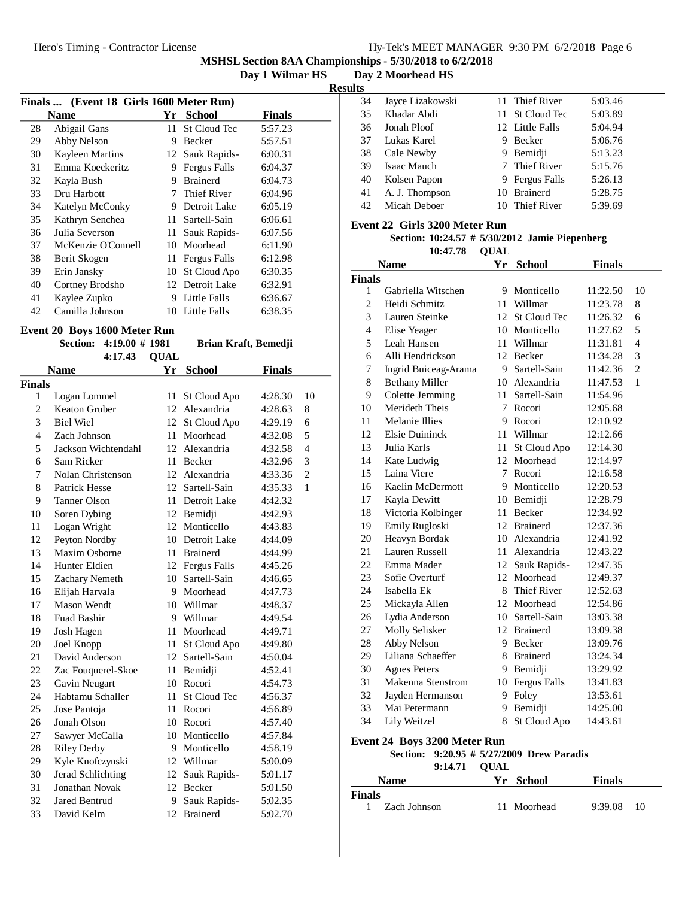**Day 1 Wilmar HS Day 2 Moorhead HS**

**Results**

|    | Finals  (Event 18 Girls 1600 Meter Run) |    |                     |         |  |  |  |
|----|-----------------------------------------|----|---------------------|---------|--|--|--|
|    | <b>Name</b>                             | Yr | <b>School</b>       | Finals  |  |  |  |
| 28 | Abigail Gans                            | 11 | <b>St Cloud Tec</b> | 5:57.23 |  |  |  |
| 29 | Abby Nelson                             | 9  | Becker              | 5:57.51 |  |  |  |
| 30 | <b>Kayleen Martins</b>                  |    | 12 Sauk Rapids-     | 6:00.31 |  |  |  |
| 31 | Emma Koeckeritz                         | 9  | Fergus Falls        | 6:04.37 |  |  |  |
| 32 | Kayla Bush                              | 9  | <b>Brainerd</b>     | 6:04.73 |  |  |  |
| 33 | Dru Harbott                             |    | Thief River         | 6:04.96 |  |  |  |
| 34 | Katelyn McConky                         | 9  | Detroit Lake        | 6:05.19 |  |  |  |
| 35 | Kathryn Senchea                         | 11 | Sartell-Sain        | 6:06.61 |  |  |  |
| 36 | Julia Severson                          | 11 | Sauk Rapids-        | 6:07.56 |  |  |  |
| 37 | McKenzie O'Connell                      | 10 | Moorhead            | 6:11.90 |  |  |  |
| 38 | Berit Skogen                            | 11 | Fergus Falls        | 6:12.98 |  |  |  |
| 39 | Erin Jansky                             | 10 | St Cloud Apo        | 6:30.35 |  |  |  |
| 40 | Cortney Brodsho                         |    | 12 Detroit Lake     | 6:32.91 |  |  |  |
| 41 | Kaylee Zupko                            | 9  | Little Falls        | 6:36.67 |  |  |  |
| 42 | Camilla Johnson                         |    | 10 Little Falls     | 6:38.35 |  |  |  |

#### **Event 20 Boys 1600 Meter Run**

|                          | <b>Section:</b>      | $4:19.00 \# 1981$ |             | Brian Kraft, Bemedji |               |                |
|--------------------------|----------------------|-------------------|-------------|----------------------|---------------|----------------|
|                          |                      | 4:17.43           | <b>QUAL</b> |                      |               |                |
|                          | <b>Name</b>          |                   | Yr          | <b>School</b>        | <b>Finals</b> |                |
| Finals                   |                      |                   |             |                      |               |                |
| 1                        | Logan Lommel         |                   | 11          | St Cloud Apo         | 4:28.30       | 10             |
| $\overline{c}$           | <b>Keaton Gruber</b> |                   | 12          | Alexandria           | 4:28.63       | 8              |
| 3                        | <b>Biel Wiel</b>     |                   | 12          | St Cloud Apo         | 4:29.19       | 6              |
| $\overline{\mathcal{L}}$ | Zach Johnson         |                   | 11          | Moorhead             | 4:32.08       | 5              |
| 5                        | Jackson Wichtendahl  |                   | 12          | Alexandria           | 4:32.58       | $\overline{4}$ |
| 6                        | Sam Ricker           |                   | 11          | <b>Becker</b>        | 4:32.96       | 3              |
| 7                        | Nolan Christenson    |                   | 12          | Alexandria           | 4:33.36       | $\overline{c}$ |
| 8                        | <b>Patrick Hesse</b> |                   | 12          | Sartell-Sain         | 4:35.33       | 1              |
| 9                        | Tanner Olson         |                   | 11          | Detroit Lake         | 4:42.32       |                |
| 10                       | Soren Dybing         |                   | 12          | Bemidji              | 4:42.93       |                |
| 11                       | Logan Wright         |                   | 12          | Monticello           | 4:43.83       |                |
| 12                       | Peyton Nordby        |                   | 10          | Detroit Lake         | 4:44.09       |                |
| 13                       | Maxim Osborne        |                   | 11          | <b>Brainerd</b>      | 4:44.99       |                |
| 14                       | Hunter Eldien        |                   | 12          | Fergus Falls         | 4:45.26       |                |
| 15                       | Zachary Nemeth       |                   | 10          | Sartell-Sain         | 4:46.65       |                |
| 16                       | Elijah Harvala       |                   | 9           | Moorhead             | 4:47.73       |                |
| 17                       | Mason Wendt          |                   | 10          | Willmar              | 4:48.37       |                |
| 18                       | <b>Fuad Bashir</b>   |                   | 9           | Willmar              | 4:49.54       |                |
| 19                       | Josh Hagen           |                   | 11          | Moorhead             | 4:49.71       |                |
| 20                       | Joel Knopp           |                   | 11          | St Cloud Apo         | 4:49.80       |                |
| 21                       | David Anderson       |                   | 12          | Sartell-Sain         | 4:50.04       |                |
| 22                       | Zac Fouquerel-Skoe   |                   | 11          | Bemidji              | 4:52.41       |                |
| 23                       | Gavin Neugart        |                   | 10          | Rocori               | 4:54.73       |                |
| 24                       | Habtamu Schaller     |                   | 11          | <b>St Cloud Tec</b>  | 4:56.37       |                |
| 25                       | Jose Pantoja         |                   | 11          | Rocori               | 4:56.89       |                |
| 26                       | Jonah Olson          |                   | 10          | Rocori               | 4:57.40       |                |
| 27                       | Sawyer McCalla       |                   | 10          | Monticello           | 4:57.84       |                |
| 28                       | <b>Riley Derby</b>   |                   | 9           | Monticello           | 4:58.19       |                |
| 29                       | Kyle Knofczynski     |                   | 12          | Willmar              | 5:00.09       |                |
| 30                       | Jerad Schlichting    |                   | 12          | Sauk Rapids-         | 5:01.17       |                |
| 31                       | Jonathan Novak       |                   | 12          | Becker               | 5:01.50       |                |
| 32                       | <b>Jared Bentrud</b> |                   | 9           | Sauk Rapids-         | 5:02.35       |                |
| 33                       | David Kelm           |                   | 12          | <b>Brainerd</b>      | 5:02.70       |                |

| 34 | Jayce Lizakowski |    | 11 Thief River  | 5:03.46 |
|----|------------------|----|-----------------|---------|
| 35 | Khadar Abdi      |    | 11 St Cloud Tec | 5:03.89 |
| 36 | Jonah Ploof      |    | 12 Little Falls | 5:04.94 |
| 37 | Lukas Karel      | 9. | Becker          | 5:06.76 |
| 38 | Cale Newby       | 9. | Bemidji         | 5:13.23 |
| 39 | Isaac Mauch      |    | 7 Thief River   | 5:15.76 |
| 40 | Kolsen Papon     |    | 9 Fergus Falls  | 5:26.13 |
| 41 | A. J. Thompson   |    | 10 Brainerd     | 5:28.75 |
| 42 | Micah Deboer     | 10 | Thief River     | 5:39.69 |
|    |                  |    |                 |         |

#### **Event 22 Girls 3200 Meter Run**

Section: 10:24.57 # 5/30/2012 Jamie Piepenberg 10:47.78 **QUAL** 

|                | Name                  | Yr  | <b>School</b>       | <b>Finals</b> |                |
|----------------|-----------------------|-----|---------------------|---------------|----------------|
| <b>Finals</b>  |                       |     |                     |               |                |
| 1              | Gabriella Witschen    | 9   | Monticello          | 11:22.50      | 10             |
| $\overline{2}$ | Heidi Schmitz         | 11. | Willmar             | 11:23.78      | 8              |
| 3              | Lauren Steinke        |     | 12 St Cloud Tec     | 11:26.32      | 6              |
| $\overline{4}$ | Elise Yeager          |     | 10 Monticello       | 11:27.62      | 5              |
| 5              | Leah Hansen           |     | 11 Willmar          | 11:31.81      | $\overline{4}$ |
| 6              | Alli Hendrickson      |     | 12 Becker           | 11:34.28      | 3              |
| 7              | Ingrid Buiceag-Arama  |     | 9 Sartell-Sain      | 11:42.36      | $\overline{c}$ |
| 8              | <b>Bethany Miller</b> |     | 10 Alexandria       | 11:47.53      | $\mathbf{1}$   |
| 9              | Colette Jemming       |     | 11 Sartell-Sain     | 11:54.96      |                |
| 10             | Merideth Theis        |     | 7 Rocori            | 12:05.68      |                |
| 11             | <b>Melanie Illies</b> |     | 9 Rocori            | 12:10.92      |                |
| 12             | <b>Elsie Duininck</b> |     | 11 Willmar          | 12:12.66      |                |
| 13             | Julia Karls           |     | 11 St Cloud Apo     | 12:14.30      |                |
| 14             | Kate Ludwig           |     | 12 Moorhead         | 12:14.97      |                |
| 15             | Laina Viere           | 7   | Rocori              | 12:16.58      |                |
| 16             | Kaelin McDermott      |     | 9 Monticello        | 12:20.53      |                |
| 17             | Kayla Dewitt          |     | 10 Bemidji          | 12:28.79      |                |
| 18             | Victoria Kolbinger    | 11  | Becker              | 12:34.92      |                |
| 19             | Emily Rugloski        |     | 12 Brainerd         | 12:37.36      |                |
| 20             | Heavyn Bordak         |     | 10 Alexandria       | 12:41.92      |                |
| 21             | Lauren Russell        |     | 11 Alexandria       | 12:43.22      |                |
| 22             | Emma Mader            |     | 12 Sauk Rapids-     | 12:47.35      |                |
| 23             | Sofie Overturf        |     | 12 Moorhead         | 12:49.37      |                |
| 24             | Isabella Ek           | 8   | Thief River         | 12:52.63      |                |
| 25             | Mickayla Allen        |     | 12 Moorhead         | 12:54.86      |                |
| 26             | Lydia Anderson        |     | 10 Sartell-Sain     | 13:03.38      |                |
| 27             | <b>Molly Selisker</b> |     | 12 Brainerd         | 13:09.38      |                |
| 28             | Abby Nelson           |     | 9 Becker            | 13:09.76      |                |
| 29             | Liliana Schaeffer     | 8   | <b>Brainerd</b>     | 13:24.34      |                |
| 30             | <b>Agnes Peters</b>   | 9   | Bemidji             | 13:29.92      |                |
| 31             | Makenna Stenstrom     | 10  | <b>Fergus Falls</b> | 13:41.83      |                |
| 32             | Jayden Hermanson      | 9   | Foley               | 13:53.61      |                |
| 33             | Mai Petermann         | 9   | Bemidji             | 14:25.00      |                |
| 34             | Lily Weitzel          | 8   | St Cloud Apo        | 14:43.61      |                |
|                |                       |     |                     |               |                |

#### **Event 24 Boys 3200 Meter Run**

### **Section:** 9:20.95 # 5/27/2009 Drew Paradis

#### **QUAL9:14.71**

|        | <b>Name</b>  | Yr School   | <b>Finals</b> |    |
|--------|--------------|-------------|---------------|----|
| Finals |              |             |               |    |
|        | Zach Johnson | 11 Moorhead | 9:39.08       | 10 |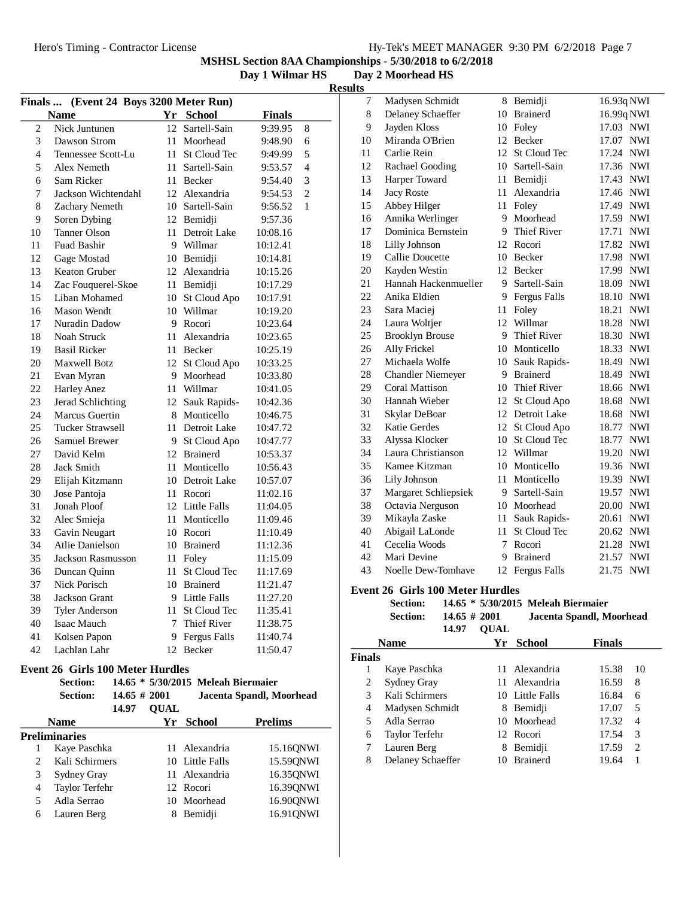Madysen Schmidt 8 Bemidji 16.93q NWI

**MSHSL Section 8AA Championships - 5/30/2018 to 6/2/2018**

**Day 1 Wilmar HS Day 2 Moorhead HS Results** 

| (Event 24 Boys 3200 Meter Run)<br>Finals |                          |     |                     |               |                          |  |
|------------------------------------------|--------------------------|-----|---------------------|---------------|--------------------------|--|
|                                          | <b>Name</b>              |     | Yr School           | <b>Finals</b> |                          |  |
| $\overline{c}$                           | Nick Juntunen            | 12. | Sartell-Sain        | 9:39.95       | 8                        |  |
| 3                                        | Dawson Strom             | 11  | Moorhead            | 9:48.90       | 6                        |  |
| $\overline{\mathcal{L}}$                 | Tennessee Scott-Lu       | 11  | St Cloud Tec        | 9:49.99       | 5                        |  |
| 5                                        | Alex Nemeth              | 11  | Sartell-Sain        | 9:53.57       | $\overline{\mathcal{L}}$ |  |
| 6                                        | Sam Ricker               | 11  | <b>Becker</b>       | 9:54.40       | 3                        |  |
| 7                                        | Jackson Wichtendahl      | 12  | Alexandria          | 9:54.53       | $\overline{c}$           |  |
| 8                                        | Zachary Nemeth           |     | 10 Sartell-Sain     | 9:56.52       | $\mathbf{1}$             |  |
| 9                                        | Soren Dybing             | 12  | Bemidji             | 9:57.36       |                          |  |
| 10                                       | Tanner Olson             | 11  | Detroit Lake        | 10:08.16      |                          |  |
| 11                                       | <b>Fuad Bashir</b>       | 9   | Willmar             | 10:12.41      |                          |  |
| 12                                       | Gage Mostad              | 10  | Bemidji             | 10:14.81      |                          |  |
| 13                                       | <b>Keaton Gruber</b>     | 12  | Alexandria          | 10:15.26      |                          |  |
| 14                                       | Zac Fouquerel-Skoe       | 11  | Bemidii             | 10:17.29      |                          |  |
| 15                                       | Liban Mohamed            | 10  | St Cloud Apo        | 10:17.91      |                          |  |
| 16                                       | <b>Mason Wendt</b>       | 10  | Willmar             | 10:19.20      |                          |  |
| 17                                       | Nuradin Dadow            | 9   | Rocori              | 10:23.64      |                          |  |
| 18                                       | Noah Struck              | 11  | Alexandria          | 10:23.65      |                          |  |
| 19                                       | <b>Basil Ricker</b>      | 11  | Becker              | 10:25.19      |                          |  |
| 20                                       | <b>Maxwell Botz</b>      | 12  | St Cloud Apo        | 10:33.25      |                          |  |
| 21                                       | Evan Myran               | 9   | Moorhead            | 10:33.80      |                          |  |
| 22                                       | <b>Harley Anez</b>       | 11  | Willmar             | 10:41.05      |                          |  |
| 23                                       | <b>Jerad Schlichting</b> |     | 12 Sauk Rapids-     | 10:42.36      |                          |  |
| 24                                       | <b>Marcus Guertin</b>    | 8   | Monticello          | 10:46.75      |                          |  |
| 25                                       | <b>Tucker Strawsell</b>  | 11  | Detroit Lake        | 10:47.72      |                          |  |
| 26                                       | <b>Samuel Brewer</b>     | 9   | St Cloud Apo        | 10:47.77      |                          |  |
| 27                                       | David Kelm               | 12  | <b>Brainerd</b>     | 10:53.37      |                          |  |
| 28                                       | Jack Smith               | 11  | Monticello          | 10:56.43      |                          |  |
| 29                                       | Elijah Kitzmann          |     | 10 Detroit Lake     | 10:57.07      |                          |  |
| 30                                       | Jose Pantoja             | 11  | Rocori              | 11:02.16      |                          |  |
| 31                                       | Jonah Ploof              |     | 12 Little Falls     | 11:04.05      |                          |  |
| 32                                       | Alec Smieja              | 11  | Monticello          | 11:09.46      |                          |  |
| 33                                       | Gavin Neugart            |     | 10 Rocori           | 11:10.49      |                          |  |
| 34                                       | <b>Atlie Danielson</b>   | 10  | <b>Brainerd</b>     | 11:12.36      |                          |  |
| 35                                       | <b>Jackson Rasmusson</b> | 11  | Foley               | 11:15.09      |                          |  |
| 36                                       | Duncan Quinn             | 11  | St Cloud Tec        | 11:17.69      |                          |  |
| 37                                       | Nick Porisch             | 10  | <b>Brainerd</b>     | 11:21.47      |                          |  |
| 38                                       | <b>Jackson Grant</b>     | 9   | <b>Little Falls</b> | 11:27.20      |                          |  |
| 39                                       | <b>Tyler Anderson</b>    | 11  | <b>St Cloud Tec</b> | 11:35.41      |                          |  |
| 40                                       | Isaac Mauch              | 7   | <b>Thief River</b>  | 11:38.75      |                          |  |
| 41                                       | Kolsen Papon             | 9   | <b>Fergus Falls</b> | 11:40.74      |                          |  |
| 42                                       | Lachlan Lahr             | 12  | Becker              | 11:50.47      |                          |  |

### **Event 26 Girls 100 Meter Hurdles**

|   | <b>Section:</b> |                 |             | 14.65 * 5/30/2015 Meleah Biermaier |                          |
|---|-----------------|-----------------|-------------|------------------------------------|--------------------------|
|   | <b>Section:</b> | $14.65 \# 2001$ |             |                                    | Jacenta Spandl, Moorhead |
|   |                 | 14.97           | <b>OUAL</b> |                                    |                          |
|   | <b>Name</b>     |                 |             | Yr School                          | <b>Prelims</b>           |
|   | Preliminaries   |                 |             |                                    |                          |
|   | Kaye Paschka    |                 |             | 11 Alexandria                      | 15.160NWI                |
| 2 | Kali Schirmers  |                 |             | 10 Little Falls                    | 15.590NWI                |
| 3 | Sydney Gray     |                 |             | 11 Alexandria                      | 16.350NWI                |
| 4 | Taylor Terfehr  |                 |             | 12 Rocori                          | 16.390NWI                |
| 5 | Adla Serrao     |                 |             | 10 Moorhead                        | 16.900NWI                |
| 6 | Lauren Berg     |                 | 8           | Bemidii                            | 16.910NWI                |

| 8  | Delaney Schaeffer        | 10 | <b>Brainerd</b>     | 16.99q NWI          |
|----|--------------------------|----|---------------------|---------------------|
| 9  | Jayden Kloss             | 10 | Foley               | 17.03 NWI           |
| 10 | Miranda O'Brien          | 12 | Becker              | 17.07<br><b>NWI</b> |
| 11 | Carlie Rein              | 12 | <b>St Cloud Tec</b> | 17.24<br><b>NWI</b> |
| 12 | Rachael Gooding          |    | 10 Sartell-Sain     | 17.36<br><b>NWI</b> |
| 13 | Harper Toward            | 11 | Bemidji             | 17.43<br><b>NWI</b> |
| 14 | <b>Jacy Roste</b>        | 11 | Alexandria          | 17.46<br><b>NWI</b> |
| 15 | Abbey Hilger             | 11 | Foley               | 17.49<br><b>NWI</b> |
| 16 | Annika Werlinger         | 9. | Moorhead            | 17.59<br><b>NWI</b> |
| 17 | Dominica Bernstein       | 9  | <b>Thief River</b>  | 17.71<br><b>NWI</b> |
| 18 | Lilly Johnson            | 12 | Rocori              | 17.82<br><b>NWI</b> |
| 19 | Callie Doucette          | 10 | Becker              | 17.98<br><b>NWI</b> |
| 20 | Kayden Westin            | 12 | Becker              | 17.99<br><b>NWI</b> |
| 21 | Hannah Hackenmueller     | 9  | Sartell-Sain        | 18.09<br><b>NWI</b> |
| 22 | Anika Eldien             | 9  | Fergus Falls        | 18.10<br><b>NWI</b> |
| 23 | Sara Maciej              | 11 | Foley               | 18.21<br><b>NWI</b> |
| 24 | Laura Woltjer            | 12 | Willmar             | 18.28<br><b>NWI</b> |
| 25 | <b>Brooklyn Brouse</b>   | 9  | <b>Thief River</b>  | 18.30<br><b>NWI</b> |
| 26 | Ally Frickel             | 10 | Monticello          | 18.33<br><b>NWI</b> |
| 27 | Michaela Wolfe           | 10 | Sauk Rapids-        | <b>NWI</b><br>18.49 |
| 28 | <b>Chandler Niemeyer</b> | 9  | <b>Brainerd</b>     | 18.49<br><b>NWI</b> |
| 29 | <b>Coral Mattison</b>    | 10 | <b>Thief River</b>  | <b>NWI</b><br>18.66 |
| 30 | Hannah Wieber            | 12 | St Cloud Apo        | <b>NWI</b><br>18.68 |
| 31 | Skylar DeBoar            |    | 12 Detroit Lake     | 18.68<br><b>NWI</b> |
| 32 | Katie Gerdes             | 12 | St Cloud Apo        | 18.77<br>NWI        |
| 33 | Alyssa Klocker           | 10 | St Cloud Tec        | 18.77<br><b>NWI</b> |
| 34 | Laura Christianson       |    | 12 Willmar          | 19.20<br><b>NWI</b> |
| 35 | Kamee Kitzman            | 10 | Monticello          | 19.36<br><b>NWI</b> |
| 36 | Lily Johnson             | 11 | Monticello          | 19.39<br><b>NWI</b> |
| 37 | Margaret Schliepsiek     | 9  | Sartell-Sain        | 19.57<br><b>NWI</b> |
| 38 | Octavia Nerguson         | 10 | Moorhead            | 20.00<br><b>NWI</b> |
| 39 | Mikayla Zaske            | 11 | Sauk Rapids-        | 20.61<br><b>NWI</b> |
| 40 | Abigail LaLonde          | 11 | <b>St Cloud Tec</b> | 20.62<br><b>NWI</b> |
| 41 | Cecelia Woods            | 7  | Rocori              | 21.28<br><b>NWI</b> |
| 42 | Mari Devine              | 9  | <b>Brainerd</b>     | 21.57<br>NWI        |
| 43 | Noelle Dew-Tomhave       | 12 | <b>Fergus Falls</b> | 21.75<br><b>NWI</b> |

#### **Event 26 Girls 100 Meter Hurdles**

| <b>Section:</b> |                 | 14.65 $*$ 5/30/2015 Meleah Biermaier |
|-----------------|-----------------|--------------------------------------|
| <b>Section:</b> | $14.65 \# 2001$ | Jacenta Spandl, Moorhead             |
|                 | 14.97 OUAL      |                                      |

| <b>Name</b>   |                    | Үr | School          | <b>Finals</b> |                             |
|---------------|--------------------|----|-----------------|---------------|-----------------------------|
| <b>Finals</b> |                    |    |                 |               |                             |
|               | Kaye Paschka       |    | 11 Alexandria   | 15.38         | 10                          |
| 2             | <b>Sydney Gray</b> |    | 11 Alexandria   | 16.59         | 8                           |
| 3             | Kali Schirmers     |    | 10 Little Falls | 16.84         | 6                           |
| 4             | Madysen Schmidt    |    | 8 Bemidji       | 17.07         | .5                          |
| 5             | Adla Serrao        |    | 10 Moorhead     | 17.32         | $\overline{4}$              |
| 6             | Taylor Terfehr     |    | 12 Rocori       | 17.54         | 3                           |
|               | Lauren Berg        | 8  | Bemidji         | 17.59         | $\mathcal{D}_{\mathcal{L}}$ |
| 8             | Delaney Schaeffer  | 10 | Brainerd        | 19.64         |                             |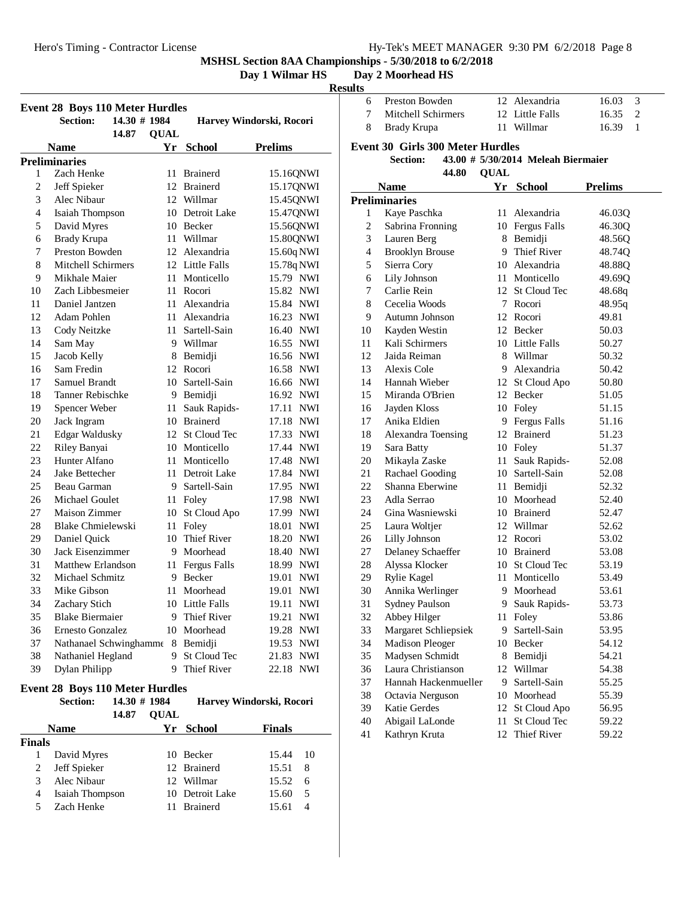#### **Day 2 Moorhead HS**

**Results**

| <b>Event 28 Boys 110 Meter Hurdles</b> |                                 |             |                    |                          |
|----------------------------------------|---------------------------------|-------------|--------------------|--------------------------|
|                                        | <b>Section:</b><br>14.30 # 1984 |             |                    | Harvey Windorski, Rocori |
|                                        | 14.87                           | <b>OUAL</b> |                    |                          |
|                                        | <b>Name</b>                     |             | Yr School          | <b>Prelims</b>           |
|                                        | <b>Preliminaries</b>            |             |                    |                          |
| 1                                      | Zach Henke                      | 11          | <b>Brainerd</b>    | 15.16QNWI                |
| 2                                      | Jeff Spieker                    | 12          | Brainerd           | 15.17QNWI                |
| 3                                      | Alec Nibaur                     | 12          | Willmar            | 15.45QNWI                |
| $\overline{4}$                         | Isaiah Thompson                 |             | 10 Detroit Lake    | 15.47QNWI                |
| 5                                      | David Myres                     |             | 10 Becker          | 15.56QNWI                |
| 6                                      | <b>Brady Krupa</b>              | 11          | Willmar            | 15.80QNWI                |
| 7                                      | Preston Bowden                  | 12          | Alexandria         | 15.60q NWI               |
| 8                                      | <b>Mitchell Schirmers</b>       |             | 12 Little Falls    | 15.78q NWI               |
| 9                                      | Mikhale Maier                   | 11          | Monticello         | 15.79 NWI                |
| 10                                     | Zach Libbesmeier                | 11          | Rocori             | 15.82 NWI                |
| 11                                     | Daniel Jantzen                  | 11          | Alexandria         | 15.84 NWI                |
| 12                                     | <b>Adam Pohlen</b>              | 11          | Alexandria         | 16.23 NWI                |
| 13                                     | Cody Neitzke                    | 11          | Sartell-Sain       | 16.40 NWI                |
| 14                                     | Sam May                         | 9           | Willmar            | 16.55 NWI                |
| 15                                     | Jacob Kelly                     | 8           | Bemidji            | 16.56 NWI                |
| 16                                     | Sam Fredin                      | 12          | Rocori             | 16.58 NWI                |
| 17                                     | Samuel Brandt                   | 10          | Sartell-Sain       | 16.66 NWI                |
| 18                                     | Tanner Rebischke                | 9           | Bemidji            | 16.92 NWI                |
| 19                                     | Spencer Weber                   | 11          | Sauk Rapids-       | 17.11 NWI                |
| 20                                     | Jack Ingram                     | 10          | Brainerd           | 17.18 NWI                |
| 21                                     | <b>Edgar Waldusky</b>           | 12          | St Cloud Tec       | 17.33 NWI                |
| 22                                     | Riley Banyai                    |             | 10 Monticello      | 17.44 NWI                |
| 23                                     | Hunter Alfano                   | 11          | Monticello         | 17.48 NWI                |
| 24                                     | Jake Bettecher                  | 11          | Detroit Lake       | 17.84 NWI                |
| 25                                     | Beau Garman                     | 9           | Sartell-Sain       | 17.95 NWI                |
| 26                                     | Michael Goulet                  | 11          | Foley              | 17.98 NWI                |
| 27                                     | <b>Maison Zimmer</b>            | 10          | St Cloud Apo       | 17.99 NWI                |
| 28                                     | <b>Blake Chmielewski</b>        | 11          | Foley              | 18.01<br><b>NWI</b>      |
| 29                                     | Daniel Quick                    | 10          | <b>Thief River</b> | 18.20 NWI                |
| 30                                     | Jack Eisenzimmer                | 9           | Moorhead           | 18.40 NWI                |
| 31                                     | <b>Matthew Erlandson</b>        | 11          | Fergus Falls       | 18.99 NWI                |
| 32                                     | Michael Schmitz                 | 9           | Becker             | 19.01<br><b>NWI</b>      |
| 33                                     | Mike Gibson                     | 11          | Moorhead           | 19.01<br><b>NWI</b>      |
| 34                                     | Zachary Stich                   |             | 10 Little Falls    | 19.11<br><b>NWI</b>      |
| 35                                     | <b>Blake Biermaier</b>          | 9           | Thief River        | 19.21 NWI                |
| 36                                     | Ernesto Gonzalez                | 10          | Moorhead           | 19.28 NWI                |
| 37                                     | Nathanael Schwinghamme          | 8           | Bemidji            | 19.53 NWI                |
| 38                                     | Nathaniel Hegland               | 9           | St Cloud Tec       | 21.83 NWI                |
| 39                                     | Dylan Philipp                   | 9           | <b>Thief River</b> | 22.18<br><b>NWI</b>      |

### **Event 28 Boys 110 Meter Hurdles**

|        | <b>Section:</b> | 14.30 # 1984<br>14.87 | <b>OUAL</b> |                 | Harvey Windorski, Rocori |    |
|--------|-----------------|-----------------------|-------------|-----------------|--------------------------|----|
|        | <b>Name</b>     |                       | Yr          | School          | <b>Finals</b>            |    |
| Finals |                 |                       |             |                 |                          |    |
|        | David Myres     |                       |             | 10 Becker       | 15.44                    | 10 |
| 2      | Jeff Spieker    |                       |             | 12 Brainerd     | 15.51                    | 8  |
| 3      | Alec Nibaur     |                       |             | 12 Willmar      | 15.52                    | 6  |
| 4      | Isaiah Thompson |                       |             | 10 Detroit Lake | 15.60                    | 5  |
|        | Zach Henke      |                       | 11          | <b>Brainerd</b> | 15.61                    | 4  |

| uw                                      |                    |                 |                         |  |
|-----------------------------------------|--------------------|-----------------|-------------------------|--|
| 6.                                      | Preston Bowden     | 12 Alexandria   | $16.03 \quad 3$         |  |
| $\tau$                                  | Mitchell Schirmers | 12 Little Falls | $16.35 \quad 2$         |  |
|                                         | 8 Brady Krupa      | 11 Willmar      | 16.39<br>$\blacksquare$ |  |
| <b>Event 30 Girls 300 Meter Hurdles</b> |                    |                 |                         |  |

#### **Section:** 43.00 # 5/30/2014 Meleah Biermaier

## **QUAL44.80**

|                | <b>Name</b>            |      | Yr School          | <b>Prelims</b> |
|----------------|------------------------|------|--------------------|----------------|
|                | <b>Preliminaries</b>   |      |                    |                |
| 1              | Kaye Paschka           | 11 - | Alexandria         | 46.03Q         |
| $\overline{c}$ | Sabrina Fronning       |      | 10 Fergus Falls    | 46.30Q         |
| 3              | Lauren Berg            | 8    | Bemidji            | 48.56Q         |
| $\overline{4}$ | <b>Brooklyn Brouse</b> | 9    | <b>Thief River</b> | 48.74Q         |
| 5              | Sierra Cory            |      | 10 Alexandria      | 48.88Q         |
| 6              | Lily Johnson           |      | 11 Monticello      | 49.69Q         |
| 7              | Carlie Rein            |      | 12 St Cloud Tec    | 48.68q         |
| 8              | Cecelia Woods          |      | 7 Rocori           | 48.95q         |
| 9              | Autumn Johnson         |      | 12 Rocori          | 49.81          |
| 10             | Kayden Westin          |      | 12 Becker          | 50.03          |
| 11             | Kali Schirmers         |      | 10 Little Falls    | 50.27          |
| 12             | Jaida Reiman           |      | 8 Willmar          | 50.32          |
| 13             | Alexis Cole            |      | 9 Alexandria       | 50.42          |
| 14             | Hannah Wieber          |      | 12 St Cloud Apo    | 50.80          |
| 15             | Miranda O'Brien        |      | 12 Becker          | 51.05          |
| 16             | Jayden Kloss           |      | 10 Foley           | 51.15          |
| 17             | Anika Eldien           |      | 9 Fergus Falls     | 51.16          |
| 18             | Alexandra Toensing     |      | 12 Brainerd        | 51.23          |
| 19             | Sara Batty             |      | 10 Foley           | 51.37          |
| 20             | Mikayla Zaske          | 11   | Sauk Rapids-       | 52.08          |
| 21             | Rachael Gooding        |      | 10 Sartell-Sain    | 52.08          |
| 22             | Shanna Eberwine        | 11 - | Bemidii            | 52.32          |
| 23             | Adla Serrao            |      | 10 Moorhead        | 52.40          |
| 24             | Gina Wasniewski        |      | 10 Brainerd        | 52.47          |
| 25             | Laura Woltjer          |      | 12 Willmar         | 52.62          |
| 26             | Lilly Johnson          |      | 12 Rocori          | 53.02          |
| 27             | Delaney Schaeffer      |      | 10 Brainerd        | 53.08          |
| 28             | Alyssa Klocker         |      | 10 St Cloud Tec    | 53.19          |
| 29             | Rylie Kagel            | 11.  | Monticello         | 53.49          |
| 30             | Annika Werlinger       |      | 9 Moorhead         | 53.61          |
| 31             | <b>Sydney Paulson</b>  |      | 9 Sauk Rapids-     | 53.73          |
| 32             | Abbey Hilger           | 11-  | Foley              | 53.86          |
| 33             | Margaret Schliepsiek   |      | 9 Sartell-Sain     | 53.95          |
| 34             | <b>Madison Pleoger</b> |      | 10 Becker          | 54.12          |
| 35             | Madysen Schmidt        |      | 8 Bemidji          | 54.21          |
| 36             | Laura Christianson     |      | 12 Willmar         | 54.38          |
| 37             | Hannah Hackenmueller   |      | 9 Sartell-Sain     | 55.25          |
| 38             | Octavia Nerguson       |      | 10 Moorhead        | 55.39          |
| 39             | Katie Gerdes           |      | 12 St Cloud Apo    | 56.95          |
| 40             | Abigail LaLonde        | 11   | St Cloud Tec       | 59.22          |
| 41             | Kathryn Kruta          | 12   | Thief River        | 59.22          |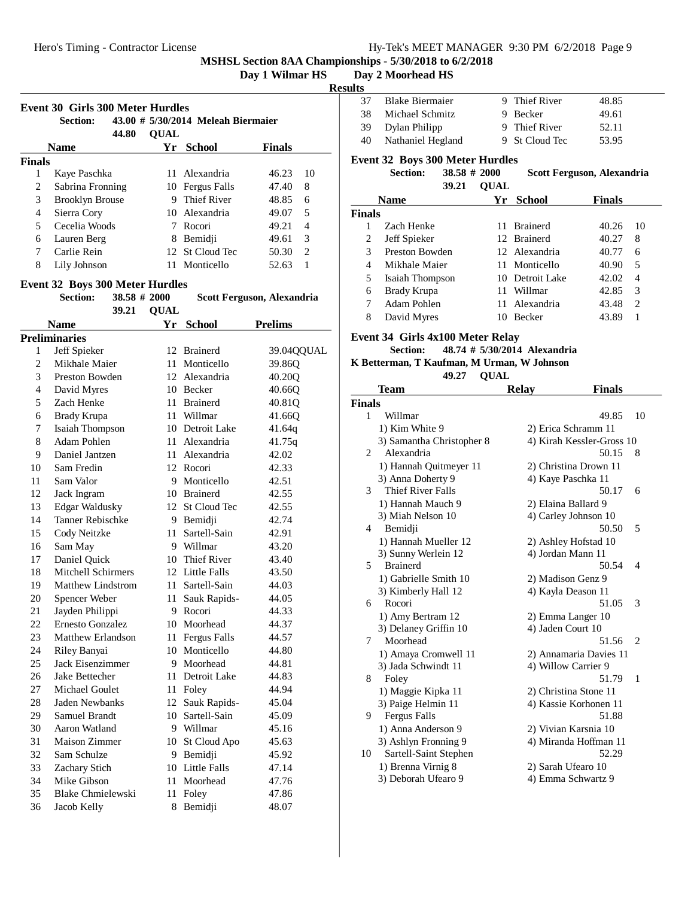#### **Day 1 Wilmar HS Day 2 Moorhead HS**

**Results**

|               | <b>Event 30 Girls 300 Meter Hurdles</b> |       |             |                                    |               |                             |
|---------------|-----------------------------------------|-------|-------------|------------------------------------|---------------|-----------------------------|
|               | <b>Section:</b>                         |       |             | 43.00 # 5/30/2014 Meleah Biermaier |               |                             |
|               |                                         | 44.80 | <b>OUAL</b> |                                    |               |                             |
|               | <b>Name</b>                             |       | Yr          | School                             | <b>Finals</b> |                             |
| <b>Finals</b> |                                         |       |             |                                    |               |                             |
| 1             | Kaye Paschka                            |       |             | 11 Alexandria                      | 46.23         | 10                          |
| 2             | Sabrina Fronning                        |       |             | 10 Fergus Falls                    | 47.40         | 8                           |
| 3             | <b>Brooklyn Brouse</b>                  |       | 9           | Thief River                        | 48.85         | 6                           |
| 4             | Sierra Cory                             |       |             | 10 Alexandria                      | 49.07         | 5                           |
| 5             | Cecelia Woods                           |       |             | Rocori                             | 49.21         | 4                           |
| 6             | Lauren Berg                             |       | 8           | Bemidji                            | 49.61         | 3                           |
| 7             | Carlie Rein                             |       |             | 12 St Cloud Tec                    | 50.30         | $\mathcal{D}_{\mathcal{L}}$ |
| 8             | Lily Johnson                            |       |             | Monticello                         | 52.63         |                             |

#### **Event 32 Boys 300 Meter Hurdles**

| <b>Section:</b> | $38.58 \# 2000$ | Scott Ferguson, Alexandria |
|-----------------|-----------------|----------------------------|
|                 | 39.21 OUAL      |                            |

|                | <b>Name</b>              | Yr | <b>School</b>   | <b>Prelims</b> |
|----------------|--------------------------|----|-----------------|----------------|
|                | <b>Preliminaries</b>     |    |                 |                |
| 1              | Jeff Spieker             |    | 12 Brainerd     | 39.0400UAL     |
| $\overline{c}$ | Mikhale Maier            |    | 11 Monticello   | 39.86Q         |
| 3              | Preston Bowden           |    | 12 Alexandria   | 40.20Q         |
| $\overline{4}$ | David Myres              |    | 10 Becker       | 40.660         |
| 5              | Zach Henke               |    | 11 Brainerd     | 40.81Q         |
| 6              | Brady Krupa              |    | 11 Willmar      | 41.66Q         |
| 7              | Isaiah Thompson          |    | 10 Detroit Lake | 41.64q         |
| 8              | Adam Pohlen              |    | 11 Alexandria   | 41.75q         |
| 9              | Daniel Jantzen           |    | 11 Alexandria   | 42.02          |
| 10             | Sam Fredin               |    | 12 Rocori       | 42.33          |
| 11             | Sam Valor                |    | 9 Monticello    | 42.51          |
| 12             | Jack Ingram              |    | 10 Brainerd     | 42.55          |
| 13             | <b>Edgar Waldusky</b>    |    | 12 St Cloud Tec | 42.55          |
| 14             | Tanner Rebischke         | 9  | Bemidji         | 42.74          |
| 15             | Cody Neitzke             | 11 | Sartell-Sain    | 42.91          |
| 16             | Sam May                  |    | 9 Willmar       | 43.20          |
| 17             | Daniel Quick             |    | 10 Thief River  | 43.40          |
| 18             | Mitchell Schirmers       |    | 12 Little Falls | 43.50          |
| 19             | <b>Matthew Lindstrom</b> |    | 11 Sartell-Sain | 44.03          |
| 20             | Spencer Weber            | 11 | Sauk Rapids-    | 44.05          |
| 21             | Jayden Philippi          |    | 9 Rocori        | 44.33          |
| 22             | <b>Ernesto Gonzalez</b>  |    | 10 Moorhead     | 44.37          |
| 23             | <b>Matthew Erlandson</b> | 11 | Fergus Falls    | 44.57          |
| 24             | Riley Banyai             |    | 10 Monticello   | 44.80          |
| 25             | Jack Eisenzimmer         |    | 9 Moorhead      | 44.81          |
| 26             | Jake Bettecher           |    | 11 Detroit Lake | 44.83          |
| 27             | <b>Michael Goulet</b>    | 11 | Foley           | 44.94          |
| 28             | Jaden Newbanks           | 12 | Sauk Rapids-    | 45.04          |
| 29             | Samuel Brandt            |    | 10 Sartell-Sain | 45.09          |
| 30             | Aaron Watland            |    | 9 Willmar       | 45.16          |
| 31             | Maison Zimmer            |    | 10 St Cloud Apo | 45.63          |
| 32             | Sam Schulze              |    | 9 Bemidji       | 45.92          |
| 33             | Zachary Stich            |    | 10 Little Falls | 47.14          |
| 34             | Mike Gibson              | 11 | Moorhead        | 47.76          |
| 35             | <b>Blake Chmielewski</b> | 11 | Foley           | 47.86          |
| 36             | Jacob Kelly              | 8  | Bemidji         | 48.07          |

37 Blake Biermaier 9 Thief River 48.85 38 Michael Schmitz 9 Becker 49.61 39 Dylan Philipp 9 Thief River 52.11 40 Nathaniel Hegland 9 St Cloud Tec 53.95 **Event 32 Boys 300 Meter Hurdles Section: 38.58 # 2000 Scott Ferguson, Alexandria QUAL39.21 Name Yr School Finals Finals** 1 Zach Henke 11 Brainerd 40.26 10 2 Jeff Spieker 12 Brainerd 40.27 8 3 Preston Bowden 12 Alexandria 40.77 6 4 Mikhale Maier 11 Monticello 40.90 5 5 Isaiah Thompson 10 Detroit Lake 42.02 4 6 Brady Krupa 11 Willmar 42.85 3 7 Adam Pohlen 11 Alexandria 43.48 2 8 David Myres 10 Becker 43.89 1

#### **Event 34 Girls 4x100 Meter Relay**

#### **Section:** 48.74 #  $\frac{5}{30/2014}$  Alexandria

#### **K Betterman, T Kaufman, M Urman, W Johnson**

#### 49.27 **QUAL**

|                | Team                      | <b>Relay</b>        | <b>Finals</b>             |  |
|----------------|---------------------------|---------------------|---------------------------|--|
| <b>Finals</b>  |                           |                     |                           |  |
| 1              | Willmar                   |                     | 49.85<br>10               |  |
|                | 1) Kim White 9            |                     | 2) Erica Schramm 11       |  |
|                | 3) Samantha Christopher 8 |                     | 4) Kirah Kessler-Gross 10 |  |
| $\mathfrak{D}$ | Alexandria                |                     | 50.15<br>8                |  |
|                | 1) Hannah Quitmeyer 11    |                     | 2) Christina Drown 11     |  |
|                | 3) Anna Doherty 9         | 4) Kaye Paschka 11  |                           |  |
| 3              | <b>Thief River Falls</b>  |                     | 50.17<br>6                |  |
|                | 1) Hannah Mauch 9         | 2) Elaina Ballard 9 |                           |  |
|                | 3) Miah Nelson 10         |                     | 4) Carley Johnson 10      |  |
| 4              | Bemidji                   |                     | 50.50<br>5                |  |
|                | 1) Hannah Mueller 12      |                     | 2) Ashley Hofstad 10      |  |
|                | 3) Sunny Werlein 12       | 4) Jordan Mann 11   |                           |  |
| 5              | <b>Brainerd</b>           |                     | 50.54<br>$\overline{4}$   |  |
|                | 1) Gabrielle Smith 10     | 2) Madison Genz 9   |                           |  |
|                | 3) Kimberly Hall 12       | 4) Kayla Deason 11  |                           |  |
| 6              | Rocori                    |                     | 51.05<br>3                |  |
|                | 1) Amy Bertram 12         |                     | 2) Emma Langer 10         |  |
|                | 3) Delaney Griffin 10     | 4) Jaden Court 10   |                           |  |
| 7              | Moorhead                  |                     | 51.56<br>$\mathfrak{D}$   |  |
|                | 1) Amaya Cromwell 11      |                     | 2) Annamaria Davies 11    |  |
|                | 3) Jada Schwindt 11       |                     | 4) Willow Carrier 9       |  |
| 8              | Foley                     |                     | 51.79<br>$\mathbf{1}$     |  |
|                | 1) Maggie Kipka 11        |                     | 2) Christina Stone 11     |  |
|                | 3) Paige Helmin 11        |                     | 4) Kassie Korhonen 11     |  |
| 9              | Fergus Falls              |                     | 51.88                     |  |
|                | 1) Anna Anderson 9        |                     | 2) Vivian Karsnia 10      |  |
|                | 3) Ashlyn Fronning 9      |                     | 4) Miranda Hoffman 11     |  |
| 10             | Sartell-Saint Stephen     |                     | 52.29                     |  |
|                | 1) Brenna Virnig 8        | 2) Sarah Ufearo 10  |                           |  |
|                | 3) Deborah Ufearo 9       |                     | 4) Emma Schwartz 9        |  |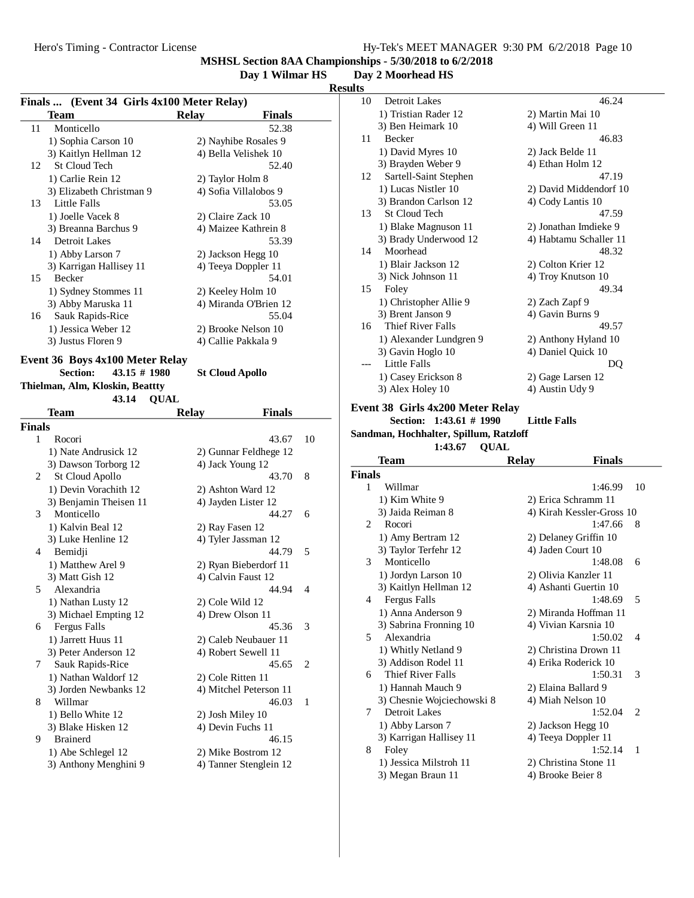**Day 2 Moorhead HS** 

#### **Results**

|    | Finals  (Event 34 Girls 4x100 Meter Relay) |                     |                       |
|----|--------------------------------------------|---------------------|-----------------------|
|    | Team                                       | Relay               | Finals                |
| 11 | Monticello                                 |                     | 52.38                 |
|    | 1) Sophia Carson 10                        |                     | 2) Nayhibe Rosales 9  |
|    | 3) Kaitlyn Hellman 12                      |                     | 4) Bella Velishek 10  |
| 12 | <b>St Cloud Tech</b>                       |                     | 52.40                 |
|    | 1) Carlie Rein 12                          | 2) Taylor Holm 8    |                       |
|    | 3) Elizabeth Christman 9                   |                     | 4) Sofia Villalobos 9 |
| 13 | <b>Little Falls</b>                        |                     | 53.05                 |
|    | 1) Joelle Vacek 8                          | 2) Claire Zack 10   |                       |
|    | 3) Breanna Barchus 9                       |                     | 4) Maizee Kathrein 8  |
| 14 | <b>Detroit Lakes</b>                       |                     | 53.39                 |
|    | 1) Abby Larson 7                           |                     | 2) Jackson Hegg 10    |
|    | 3) Karrigan Hallisey 11                    |                     | 4) Teeya Doppler 11   |
| 15 | <b>Becker</b>                              |                     | 54.01                 |
|    | 1) Sydney Stommes 11                       | 2) Keeley Holm 10   |                       |
|    | 3) Abby Maruska 11                         |                     | 4) Miranda O'Brien 12 |
| 16 | Sauk Rapids-Rice                           |                     | 55.04                 |
|    | 1) Jessica Weber 12                        |                     | 2) Brooke Nelson 10   |
|    | 3) Justus Floren 9                         | 4) Callie Pakkala 9 |                       |

# **Event 36 Boys 4x100 Meter Relay**<br>Section: 43.15 # 1980

#### $St$  Cloud Apollo

**Thielman, Alm, Kloskin, Beattty**

43.14 **QUAL** 

|                | Team                   | <b>Relay</b>        | <b>Finals</b>          |                |
|----------------|------------------------|---------------------|------------------------|----------------|
| Finals         |                        |                     |                        |                |
| 1              | Rocori                 |                     | 43.67                  | 10             |
|                | 1) Nate Andrusick 12   |                     | 2) Gunnar Feldhege 12  |                |
|                | 3) Dawson Torborg 12   | 4) Jack Young 12    |                        |                |
| $\overline{c}$ | <b>St Cloud Apollo</b> |                     | 43.70                  | 8              |
|                | 1) Devin Vorachith 12  | 2) Ashton Ward 12   |                        |                |
|                | 3) Benjamin Theisen 11 | 4) Jayden Lister 12 |                        |                |
| 3              | Monticello             |                     | 44.27                  | 6              |
|                | 1) Kalvin Beal 12      | 2) Ray Fasen 12     |                        |                |
|                | 3) Luke Henline 12     |                     | 4) Tyler Jassman 12    |                |
| 4              | Bemidji                |                     | 44.79                  | 5              |
|                | 1) Matthew Arel 9      |                     | 2) Ryan Bieberdorf 11  |                |
|                | 3) Matt Gish 12        | 4) Calvin Faust 12  |                        |                |
| 5              | Alexandria             |                     | 44.94                  | $\overline{4}$ |
|                | 1) Nathan Lusty 12     | 2) Cole Wild 12     |                        |                |
|                | 3) Michael Empting 12  | 4) Drew Olson 11    |                        |                |
| 6              | Fergus Falls           |                     | 45.36                  | 3              |
|                | 1) Jarrett Huus 11     |                     | 2) Caleb Neubauer 11   |                |
|                | 3) Peter Anderson 12   |                     | 4) Robert Sewell 11    |                |
| 7              | Sauk Rapids-Rice       |                     | 45.65                  | 2              |
|                | 1) Nathan Waldorf 12   | 2) Cole Ritten 11   |                        |                |
|                | 3) Jorden Newbanks 12  |                     | 4) Mitchel Peterson 11 |                |
| 8              | Willmar                |                     | 46.03                  | 1              |
|                | 1) Bello White 12      | 2) Josh Miley 10    |                        |                |
|                | 3) Blake Hisken 12     | 4) Devin Fuchs 11   |                        |                |
| 9              | <b>Brainerd</b>        |                     | 46.15                  |                |
|                | 1) Abe Schlegel 12     |                     | 2) Mike Bostrom 12     |                |
|                | 3) Anthony Menghini 9  |                     | 4) Tanner Stenglein 12 |                |

| 10<br><b>Detroit Lakes</b>     | 46.24                  |
|--------------------------------|------------------------|
| 1) Tristian Rader 12           | 2) Martin Mai 10       |
| 3) Ben Heimark 10              | 4) Will Green 11       |
| <b>Becker</b><br>11            | 46.83                  |
| 1) David Myres 10              | 2) Jack Belde 11       |
| 3) Brayden Weber 9             | 4) Ethan Holm 12       |
| 12<br>Sartell-Saint Stephen    | 47.19                  |
| 1) Lucas Nistler 10            | 2) David Middendorf 10 |
| 3) Brandon Carlson 12          | 4) Cody Lantis 10      |
| <b>St Cloud Tech</b><br>13     | 47.59                  |
| 1) Blake Magnuson 11           | 2) Jonathan Imdieke 9  |
| 3) Brady Underwood 12          | 4) Habtamu Schaller 11 |
| Moorhead<br>14                 | 48.32                  |
| 1) Blair Jackson 12            | 2) Colton Krier 12     |
| 3) Nick Johnson 11             | 4) Troy Knutson 10     |
| 15<br>Foley                    | 49.34                  |
| 1) Christopher Allie 9         | 2) Zach Zapf 9         |
| 3) Brent Janson 9              | 4) Gavin Burns 9       |
| <b>Thief River Falls</b><br>16 | 49.57                  |
| 1) Alexander Lundgren 9        | 2) Anthony Hyland 10   |
| 3) Gavin Hoglo 10              | 4) Daniel Quick 10     |
| <b>Little Falls</b>            | DQ                     |
| 1) Casey Erickson 8            | 2) Gage Larsen 12      |
| 3) Alex Holey 10               | 4) Austin Udy 9        |
|                                |                        |

#### **Event 38 Girls 4x200 Meter Relay**

**Section:** 1:43.61 # 1990 **Little Falls** 

**Sandman, Hochhalter, Spillum, Ratzloff**

|                             | 1:43.67                    | <b>QUAL</b>  |                           |                |
|-----------------------------|----------------------------|--------------|---------------------------|----------------|
|                             | Team                       | <b>Relay</b> | <b>Finals</b>             |                |
| <b>Finals</b>               |                            |              |                           |                |
| 1                           | Willmar                    |              | 1:46.99                   | 10             |
|                             | 1) Kim White 9             |              | 2) Erica Schramm 11       |                |
|                             | 3) Jaida Reiman 8          |              | 4) Kirah Kessler-Gross 10 |                |
| $\mathcal{D}_{\mathcal{L}}$ | Rocori                     |              | 1:47.66                   | 8              |
|                             | 1) Amy Bertram 12          |              | 2) Delaney Griffin 10     |                |
|                             | 3) Taylor Terfehr 12       |              | 4) Jaden Court 10         |                |
| 3                           | Monticello                 |              | 1:48.08                   | 6              |
|                             | 1) Jordyn Larson 10        |              | 2) Olivia Kanzler 11      |                |
|                             | 3) Kaitlyn Hellman 12      |              | 4) Ashanti Guertin 10     |                |
| 4                           | Fergus Falls               |              | 1:48.69                   | 5              |
|                             | 1) Anna Anderson 9         |              | 2) Miranda Hoffman 11     |                |
|                             | 3) Sabrina Fronning 10     |              | 4) Vivian Karsnia 10      |                |
| 5                           | Alexandria                 |              | 1:50.02                   | 4              |
|                             | 1) Whitly Netland 9        |              | 2) Christina Drown 11     |                |
|                             | 3) Addison Rodel 11        |              | 4) Erika Roderick 10      |                |
| 6                           | Thief River Falls          |              | 1:50.31                   | 3              |
|                             | 1) Hannah Mauch 9          |              | 2) Elaina Ballard 9       |                |
|                             | 3) Chesnie Wojciechowski 8 |              | 4) Miah Nelson 10         |                |
| 7                           | <b>Detroit Lakes</b>       |              | 1:52.04                   | $\overline{c}$ |
|                             | 1) Abby Larson 7           |              | 2) Jackson Hegg 10        |                |
|                             | 3) Karrigan Hallisey 11    |              | 4) Teeya Doppler 11       |                |
| 8                           | Foley                      |              | 1:52.14                   | $\mathbf{1}$   |
|                             | 1) Jessica Milstroh 11     |              | 2) Christina Stone 11     |                |
|                             | 3) Megan Braun 11          |              | 4) Brooke Beier 8         |                |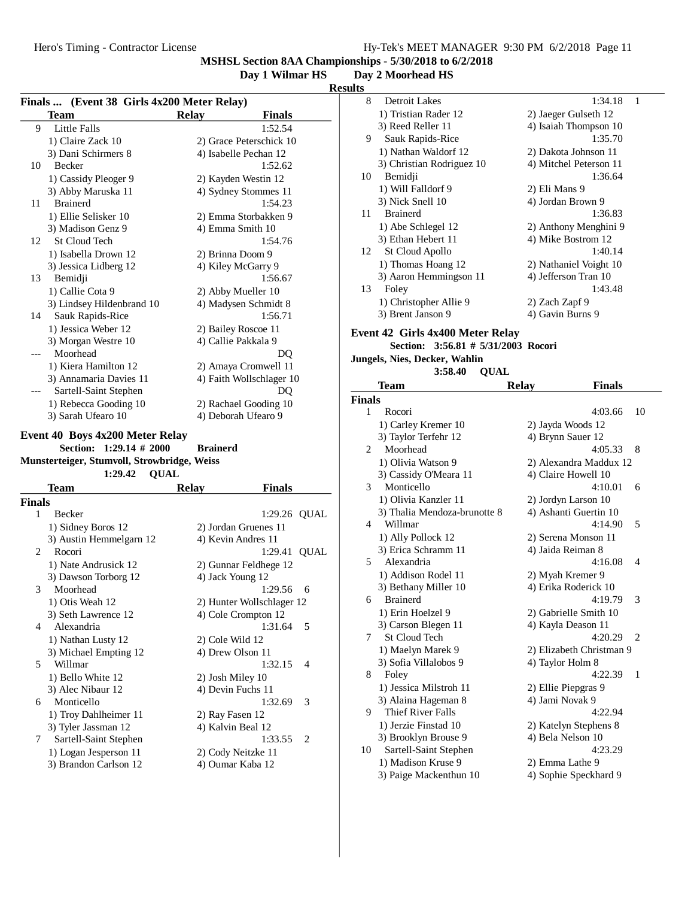**Day 1 Wilmar HS Day 2 Moorhead HS**

**Results**

|    | Finals  (Event 38 Girls 4x200 Meter Relay) |              |                          |  |
|----|--------------------------------------------|--------------|--------------------------|--|
|    | <b>Team</b>                                | <b>Relay</b> | Finals                   |  |
| 9  | Little Falls                               |              | 1:52.54                  |  |
|    | 1) Claire Zack 10                          |              | 2) Grace Peterschick 10  |  |
|    | 3) Dani Schirmers 8                        |              | 4) Isabelle Pechan 12    |  |
| 10 | <b>Becker</b>                              |              | 1:52.62                  |  |
|    | 1) Cassidy Pleoger 9                       |              | 2) Kayden Westin 12      |  |
|    | 3) Abby Maruska 11                         |              | 4) Sydney Stommes 11     |  |
| 11 | <b>Brainerd</b>                            |              | 1:54.23                  |  |
|    | 1) Ellie Selisker 10                       |              | 2) Emma Storbakken 9     |  |
|    | 3) Madison Genz 9                          |              | 4) Emma Smith 10         |  |
| 12 | <b>St Cloud Tech</b>                       |              | 1:54.76                  |  |
|    | 1) Isabella Drown 12                       |              | 2) Brinna Doom 9         |  |
|    | 3) Jessica Lidberg 12                      |              | 4) Kiley McGarry 9       |  |
| 13 | Bemidji                                    |              | 1:56.67                  |  |
|    | 1) Callie Cota 9                           |              | 2) Abby Mueller 10       |  |
|    | 3) Lindsey Hildenbrand 10                  |              | 4) Madysen Schmidt 8     |  |
| 14 | Sauk Rapids-Rice                           |              | 1:56.71                  |  |
|    | 1) Jessica Weber 12                        |              | 2) Bailey Roscoe 11      |  |
|    | 3) Morgan Westre 10                        |              | 4) Callie Pakkala 9      |  |
|    | Moorhead                                   |              | DO                       |  |
|    | 1) Kiera Hamilton 12                       |              | 2) Amaya Cromwell 11     |  |
|    | 3) Annamaria Davies 11                     |              | 4) Faith Wollschlager 10 |  |
|    | Sartell-Saint Stephen                      |              | DQ                       |  |
|    | 1) Rebecca Gooding 10                      |              | 2) Rachael Gooding 10    |  |
|    | 3) Sarah Ufearo 10                         |              | 4) Deborah Ufearo 9      |  |

#### **Event 40 Boys 4x200 Meter Relay**

**Section:** 1:29.14 # 2000 **Brainerd** 

**Munsterteiger, Stumvoll, Strowbridge, Weiss QUAL4 QUAL** 

| Team                    | Relay               | <b>Finals</b>                          |
|-------------------------|---------------------|----------------------------------------|
| <b>Finals</b>           |                     |                                        |
| <b>Becker</b>           |                     | 1:29.26 QUAL                           |
| 1) Sidney Boros 12      |                     | 2) Jordan Gruenes 11                   |
| 3) Austin Hemmelgarn 12 |                     | 4) Kevin Andres 11                     |
| Rocori                  |                     | 1:29.41 QUAL                           |
| 1) Nate Andrusick 12    |                     | 2) Gunnar Feldhege 12                  |
| 3) Dawson Torborg 12    |                     | 4) Jack Young 12                       |
| Moorhead                |                     | 1:29.56<br>-6                          |
| 1) Otis Weah 12         |                     | 2) Hunter Wollschlager 12              |
| 3) Seth Lawrence 12     |                     | 4) Cole Crompton 12                    |
| Alexandria              |                     | 1:31.64<br>.5                          |
| 1) Nathan Lusty 12      | 2) Cole Wild 12     |                                        |
| 3) Michael Empting 12   |                     | 4) Drew Olson 11                       |
| Willmar                 |                     | 1:32.15<br>$\overline{\mathcal{A}}$    |
| 1) Bello White 12       | 2) Josh Miley 10    |                                        |
| 3) Alec Nibaur 12       |                     | 4) Devin Fuchs 11                      |
| Monticello              |                     | 1:32.69<br>3                           |
| 1) Troy Dahlheimer 11   | 2) Ray Fasen 12     |                                        |
|                         |                     | 4) Kalvin Beal 12                      |
| Sartell-Saint Stephen   |                     | 1:33.55<br>$\mathcal{D}_{\mathcal{L}}$ |
| 1) Logan Jesperson 11   |                     | 2) Cody Neitzke 11                     |
| 3) Brandon Carlson 12   |                     | 4) Oumar Kaba 12                       |
|                         | 3) Tyler Jassman 12 |                                        |

| 8  | Detroit Lakes             | 1:34.18<br>1           |  |
|----|---------------------------|------------------------|--|
|    | 1) Tristian Rader 12      | 2) Jaeger Gulseth 12   |  |
|    | 3) Reed Reller 11         | 4) Isaiah Thompson 10  |  |
| 9  | Sauk Rapids-Rice          | 1:35.70                |  |
|    | 1) Nathan Waldorf 12      | 2) Dakota Johnson 11   |  |
|    | 3) Christian Rodriguez 10 | 4) Mitchel Peterson 11 |  |
| 10 | Bemidji                   | 1:36.64                |  |
|    | 1) Will Falldorf 9        | 2) Eli Mans 9          |  |
|    | 3) Nick Snell 10          | 4) Jordan Brown 9      |  |
| 11 | <b>Brainerd</b>           | 1:36.83                |  |
|    | 1) Abe Schlegel 12        | 2) Anthony Menghini 9  |  |
|    | 3) Ethan Hebert 11        | 4) Mike Bostrom 12     |  |
| 12 | St Cloud Apollo           | 1:40.14                |  |
|    | 1) Thomas Hoang 12        | 2) Nathaniel Voight 10 |  |
|    | 3) Aaron Hemmingson 11    | 4) Jefferson Tran 10   |  |
| 13 | Foley                     | 1:43.48                |  |
|    | 1) Christopher Allie 9    | 2) Zach Zapf 9         |  |
|    | 3) Brent Janson 9         | 4) Gavin Burns 9       |  |
|    |                           |                        |  |

#### **Event 42 Girls 4x400 Meter Relay**

| Section: 3:56.81 # 5/31/2003 Rocori |  |
|-------------------------------------|--|
|-------------------------------------|--|

**Jungels, Nies, Decker, Wahlin** 3:58.40 **QUAL** 

|               | Team                         | <b>Relay</b> | <b>Finals</b>            |                |
|---------------|------------------------------|--------------|--------------------------|----------------|
| <b>Finals</b> |                              |              |                          |                |
| 1             | Rocori                       |              | 4:03.66                  | 10             |
|               | 1) Carley Kremer 10          |              | 2) Jayda Woods 12        |                |
|               | 3) Taylor Terfehr 12         |              | 4) Brynn Sauer 12        |                |
| 2             | Moorhead                     |              | 4:05.33                  | 8              |
|               | 1) Olivia Watson 9           |              | 2) Alexandra Maddux 12   |                |
|               | 3) Cassidy O'Meara 11        |              | 4) Claire Howell 10      |                |
| 3             | Monticello                   |              | 4:10.01                  | 6              |
|               | 1) Olivia Kanzler 11         |              | 2) Jordyn Larson 10      |                |
|               | 3) Thalia Mendoza-brunotte 8 |              | 4) Ashanti Guertin 10    |                |
| 4             | Willmar                      |              | 4:14.90                  | 5              |
|               | 1) Ally Pollock 12           |              | 2) Serena Monson 11      |                |
|               | 3) Erica Schramm 11          |              | 4) Jaida Reiman 8        |                |
| 5             | Alexandria                   |              | 4:16.08                  | 4              |
|               | 1) Addison Rodel 11          |              | 2) Myah Kremer 9         |                |
|               | 3) Bethany Miller 10         |              | 4) Erika Roderick 10     |                |
| 6             | <b>Brainerd</b>              |              | 4:19.79                  | 3              |
|               | 1) Erin Hoelzel 9            |              | 2) Gabrielle Smith 10    |                |
|               | 3) Carson Blegen 11          |              | 4) Kayla Deason 11       |                |
| 7             | <b>St Cloud Tech</b>         |              | 4:20.29                  | $\overline{c}$ |
|               | 1) Maelyn Marek 9            |              | 2) Elizabeth Christman 9 |                |
|               | 3) Sofia Villalobos 9        |              | 4) Taylor Holm 8         |                |
| 8             | Foley                        |              | 4:22.39                  | 1              |
|               | 1) Jessica Milstroh 11       |              | 2) Ellie Piepgras 9      |                |
|               | 3) Alaina Hageman 8          |              | 4) Jami Novak 9          |                |
| 9             | <b>Thief River Falls</b>     |              | 4:22.94                  |                |
|               | 1) Jerzie Finstad 10         |              | 2) Katelyn Stephens 8    |                |
|               | 3) Brooklyn Brouse 9         |              | 4) Bela Nelson 10        |                |
| 10            | Sartell-Saint Stephen        |              | 4:23.29                  |                |
|               | 1) Madison Kruse 9           |              | 2) Emma Lathe 9          |                |
|               | 3) Paige Mackenthun 10       |              | 4) Sophie Speckhard 9    |                |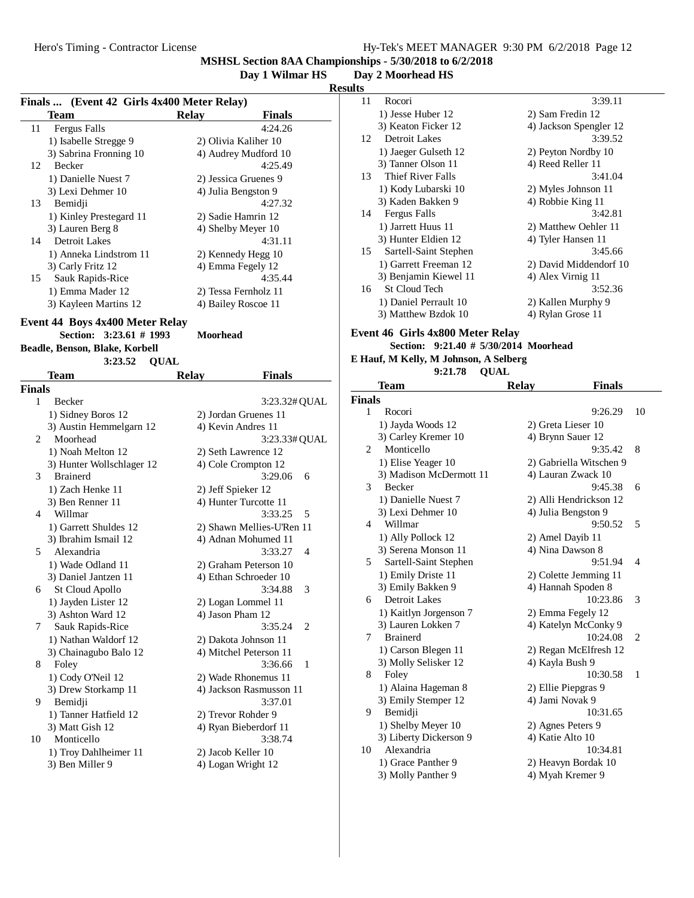**Day 1 Wilmar HS Day 2 Moorhead HS Results**

#### **Finals ... (Event 42 Girls 4x400 Meter Relay)**

| $\Gamma$ inais $\Gamma$ event 42 $\Gamma$ ulis 42400 metel Keiav) |                         |       |                      |
|-------------------------------------------------------------------|-------------------------|-------|----------------------|
|                                                                   | Team                    | Relay | <b>Finals</b>        |
| 11                                                                | Fergus Falls            |       | 4:24.26              |
|                                                                   | 1) Isabelle Stregge 9   |       | 2) Olivia Kaliher 10 |
|                                                                   | 3) Sabrina Fronning 10  |       | 4) Audrey Mudford 10 |
| 12                                                                | Becker                  |       | 4:25.49              |
|                                                                   | 1) Danielle Nuest 7     |       | 2) Jessica Gruenes 9 |
|                                                                   | 3) Lexi Dehmer 10       |       | 4) Julia Bengston 9  |
| 13                                                                | Bemidji                 |       | 4:27.32              |
|                                                                   | 1) Kinley Prestegard 11 |       | 2) Sadie Hamrin 12   |
|                                                                   | 3) Lauren Berg 8        |       | 4) Shelby Meyer 10   |
| 14                                                                | Detroit Lakes           |       | 4:31.11              |
|                                                                   | 1) Anneka Lindstrom 11  |       | 2) Kennedy Hegg 10   |
|                                                                   | 3) Carly Fritz 12       |       | 4) Emma Fegely 12    |
| 15                                                                | Sauk Rapids-Rice        |       | 4:35.44              |
|                                                                   | 1) Emma Mader 12        |       | 2) Tessa Fernholz 11 |
|                                                                   | 3) Kayleen Martins 12   |       | 4) Bailey Roscoe 11  |

#### **Event 44 Boys 4x400 Meter Relay**

**Section:** 3:23.61 # 1993 **Moorhead** 

#### **Beadle, Benson, Blake, Korbell**

# 3:23.52 **QUAL**

|               | <b>Team</b>               | <b>Relay</b> | <b>Finals</b>             |                |
|---------------|---------------------------|--------------|---------------------------|----------------|
| <b>Finals</b> |                           |              |                           |                |
| 1             | <b>Becker</b>             |              | 3:23.32# QUAL             |                |
|               | 1) Sidney Boros 12        |              | 2) Jordan Gruenes 11      |                |
|               | 3) Austin Hemmelgarn 12   |              | 4) Kevin Andres 11        |                |
| 2             | Moorhead                  |              | 3:23.33# OUAL             |                |
|               | 1) Noah Melton 12         |              | 2) Seth Lawrence 12       |                |
|               | 3) Hunter Wollschlager 12 |              | 4) Cole Crompton 12       |                |
| 3             | <b>Brainerd</b>           |              | 3:29.06                   | 6              |
|               | 1) Zach Henke 11          |              | 2) Jeff Spieker 12        |                |
|               | 3) Ben Renner 11          |              | 4) Hunter Turcotte 11     |                |
| 4             | Willmar                   |              | 3:33.25                   | 5              |
|               | 1) Garrett Shuldes 12     |              | 2) Shawn Mellies-U'Ren 11 |                |
|               | 3) Ibrahim Ismail 12      |              | 4) Adnan Mohumed 11       |                |
| 5             | Alexandria                |              | 3:33.27                   | $\overline{4}$ |
|               | 1) Wade Odland 11         |              | 2) Graham Peterson 10     |                |
|               | 3) Daniel Jantzen 11      |              | 4) Ethan Schroeder 10     |                |
| 6             | St Cloud Apollo           |              | 3:34.88                   | 3              |
|               | 1) Jayden Lister 12       |              | 2) Logan Lommel 11        |                |
|               | 3) Ashton Ward 12         |              | 4) Jason Pham 12          |                |
| 7             | Sauk Rapids-Rice          |              | 3:35.24                   | $\overline{2}$ |
|               | 1) Nathan Waldorf 12      |              | 2) Dakota Johnson 11      |                |
|               | 3) Chainagubo Balo 12     |              | 4) Mitchel Peterson 11    |                |
| 8             | Foley                     |              | 3:36.66                   | 1              |
|               | 1) Cody O'Neil 12         |              | 2) Wade Rhonemus 11       |                |
|               | 3) Drew Storkamp 11       |              | 4) Jackson Rasmusson 11   |                |
| 9             | Bemidji                   |              | 3:37.01                   |                |
|               | 1) Tanner Hatfield 12     |              | 2) Trevor Rohder 9        |                |
|               | 3) Matt Gish 12           |              | 4) Ryan Bieberdorf 11     |                |
| 10            | Monticello                |              | 3:38.74                   |                |
|               | 1) Troy Dahlheimer 11     |              | 2) Jacob Keller 10        |                |
|               | 3) Ben Miller 9           |              | 4) Logan Wright 12        |                |

| ເພ |                       |                        |
|----|-----------------------|------------------------|
| 11 | Rocori                | 3:39.11                |
|    | 1) Jesse Huber 12     | 2) Sam Fredin 12       |
|    | 3) Keaton Ficker 12   | 4) Jackson Spengler 12 |
| 12 | Detroit Lakes         | 3:39.52                |
|    | 1) Jaeger Gulseth 12  | 2) Peyton Nordby 10    |
|    | 3) Tanner Olson 11    | 4) Reed Reller 11      |
| 13 | Thief River Falls     | 3:41.04                |
|    | 1) Kody Lubarski 10   | 2) Myles Johnson 11    |
|    | 3) Kaden Bakken 9     | 4) Robbie King 11      |
| 14 | <b>Fergus Falls</b>   | 3:42.81                |
|    | 1) Jarrett Huus 11    | 2) Matthew Oehler 11   |
|    | 3) Hunter Eldien 12   | 4) Tyler Hansen 11     |
| 15 | Sartell-Saint Stephen | 3:45.66                |
|    | 1) Garrett Freeman 12 | 2) David Middendorf 10 |
|    | 3) Benjamin Kiewel 11 | 4) Alex Virnig 11      |
| 16 | <b>St Cloud Tech</b>  | 3:52.36                |
|    | 1) Daniel Perrault 10 | 2) Kallen Murphy 9     |
|    | 3) Matthew Bzdok 10   | 4) Rylan Grose 11      |
|    |                       |                        |

#### **Event 46 Girls 4x800 Meter Relay**

#### **Section: 9:21.40 # 5/30/2014 Moorhead**

**E Hauf, M Kelly, M Johnson, A Selberg 9:21.78 QUAL** 

|               | <b>Team</b>             | Relay            | Finals                  |                |
|---------------|-------------------------|------------------|-------------------------|----------------|
| <b>Finals</b> |                         |                  |                         |                |
| 1             | Rocori                  |                  | 9:26.29                 | 10             |
|               | 1) Jayda Woods 12       |                  | 2) Greta Lieser 10      |                |
|               | 3) Carley Kremer 10     |                  | 4) Brynn Sauer 12       |                |
| 2.            | Monticello              |                  | 9:35.42                 | 8              |
|               | 1) Elise Yeager 10      |                  | 2) Gabriella Witschen 9 |                |
|               | 3) Madison McDermott 11 |                  | 4) Lauran Zwack 10      |                |
| 3             | <b>Becker</b>           |                  | 9:45.38                 | 6              |
|               | 1) Danielle Nuest 7     |                  | 2) Alli Hendrickson 12  |                |
|               | 3) Lexi Dehmer 10       |                  | 4) Julia Bengston 9     |                |
| 4             | Willmar                 |                  | 9:50.52                 | 5              |
|               | 1) Ally Pollock 12      |                  | 2) Amel Dayib 11        |                |
|               | 3) Serena Monson 11     |                  | 4) Nina Dawson 8        |                |
| 5             | Sartell-Saint Stephen   |                  | 9:51.94                 | $\overline{4}$ |
|               | 1) Emily Driste 11      |                  | 2) Colette Jemming 11   |                |
|               | 3) Emily Bakken 9       |                  | 4) Hannah Spoden 8      |                |
| 6             | <b>Detroit Lakes</b>    |                  | 10:23.86                | 3              |
|               | 1) Kaitlyn Jorgenson 7  |                  | 2) Emma Fegely 12       |                |
|               | 3) Lauren Lokken 7      |                  | 4) Katelyn McConky 9    |                |
| 7             | <b>Brainerd</b>         |                  | 10:24.08                | $\overline{2}$ |
|               | 1) Carson Blegen 11     |                  | 2) Regan McElfresh 12   |                |
|               | 3) Molly Selisker 12    | 4) Kayla Bush 9  |                         |                |
| 8             | Foley                   |                  | 10:30.58                | 1              |
|               | 1) Alaina Hageman 8     |                  | 2) Ellie Piepgras 9     |                |
|               | 3) Emily Stemper 12     | 4) Jami Novak 9  |                         |                |
| 9             | Bemidji                 |                  | 10:31.65                |                |
|               | 1) Shelby Meyer 10      |                  | 2) Agnes Peters 9       |                |
|               | 3) Liberty Dickerson 9  | 4) Katie Alto 10 |                         |                |
| 10            | Alexandria              |                  | 10:34.81                |                |
|               | 1) Grace Panther 9      |                  | 2) Heavyn Bordak 10     |                |
|               | 3) Molly Panther 9      |                  | 4) Myah Kremer 9        |                |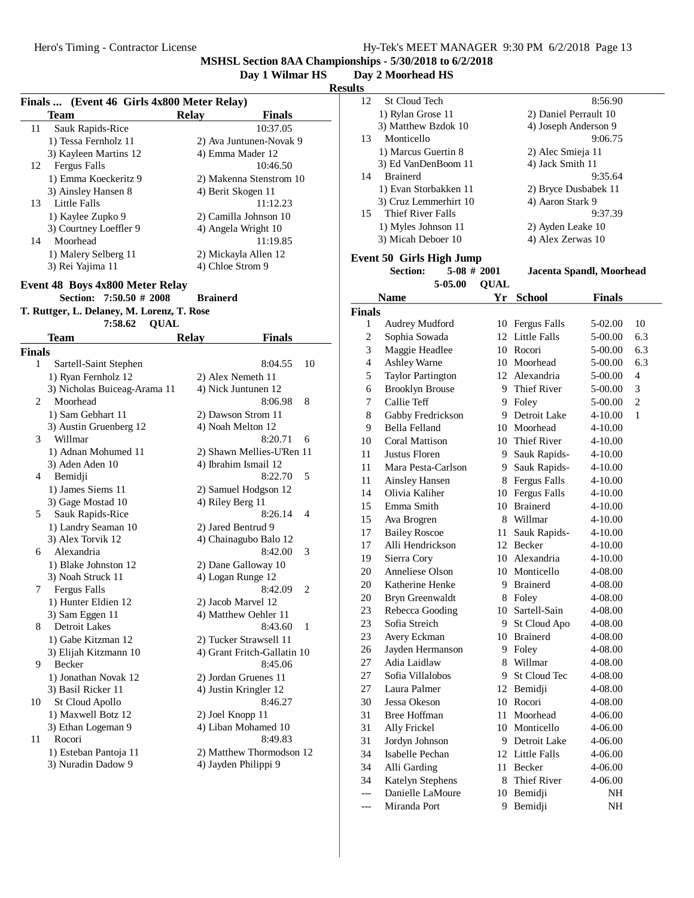### **Day 1 Wilmar HS Day 2 Moorhead HS**

**Results**

| Finals  (Event 46 Girls 4x800 Meter Relay) |  |  |  |  |
|--------------------------------------------|--|--|--|--|
|--------------------------------------------|--|--|--|--|

|                           | $(2.17777)$ $(0.1140)$ $(0.1100)$ $(1.1000)$ $(0.1100)$ |
|---------------------------|---------------------------------------------------------|
| Team                      | <b>Finals</b><br>Relay                                  |
| Sauk Rapids-Rice<br>11    | 10:37.05                                                |
| 1) Tessa Fernholz 11      | 2) Ava Juntunen-Novak 9                                 |
| 3) Kayleen Martins 12     | 4) Emma Mader 12                                        |
| <b>Fergus Falls</b><br>12 | 10:46.50                                                |
| 1) Emma Koeckeritz 9      | 2) Makenna Stenstrom 10                                 |
| 3) Ainsley Hansen 8       | 4) Berit Skogen 11                                      |
| Little Falls<br>13        | 11:12.23                                                |
| 1) Kaylee Zupko 9         | 2) Camilla Johnson 10                                   |
| 3) Courtney Loeffler 9    | 4) Angela Wright 10                                     |
| Moorhead<br>14            | 11:19.85                                                |
| 1) Malery Selberg 11      | 2) Mickayla Allen 12                                    |
| 3) Rei Yajima 11          | 4) Chloe Strom 9                                        |
|                           |                                                         |

#### **Event 48 Boys 4x800 Meter Relay**

#### **Section:** 7:50.50 # 2008 **Brainerd**

**T. Ruttger, L. Delaney, M. Lorenz, T. Rose**

**QUAL7:58.62**

| <b>Team</b> | Relav | <b>Finals</b> |
|-------------|-------|---------------|
|             |       |               |

| <b>Finals</b> |                              |                             |
|---------------|------------------------------|-----------------------------|
| $\mathbf{1}$  | Sartell-Saint Stephen        | 8:04.55<br>10               |
|               | 1) Ryan Fernholz 12          | 2) Alex Nemeth 11           |
|               | 3) Nicholas Buiceag-Arama 11 | 4) Nick Juntunen 12         |
| 2             | Moorhead                     | 8:06.98<br>8                |
|               | 1) Sam Gebhart 11            | 2) Dawson Strom 11          |
|               | 3) Austin Gruenberg 12       | 4) Noah Melton 12           |
| 3             | Willmar                      | 8:20.71<br>6                |
|               | 1) Adnan Mohumed 11          | 2) Shawn Mellies-U'Ren 11   |
|               | 3) Aden Aden 10              | 4) Ibrahim Ismail 12        |
| 4             | Bemidji                      | 8:22.70<br>5                |
|               | 1) James Siems 11            | 2) Samuel Hodgson 12        |
|               | 3) Gage Mostad 10            | 4) Riley Berg 11            |
| 5             | Sauk Rapids-Rice             | 8:26.14<br>4                |
|               | 1) Landry Seaman 10          | 2) Jared Bentrud 9          |
|               | 3) Alex Torvik 12            | 4) Chainagubo Balo 12       |
| 6.            | Alexandria                   | 8:42.00<br>3                |
|               | 1) Blake Johnston 12         | 2) Dane Galloway 10         |
|               | 3) Noah Struck 11            | 4) Logan Runge 12           |
| 7             | Fergus Falls                 | 8:42.09<br>$\overline{c}$   |
|               | 1) Hunter Eldien 12          | 2) Jacob Marvel 12          |
|               | 3) Sam Eggen 11              | 4) Matthew Oehler 11        |
| 8             | Detroit Lakes                | 8:43.60<br>1                |
|               | 1) Gabe Kitzman 12           | 2) Tucker Strawsell 11      |
|               | 3) Elijah Kitzmann 10        | 4) Grant Fritch-Gallatin 10 |
| 9             | <b>Becker</b>                | 8:45.06                     |
|               | 1) Jonathan Novak 12         | 2) Jordan Gruenes 11        |
|               | 3) Basil Ricker 11           | 4) Justin Kringler 12       |
| 10            | St Cloud Apollo              | 8:46.27                     |
|               | 1) Maxwell Botz 12           | 2) Joel Knopp 11            |
|               | 3) Ethan Logeman 9           | 4) Liban Mohamed 10         |
| 11            | Rocori                       | 8:49.83                     |
|               | 1) Esteban Pantoja 11        | 2) Matthew Thormodson 12    |
|               | 3) Nuradin Dadow 9           | 4) Jayden Philippi 9        |

| w  |                          |                       |
|----|--------------------------|-----------------------|
| 12 | <b>St Cloud Tech</b>     | 8:56.90               |
|    | 1) Rylan Grose 11        | 2) Daniel Perrault 10 |
|    | 3) Matthew Bzdok 10      | 4) Joseph Anderson 9  |
| 13 | Monticello               | 9:06.75               |
|    | 1) Marcus Guertin 8      | 2) Alec Smieja 11     |
|    | 3) Ed VanDenBoom 11      | 4) Jack Smith 11      |
| 14 | <b>Brainerd</b>          | 9:35.64               |
|    | 1) Evan Storbakken 11    | 2) Bryce Dusbabek 11  |
|    | 3) Cruz Lemmerhirt 10    | 4) Aaron Stark 9      |
| 15 | <b>Thief River Falls</b> | 9:37.39               |
|    | 1) Myles Johnson 11      | 2) Ayden Leake 10     |
|    | 3) Micah Deboer 10       | 4) Alex Zerwas 10     |
|    |                          |                       |

# **Event 50 Girls High Jump**<br>**Section:** 5-08 # 2001

**5-05.00 QUAL** 

**Section: 5-08 # 2001 Jacenta Spandl, Moorhead**

|                          | <b>Name</b>              |     | Yr School           | <b>Finals</b> |                |  |
|--------------------------|--------------------------|-----|---------------------|---------------|----------------|--|
| <b>Finals</b>            |                          |     |                     |               |                |  |
| 1                        | Audrey Mudford           |     | 10 Fergus Falls     | 5-02.00       | 10             |  |
| $\overline{c}$           | Sophia Sowada            |     | 12 Little Falls     | 5-00.00       | 6.3            |  |
| 3                        | Maggie Headlee           |     | 10 Rocori           | 5-00.00       | 6.3            |  |
| $\overline{\mathcal{L}}$ | Ashley Warne             |     | 10 Moorhead         | 5-00.00       | 6.3            |  |
| 5                        | <b>Taylor Partington</b> |     | 12 Alexandria       | 5-00.00       | $\overline{4}$ |  |
| 6                        | <b>Brooklyn Brouse</b>   | 9.  | <b>Thief River</b>  | 5-00.00       | 3              |  |
| 7                        | Callie Teff              | 9.  | Foley               | 5-00.00       | $\overline{c}$ |  |
| 8                        | Gabby Fredrickson        |     | 9 Detroit Lake      | 4-10.00       | $\mathbf{1}$   |  |
| 9                        | Bella Felland            |     | 10 Moorhead         | 4-10.00       |                |  |
| 10                       | <b>Coral Mattison</b>    |     | 10 Thief River      | 4-10.00       |                |  |
| 11                       | Justus Floren            | 9.  | Sauk Rapids-        | 4-10.00       |                |  |
| 11                       | Mara Pesta-Carlson       | 9   | Sauk Rapids-        | 4-10.00       |                |  |
| 11                       | <b>Ainsley Hansen</b>    | 8   | Fergus Falls        | 4-10.00       |                |  |
| 14                       | Olivia Kaliher           | 10  | <b>Fergus Falls</b> | 4-10.00       |                |  |
| 15                       | Emma Smith               |     | 10 Brainerd         | 4-10.00       |                |  |
| 15                       | Ava Brogren              | 8   | Willmar             | 4-10.00       |                |  |
| 17                       | <b>Bailey Roscoe</b>     | 11  | Sauk Rapids-        | 4-10.00       |                |  |
| 17                       | Alli Hendrickson         |     | 12 Becker           | $4 - 10.00$   |                |  |
| 19                       | Sierra Cory              |     | 10 Alexandria       | 4-10.00       |                |  |
| 20                       | Anneliese Olson          |     | 10 Monticello       | 4-08.00       |                |  |
| 20                       | Katherine Henke          |     | 9 Brainerd          | 4-08.00       |                |  |
| 20                       | Bryn Greenwaldt          |     | 8 Foley             | 4-08.00       |                |  |
| 23                       | Rebecca Gooding          |     | 10 Sartell-Sain     | 4-08.00       |                |  |
| 23                       | Sofia Streich            |     | 9 St Cloud Apo      | 4-08.00       |                |  |
| 23                       | Avery Eckman             |     | 10 Brainerd         | 4-08.00       |                |  |
| 26                       | Jayden Hermanson         | 9.  | Foley               | 4-08.00       |                |  |
| 27                       | Adia Laidlaw             | 8   | Willmar             | 4-08.00       |                |  |
| 27                       | Sofia Villalobos         | 9   | <b>St Cloud Tec</b> | 4-08.00       |                |  |
| 27                       | Laura Palmer             | 12  | Bemidji             | 4-08.00       |                |  |
| 30                       | Jessa Okeson             |     | 10 Rocori           | 4-08.00       |                |  |
| 31                       | <b>Bree Hoffman</b>      | 11. | Moorhead            | 4-06.00       |                |  |
| 31                       | Ally Frickel             |     | 10 Monticello       | 4-06.00       |                |  |
| 31                       | Jordyn Johnson           |     | 9 Detroit Lake      | 4-06.00       |                |  |
| 34                       | Isabelle Pechan          |     | 12 Little Falls     | 4-06.00       |                |  |
| 34                       | Alli Garding             | 11. | <b>Becker</b>       | 4-06.00       |                |  |
| 34                       | <b>Katelyn Stephens</b>  | 8   | <b>Thief River</b>  | 4-06.00       |                |  |
|                          | Danielle LaMoure         | 10  | Bemidji             | NΗ            |                |  |
| $---$                    | Miranda Port             | 9   | Bemidii             | NH            |                |  |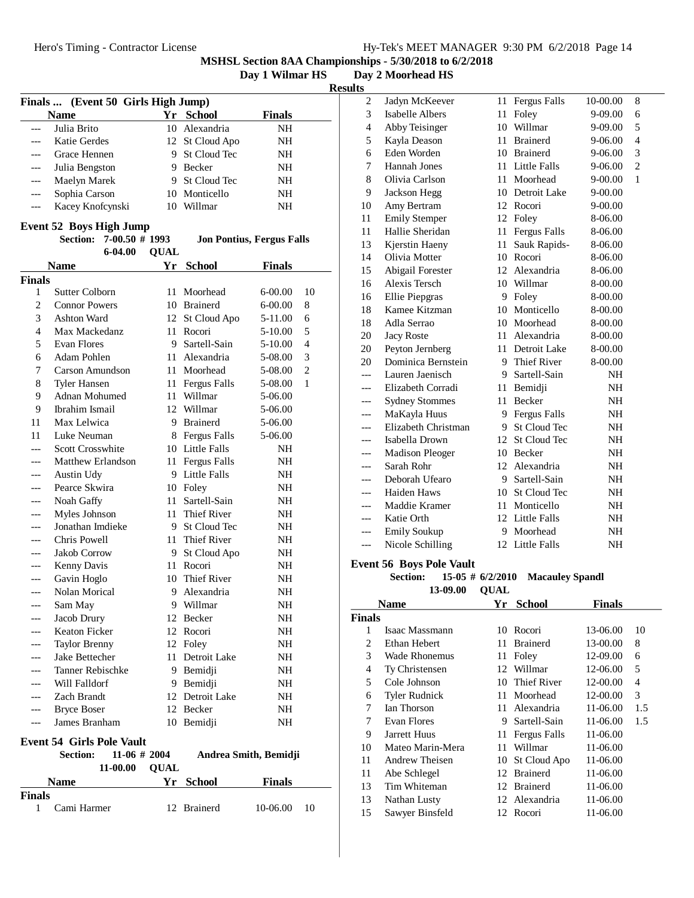**Day 1 Wilmar HS Day 2 Moorhead HS**

| <b>Results</b> |  |
|----------------|--|

| <b>Finals</b> | (Event 50 Girls High Jump)          |             |                       |                                  |
|---------------|-------------------------------------|-------------|-----------------------|----------------------------------|
|               | <b>Name</b>                         |             | Yr School             | <b>Finals</b>                    |
| $---$         | Julia Brito                         | 10          | Alexandria            | NH                               |
|               | <b>Katie Gerdes</b>                 |             | 12 St Cloud Apo       | NΗ                               |
| $---$         | Grace Hennen                        | 9.          | St Cloud Tec          | NΗ                               |
| ---           | Julia Bengston                      |             | 9 Becker              | NΗ                               |
| ---           | Maelyn Marek                        |             | 9 St Cloud Tec        | NH                               |
|               | Sophia Carson                       |             | 10 Monticello         | NH                               |
| ---           | Kacey Knofcynski                    |             | 10 Willmar            | NΗ                               |
|               |                                     |             |                       |                                  |
|               | <b>Event 52 Boys High Jump</b>      |             |                       |                                  |
|               | $7-00.50$ # 1993<br><b>Section:</b> |             |                       | <b>Jon Pontius, Fergus Falls</b> |
|               | 6-04.00                             | <b>QUAL</b> |                       |                                  |
|               | Name                                | Yr          | <b>School</b>         | <b>Finals</b>                    |
| <b>Finals</b> |                                     |             |                       |                                  |
| 1             | Sutter Colborn                      | 11          | Moorhead              | 6-00.00<br>10                    |
| 2             | <b>Connor Powers</b>                |             | 10 Brainerd           | 6-00.00<br>8                     |
| 3             | Ashton Ward                         |             | 12 St Cloud Apo       | 5-11.00<br>6                     |
| 4             | Max Mackedanz                       | 11 -        | Rocori                | 5<br>5-10.00                     |
| 5             | Evan Flores                         |             | 9 Sartell-Sain        | 4<br>5-10.00                     |
| 6             | Adam Pohlen                         |             | 11 Alexandria         | 3<br>5-08.00                     |
| 7             | Carson Amundson                     |             | 11 Moorhead           | $\overline{2}$<br>5-08.00        |
| 8             | <b>Tyler Hansen</b>                 |             | 11 Fergus Falls       | 1<br>5-08.00                     |
| 9             | Adnan Mohumed                       |             | 11 Willmar            | 5-06.00                          |
| 9             | Ibrahim Ismail                      |             | 12 Willmar            | 5-06.00                          |
| 11            | Max Lelwica                         |             | 9 Brainerd            | 5-06.00                          |
| 11            | Luke Neuman                         |             | 8 Fergus Falls        | 5-06.00                          |
|               | Scott Crosswhite                    |             | 10 Little Falls       | NΗ                               |
| ---           | Matthew Erlandson                   |             | 11 Fergus Falls       | NH                               |
|               | Austin Udy                          |             | 9 Little Falls        | NΗ                               |
|               | Pearce Skwira                       |             | 10 Foley              | NH                               |
| ---           | Noah Gaffy                          |             | 11 Sartell-Sain       | NH                               |
| ---           | Myles Johnson                       |             | 11 Thief River        | NH                               |
|               | Jonathan Imdieke                    |             | 9 St Cloud Tec        | NH                               |
|               | Chris Powell                        | 11          | Thief River           | NH                               |
| ---           | Jakob Corrow                        | 9           | St Cloud Apo          | NH                               |
| ---           | Kenny Davis                         | 11          | Rocori                | NH                               |
| ---           | Gavin Hoglo                         | 10          | Thief River           | ΝH                               |
| ---           | Nolan Morical                       | 9           | Alexandria            | NΗ                               |
|               | Sam May                             | 9.          | Willmar               | NH                               |
| ---           | Jacob Drury                         | 12          | Becker                | NH                               |
|               | <b>Keaton Ficker</b>                |             | 12 Rocori             | NH                               |
|               | <b>Taylor Brenny</b>                |             | 12 Foley              | NH                               |
|               | Jake Bettecher                      |             | 11 Detroit Lake       | NH                               |
|               | Tanner Rebischke                    |             | 9 Bemidji             | NΗ                               |
|               | Will Falldorf                       |             | 9 Bemidji             | NH                               |
|               | Zach Brandt                         |             | 12 Detroit Lake       | NH                               |
| ---           | <b>Bryce Boser</b>                  |             | 12 Becker             | NH                               |
| ---           | James Branham                       |             | 10 Bemidji            | NΗ                               |
|               |                                     |             |                       |                                  |
|               | <b>Event 54 Girls Pole Vault</b>    |             |                       |                                  |
|               | $11-06 \# 2004$<br><b>Section:</b>  |             | Andrea Smith, Bemidji |                                  |
|               | 11-00.00                            | <b>QUAL</b> |                       |                                  |
|               | <b>Name</b>                         |             | Yr School             | <b>Finals</b>                    |
| <b>Finals</b> |                                     |             |                       |                                  |

1 Cami Harmer 12 Brainerd 10-06.00 10

| $\overline{\mathbf{c}}$ | Jadyn McKeever                  | 11                 | Fergus Falls           | 10-00.00      | 8              |  |
|-------------------------|---------------------------------|--------------------|------------------------|---------------|----------------|--|
| 3                       | Isabelle Albers                 | 11                 | Foley                  | 9-09.00       | 6              |  |
| $\overline{\mathbf{4}}$ | Abby Teisinger                  | 10                 | Willmar                | 9-09.00       | 5              |  |
| 5                       | Kayla Deason                    | 11                 | <b>Brainerd</b>        | 9-06.00       | $\overline{4}$ |  |
| 6                       | Eden Worden                     |                    | 10 Brainerd            | 9-06.00       | 3              |  |
| 7                       | <b>Hannah Jones</b>             |                    | 11 Little Falls        | 9-06.00       | $\overline{c}$ |  |
| 8                       | Olivia Carlson                  |                    | 11 Moorhead            | 9-00.00       | 1              |  |
| 9                       | Jackson Hegg                    |                    | 10 Detroit Lake        | 9-00.00       |                |  |
| 10                      | Amy Bertram                     |                    | 12 Rocori              | 9-00.00       |                |  |
| 11                      | <b>Emily Stemper</b>            |                    | 12 Foley               | 8-06.00       |                |  |
| 11                      | Hallie Sheridan                 | 11                 | <b>Fergus Falls</b>    | 8-06.00       |                |  |
| 13                      | Kjerstin Haeny                  | 11                 | Sauk Rapids-           | 8-06.00       |                |  |
| 14                      | Olivia Motter                   |                    | 10 Rocori              | 8-06.00       |                |  |
| 15                      | Abigail Forester                |                    | 12 Alexandria          | 8-06.00       |                |  |
| 16                      | Alexis Tersch                   |                    | 10 Willmar             | 8-00.00       |                |  |
| 16                      | Ellie Piepgras                  |                    | 9 Foley                | 8-00.00       |                |  |
| 18                      | Kamee Kitzman                   |                    | 10 Monticello          | 8-00.00       |                |  |
| 18                      | Adla Serrao                     |                    | 10 Moorhead            | 8-00.00       |                |  |
| 20                      | <b>Jacy Roste</b>               |                    | 11 Alexandria          | 8-00.00       |                |  |
| 20                      | Peyton Jernberg                 |                    | 11 Detroit Lake        | 8-00.00       |                |  |
| 20                      | Dominica Bernstein              |                    | 9 Thief River          | 8-00.00       |                |  |
| $---$                   | Lauren Jaenisch                 |                    | 9 Sartell-Sain         | NH            |                |  |
| ---                     | Elizabeth Corradi               |                    | 11 Bemidji             | NΗ            |                |  |
| ---                     | <b>Sydney Stommes</b>           | 11.                | Becker                 | NΗ            |                |  |
| ---                     | MaKayla Huus                    | 9                  | Fergus Falls           | NΗ            |                |  |
| ---                     | Elizabeth Christman             |                    | 9 St Cloud Tec         | NΗ            |                |  |
| $---$                   | Isabella Drown                  |                    | 12 St Cloud Tec        | NΗ            |                |  |
| ---                     | <b>Madison Pleoger</b>          |                    | 10 Becker              | NΗ            |                |  |
| ---                     | Sarah Rohr                      |                    | 12 Alexandria          | NΗ            |                |  |
| ---                     | Deborah Ufearo                  | 9.                 | Sartell-Sain           | NΗ            |                |  |
| $---$                   | Haiden Haws                     |                    | 10 St Cloud Tec        | NΗ            |                |  |
| $---$                   | Maddie Kramer                   |                    | 11 Monticello          | NH            |                |  |
| $\overline{a}$          | Katie Orth                      |                    | 12 Little Falls        | NΗ            |                |  |
| $---$                   | <b>Emily Soukup</b>             |                    | 9 Moorhead             | NΗ            |                |  |
| $---$                   | Nicole Schilling                |                    | 12 Little Falls        | NΗ            |                |  |
|                         | <b>Event 56 Boys Pole Vault</b> |                    |                        |               |                |  |
|                         | <b>Section:</b>                 | $15-05$ # 6/2/2010 | <b>Macauley Spandl</b> |               |                |  |
|                         | 13-09.00                        | <b>QUAL</b>        |                        |               |                |  |
|                         | <b>Name</b>                     |                    | Yr School              | <b>Finals</b> |                |  |
| <b>Finals</b>           |                                 |                    |                        |               |                |  |
| 1                       | Isaac Massmann                  |                    | 10 Rocori              | 13-06.00      | 10             |  |
| $\mathcal{D}$           | Ethan Hebert                    |                    | 11 Rrainerd            | $13-00.00$    | $\mathbf{Q}$   |  |
|                         |                                 |                    |                        |               |                |  |

| 1              | Isaac Massmann       |    | 10 Rocori       | 13-06.00 | 10             |
|----------------|----------------------|----|-----------------|----------|----------------|
| 2              | Ethan Hebert         |    | 11 Brainerd     | 13-00.00 | 8              |
| 3              | <b>Wade Rhonemus</b> |    | 11 Foley        | 12-09.00 | 6              |
| $\overline{4}$ | Ty Christensen       |    | 12 Willmar      | 12-06.00 | 5              |
| 5              | Cole Johnson         |    | 10 Thief River  | 12-00.00 | $\overline{4}$ |
| 6              | <b>Tyler Rudnick</b> | 11 | Moorhead        | 12-00.00 | 3              |
| 7              | Ian Thorson          | 11 | Alexandria      | 11-06.00 | 1.5            |
| 7              | Evan Flores          | 9. | Sartell-Sain    | 11-06.00 | 1.5            |
| 9              | Jarrett Huus         |    | 11 Fergus Falls | 11-06.00 |                |
| 10             | Mateo Marin-Mera     | 11 | Willmar         | 11-06.00 |                |
| 11             | Andrew Theisen       |    | 10 St Cloud Apo | 11-06.00 |                |
| 11             | Abe Schlegel         |    | 12 Brainerd     | 11-06.00 |                |
| 13             | Tim Whiteman         |    | 12 Brainerd     | 11-06.00 |                |
| 13             | Nathan Lusty         |    | 12 Alexandria   | 11-06.00 |                |
| 15             | Sawyer Binsfeld      |    | 12 Rocori       | 11-06.00 |                |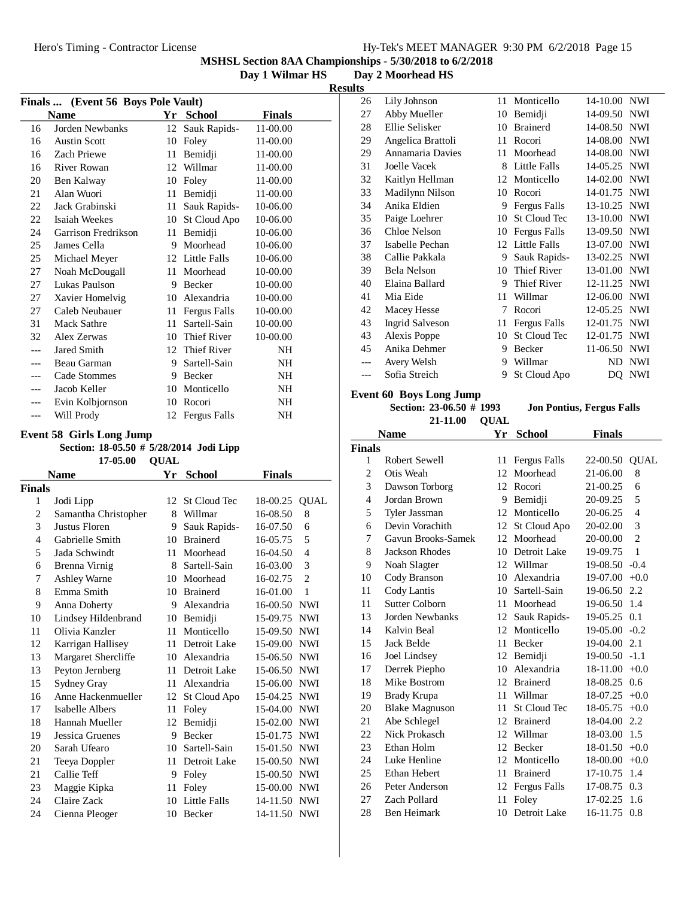Day 2 Moorhead HS

**Results**

|     | Finals  (Event 56 Boys Pole Vault) |    |                    |               |
|-----|------------------------------------|----|--------------------|---------------|
|     | <b>Name</b>                        | Yr | <b>School</b>      | <b>Finals</b> |
| 16  | Jorden Newbanks                    | 12 | Sauk Rapids-       | 11-00.00      |
| 16  | <b>Austin Scott</b>                | 10 | Foley              | 11-00.00      |
| 16  | <b>Zach Priewe</b>                 | 11 | Bemidji            | 11-00.00      |
| 16  | River Rowan                        | 12 | Willmar            | 11-00.00      |
| 20  | Ben Kalway                         | 10 | Foley              | 11-00.00      |
| 21  | Alan Wuori                         | 11 | Bemidji            | 11-00.00      |
| 22  | Jack Grabinski                     | 11 | Sauk Rapids-       | 10-06.00      |
| 22  | Isaiah Weekes                      | 10 | St Cloud Apo       | 10-06.00      |
| 24  | Garrison Fredrikson                | 11 | Bemidji            | 10-06.00      |
| 25  | James Cella                        | 9  | Moorhead           | 10-06.00      |
| 25  | Michael Meyer                      |    | 12 Little Falls    | 10-06.00      |
| 27  | Noah McDougall                     | 11 | Moorhead           | 10-00.00      |
| 27  | Lukas Paulson                      | 9  | Becker             | 10-00.00      |
| 27  | Xavier Homelvig                    | 10 | Alexandria         | 10-00.00      |
| 27  | Caleb Neubauer                     | 11 | Fergus Falls       | 10-00.00      |
| 31  | Mack Sathre                        | 11 | Sartell-Sain       | 10-00.00      |
| 32  | Alex Zerwas                        | 10 | <b>Thief River</b> | 10-00.00      |
| --- | Jared Smith                        | 12 | Thief River        | NH            |
|     | Beau Garman                        | 9  | Sartell-Sain       | NH            |
|     | Cade Stommes                       | 9  | Becker             | NH            |
| --- | Jacob Keller                       | 10 | Monticello         | NH            |
|     | Evin Kolbjornson                   | 10 | Rocori             | NΗ            |
| --- | Will Prody                         |    | 12 Fergus Falls    | NΗ            |

#### **Event 58 Girls Long Jump**

#### Section: 18-05.50 # 5/28/2014 Jodi Lipp **QUAL17-05.00**

|                | <b>Name</b>          | Yr | <b>School</b>       | <b>Finals</b> |                |
|----------------|----------------------|----|---------------------|---------------|----------------|
| <b>Finals</b>  |                      |    |                     |               |                |
| 1              | Jodi Lipp            | 12 | <b>St Cloud Tec</b> | 18-00.25      | <b>QUAL</b>    |
| 2              | Samantha Christopher | 8  | Willmar             | 16-08.50      | 8              |
| 3              | Justus Floren        | 9  | Sauk Rapids-        | 16-07.50      | 6              |
| $\overline{4}$ | Gabrielle Smith      | 10 | <b>Brainerd</b>     | 16-05.75      | 5              |
| 5              | Jada Schwindt        | 11 | Moorhead            | 16-04.50      | $\overline{4}$ |
| 6              | Brenna Virnig        | 8  | Sartell-Sain        | 16-03.00      | 3              |
| 7              | <b>Ashley Warne</b>  | 10 | Moorhead            | 16-02.75      | $\overline{c}$ |
| 8              | Emma Smith           |    | 10 Brainerd         | 16-01.00      | 1              |
| 9              | Anna Doherty         | 9  | Alexandria          | 16-00.50      | <b>NWI</b>     |
| 10             | Lindsey Hildenbrand  | 10 | Bemidji             | 15-09.75      | <b>NWI</b>     |
| 11             | Olivia Kanzler       | 11 | Monticello          | 15-09.50      | <b>NWI</b>     |
| 12             | Karrigan Hallisey    | 11 | Detroit Lake        | 15-09.00      | <b>NWI</b>     |
| 13             | Margaret Shercliffe  | 10 | Alexandria          | 15-06.50      | <b>NWI</b>     |
| 13             | Peyton Jernberg      | 11 | Detroit Lake        | 15-06.50      | <b>NWI</b>     |
| 15             | Sydney Gray          | 11 | Alexandria          | 15-06.00      | <b>NWI</b>     |
| 16             | Anne Hackenmueller   |    | 12 St Cloud Apo     | 15-04.25      | <b>NWI</b>     |
| 17             | Isabelle Albers      | 11 | Foley               | 15-04.00      | <b>NWI</b>     |
| 18             | Hannah Mueller       | 12 | Bemidji             | 15-02.00      | <b>NWI</b>     |
| 19             | Jessica Gruenes      | 9  | Becker              | 15-01.75      | <b>NWI</b>     |
| 20             | Sarah Ufearo         | 10 | Sartell-Sain        | 15-01.50      | <b>NWI</b>     |
| 21             | Teeya Doppler        | 11 | Detroit Lake        | 15-00.50      | <b>NWI</b>     |
| 21             | Callie Teff          | 9  | Foley               | 15-00.50      | <b>NWI</b>     |
| 23             | Maggie Kipka         | 11 | Foley               | 15-00.00      | <b>NWI</b>     |
| 24             | Claire Zack          | 10 | <b>Little Falls</b> | 14-11.50      | <b>NWI</b>     |
| 24             | Cienna Pleoger       | 10 | Becker              | 14-11.50      | <b>NWI</b>     |

| 26    | Lily Johnson           | 11 | Monticello          | 14-10.00 NWI |            |
|-------|------------------------|----|---------------------|--------------|------------|
| 27    | Abby Mueller           | 10 | Bemidji             | 14-09.50     | <b>NWI</b> |
| 28    | Ellie Selisker         | 10 | Brainerd            | 14-08.50     | <b>NWI</b> |
| 29    | Angelica Brattoli      | 11 | Rocori              | 14-08.00 NWI |            |
| 29    | Annamaria Davies       | 11 | Moorhead            | 14-08.00     | <b>NWI</b> |
| 31    | <b>Joelle Vacek</b>    | 8  | Little Falls        | 14-05.25     | <b>NWI</b> |
| 32    | Kaitlyn Hellman        |    | 12 Monticello       | 14-02.00     | <b>NWI</b> |
| 33    | Madilynn Nilson        | 10 | Rocori              | 14-01.75     | <b>NWI</b> |
| 34    | Anika Eldien           | 9  | Fergus Falls        | 13-10.25     | <b>NWI</b> |
| 35    | Paige Loehrer          | 10 | <b>St Cloud Tec</b> | 13-10.00     | <b>NWI</b> |
| 36    | Chloe Nelson           | 10 | Fergus Falls        | 13-09.50     | <b>NWI</b> |
| 37    | Isabelle Pechan        | 12 | Little Falls        | 13-07.00     | <b>NWI</b> |
| 38    | Callie Pakkala         | 9  | Sauk Rapids-        | 13-02.25     | <b>NWI</b> |
| 39    | Bela Nelson            | 10 | Thief River         | 13-01.00     | <b>NWI</b> |
| 40    | Elaina Ballard         | 9  | Thief River         | 12-11.25 NWI |            |
| 41    | Mia Eide               | 11 | Willmar             | 12-06.00     | <b>NWI</b> |
| 42    | Macey Hesse            | 7  | Rocori              | 12-05.25     | <b>NWI</b> |
| 43    | <b>Ingrid Salveson</b> | 11 | Fergus Falls        | 12-01.75     | <b>NWI</b> |
| 43    | Alexis Poppe           | 10 | St Cloud Tec        | 12-01.75     | <b>NWI</b> |
| 45    | Anika Dehmer           | 9  | Becker              | 11-06.50     | <b>NWI</b> |
| $---$ | Avery Welsh            | 9  | Willmar             | ND           | <b>NWI</b> |
| ---   | Sofia Streich          | 9  | St Cloud Apo        |              | DQ NWI     |

# **Event 60 Boys Long Jump**<br>**Section: 23-06.50** # 1993

**Section: 23-06.50 # 1993 Jon Pontius, Fergus Falls**

**QUAL21-11.00**

|                | <b>Name</b>           | Yr | <b>School</b>       | <b>Finals</b>   |                |
|----------------|-----------------------|----|---------------------|-----------------|----------------|
| <b>Finals</b>  |                       |    |                     |                 |                |
| 1              | Robert Sewell         | 11 | Fergus Falls        | 22-00.50        | <b>QUAL</b>    |
| $\overline{2}$ | Otis Weah             | 12 | Moorhead            | 21-06.00        | 8              |
| 3              | Dawson Torborg        | 12 | Rocori              | 21-00.25        | 6              |
| $\overline{4}$ | Jordan Brown          | 9  | Bemidji             | 20-09.25        | 5              |
| 5              | Tyler Jassman         | 12 | Monticello          | 20-06.25        | 4              |
| 6              | Devin Vorachith       | 12 | St Cloud Apo        | 20-02.00        | 3              |
| 7              | Gavun Brooks-Samek    | 12 | Moorhead            | 20-00.00        | $\overline{2}$ |
| 8              | Jackson Rhodes        | 10 | Detroit Lake        | 19-09.75        | $\mathbf{1}$   |
| 9              | Noah Slagter          | 12 | Willmar             | 19-08.50        | $-0.4$         |
| 10             | Cody Branson          | 10 | Alexandria          | 19-07.00        | $+0.0$         |
| 11             | Cody Lantis           | 10 | Sartell-Sain        | 19-06.50        | 2.2            |
| 11             | <b>Sutter Colborn</b> | 11 | Moorhead            | 19-06.50        | 1.4            |
| 13             | Jorden Newbanks       | 12 | Sauk Rapids-        | 19-05.25        | 0.1            |
| 14             | Kalvin Beal           | 12 | Monticello          | $19-05.00 -0.2$ |                |
| 15             | Jack Belde            | 11 | <b>Becker</b>       | 19-04.00        | 2.1            |
| 16             | Joel Lindsey          | 12 | Bemidji             | 19-00.50        | $-1.1$         |
| 17             | Derrek Piepho         | 10 | Alexandria          | 18-11.00        | $+0.0$         |
| 18             | Mike Bostrom          | 12 | <b>Brainerd</b>     | 18-08.25        | 0.6            |
| 19             | Brady Krupa           | 11 | Willmar             | 18-07.25        | $+0.0$         |
| 20             | <b>Blake Magnuson</b> | 11 | <b>St Cloud Tec</b> | 18-05.75        | $+0.0$         |
| 21             | Abe Schlegel          | 12 | <b>Brainerd</b>     | 18-04.00        | 2.2            |
| 22             | Nick Prokasch         | 12 | Willmar             | 18-03.00        | 1.5            |
| 23             | Ethan Holm            | 12 | <b>Becker</b>       | 18-01.50        | $+0.0$         |
| 24             | Luke Henline          | 12 | Monticello          | 18-00.00        | $+0.0$         |
| 25             | <b>Ethan Hebert</b>   | 11 | <b>Brainerd</b>     | 17-10.75        | 1.4            |
| 26             | Peter Anderson        | 12 | Fergus Falls        | 17-08.75        | 0.3            |
| 27             | Zach Pollard          | 11 | Foley               | 17-02.25        | 1.6            |
| 28             | Ben Heimark           | 10 | Detroit Lake        | 16-11.75        | 0.8            |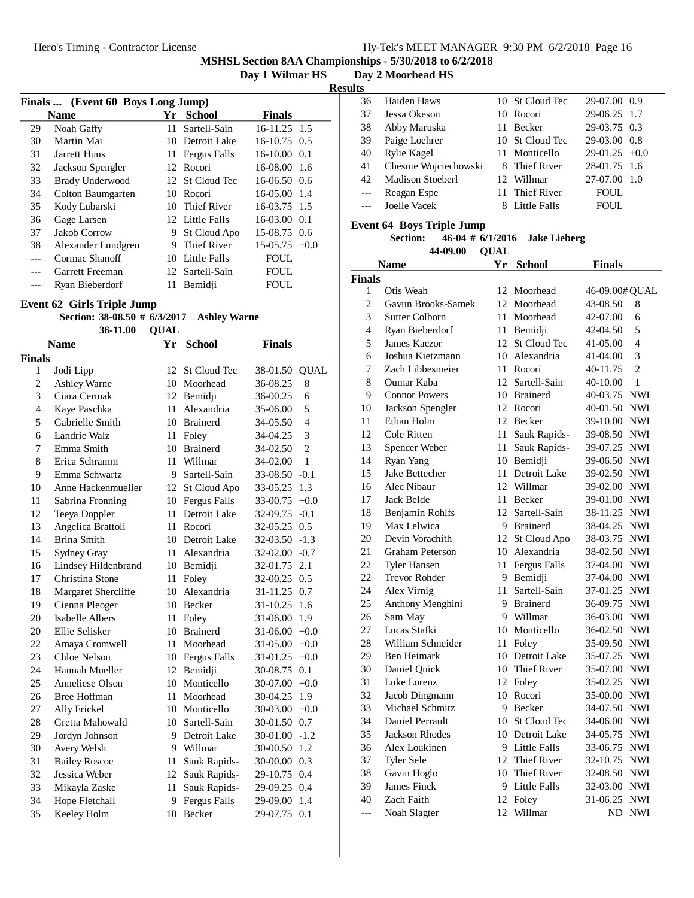**Day 2 Moorhead HS** 

**Results**

|    | Finals  (Event 60 Boys Long Jump) |    |                 |                 |
|----|-----------------------------------|----|-----------------|-----------------|
|    | <b>Name</b>                       | Yr | School          | <b>Finals</b>   |
| 29 | Noah Gaffy                        | 11 | Sartell-Sain    | 16-11.25 1.5    |
| 30 | Martin Mai                        |    | 10 Detroit Lake | $16-10.75$ 0.5  |
| 31 | Jarrett Huus                      |    | 11 Fergus Falls | $16-10.00$ 0.1  |
| 32 | Jackson Spengler                  |    | 12 Rocori       | $16-08.00$ 1.6  |
| 33 | <b>Brady Underwood</b>            |    | 12 St Cloud Tec | $16-06.50$ 0.6  |
| 34 | Colton Baumgarten                 |    | 10 Rocori       | $16-05.00$ 1.4  |
| 35 | Kody Lubarski                     |    | 10 Thief River  | $16-03.75$ 1.5  |
| 36 | Gage Larsen                       |    | 12 Little Falls | $16-03.00$ 0.1  |
| 37 | Jakob Corrow                      | 9. | St Cloud Apo    | 15-08.75 0.6    |
| 38 | Alexander Lundgren                | 9  | Thief River     | $15-05.75 +0.0$ |
|    | Cormac Shanoff                    |    | 10 Little Falls | <b>FOUL</b>     |
|    | Garrett Freeman                   |    | 12 Sartell-Sain | <b>FOUL</b>     |
|    | Ryan Bieberdorf                   | 11 | Bemidji         | FOUL            |

#### **Event 62 Girls Triple Jump**

| Section: 38-08.50 # 6/3/2017 Ashley Warne |               |  |  |
|-------------------------------------------|---------------|--|--|
|                                           | 36-11.00 OUAL |  |  |

|                | <b>Name</b>            | Yr | <b>School</b>       | <b>Finals</b> |                |
|----------------|------------------------|----|---------------------|---------------|----------------|
| <b>Finals</b>  |                        |    |                     |               |                |
| 1              | Jodi Lipp              | 12 | St Cloud Tec        | 38-01.50      | <b>QUAL</b>    |
| $\overline{c}$ | Ashley Warne           | 10 | Moorhead            | 36-08.25      | 8              |
| 3              | Ciara Cermak           | 12 | Bemidii             | 36-00.25      | 6              |
| 4              | Kaye Paschka           | 11 | Alexandria          | 35-06.00      | 5              |
| 5              | Gabrielle Smith        | 10 | <b>Brainerd</b>     | 34-05.50      | $\overline{4}$ |
| 6              | Landrie Walz           | 11 | Foley               | 34-04.25      | 3              |
| 7              | Emma Smith             | 10 | <b>Brainerd</b>     | 34-02.50      | $\overline{c}$ |
| 8              | Erica Schramm          | 11 | Willmar             | 34-02.00      | 1              |
| 9              | Emma Schwartz          | 9  | Sartell-Sain        | 33-08.50      | $-0.1$         |
| 10             | Anne Hackenmueller     | 12 | St Cloud Apo        | 33-05.25      | 1.3            |
| 11             | Sabrina Fronning       | 10 | Fergus Falls        | 33-00.75      | $+0.0$         |
| 12             | Teeya Doppler          | 11 | Detroit Lake        | 32-09.75      | $-0.1$         |
| 13             | Angelica Brattoli      | 11 | Rocori              | 32-05.25      | 0.5            |
| 14             | <b>Brina Smith</b>     |    | 10 Detroit Lake     | 32-03.50      | $-1.3$         |
| 15             | Sydney Gray            | 11 | Alexandria          | 32-02.00      | $-0.7$         |
| 16             | Lindsey Hildenbrand    |    | 10 Bemidji          | 32-01.75      | 2.1            |
| 17             | Christina Stone        | 11 | Foley               | 32-00.25      | 0.5            |
| 18             | Margaret Shercliffe    | 10 | Alexandria          | 31-11.25      | 0.7            |
| 19             | Cienna Pleoger         | 10 | Becker              | 31-10.25      | 1.6            |
| 20             | <b>Isabelle Albers</b> | 11 | Foley               | 31-06.00      | 1.9            |
| 20             | Ellie Selisker         | 10 | <b>Brainerd</b>     | 31-06.00      | $+0.0$         |
| 22             | Amaya Cromwell         | 11 | Moorhead            | 31-05.00      | $+0.0$         |
| 23             | Chloe Nelson           | 10 | <b>Fergus Falls</b> | 31-01.25      | $+0.0$         |
| 24             | Hannah Mueller         | 12 | Bemidii             | 30-08.75      | 0.1            |
| 25             | Anneliese Olson        | 10 | Monticello          | 30-07.00      | $+0.0$         |
| 26             | Bree Hoffman           | 11 | Moorhead            | 30-04.25      | 1.9            |
| 27             | Ally Frickel           |    | 10 Monticello       | 30-03.00      | $+0.0$         |
| 28             | Gretta Mahowald        |    | 10 Sartell-Sain     | 30-01.50      | 0.7            |
| 29             | Jordyn Johnson         | 9  | Detroit Lake        | 30-01.00      | $-1.2$         |
| 30             | Avery Welsh            | 9  | Willmar             | 30-00.50      | 1.2            |
| 31             | <b>Bailey Roscoe</b>   | 11 | Sauk Rapids-        | 30-00.00      | 0.3            |
| 32             | Jessica Weber          | 12 | Sauk Rapids-        | 29-10.75      | 0.4            |
| 33             | Mikayla Zaske          | 11 | Sauk Rapids-        | 29-09.25      | 0.4            |
| 34             | Hope Fletchall         | 9  | <b>Fergus Falls</b> | 29-09.00      | 1.4            |
| 35             | Keeley Holm            | 10 | <b>Becker</b>       | 29-07.75      | 0.1            |

| 36 | Haiden Haws           | 10 St Cloud Tec | 29-07.00 0.9    |  |
|----|-----------------------|-----------------|-----------------|--|
| 37 | Jessa Okeson          | 10 Rocori       | 29-06.25 1.7    |  |
| 38 | Abby Maruska          | 11 Becker       | 29-03.75 0.3    |  |
| 39 | Paige Loehrer         | 10 St Cloud Tec | 29-03.00 0.8    |  |
| 40 | Rylie Kagel           | 11 Monticello   | $29-01.25 +0.0$ |  |
| 41 | Chesnie Wojciechowski | 8 Thief River   | 28-01.75 1.6    |  |
| 42 | Madison Stoeberl      | 12 Willmar      | $27-07.00$ 1.0  |  |
|    | Reagan Espe           | 11 Thief River  | FOUL.           |  |
|    | Joelle Vacek          | 8 Little Falls  | FOUL.           |  |
|    |                       |                 |                 |  |

### **Event 64 Boys Triple Jump**

**Section:** 46-04 #  $\overline{6}/1/2016$  Jake Lieberg **QUAL44-09.00**

|                | Name                   | Yr | <b>School</b>       | <b>Finals</b>  |                |
|----------------|------------------------|----|---------------------|----------------|----------------|
| <b>Finals</b>  |                        |    |                     |                |                |
| 1              | Otis Weah              | 12 | Moorhead            | 46-09.00# QUAL |                |
| $\overline{c}$ | Gavun Brooks-Samek     | 12 | Moorhead            | 43-08.50       | 8              |
| 3              | <b>Sutter Colborn</b>  | 11 | Moorhead            | 42-07.00       | 6              |
| 4              | Ryan Bieberdorf        | 11 | Bemidji             | 42-04.50       | 5              |
| 5              | <b>James Kaczor</b>    | 12 | St Cloud Tec        | 41-05.00       | 4              |
| 6              | Joshua Kietzmann       | 10 | Alexandria          | 41-04.00       | 3              |
| 7              | Zach Libbesmeier       | 11 | Rocori              | 40-11.75       | $\overline{2}$ |
| 8              | Oumar Kaba             | 12 | Sartell-Sain        | 40-10.00       | $\mathbf{1}$   |
| 9              | <b>Connor Powers</b>   | 10 | <b>Brainerd</b>     | 40-03.75       | <b>NWI</b>     |
| 10             | Jackson Spengler       | 12 | Rocori              | 40-01.50       | <b>NWI</b>     |
| 11             | Ethan Holm             | 12 | Becker              | 39-10.00       | <b>NWI</b>     |
| 12             | Cole Ritten            | 11 | Sauk Rapids-        | 39-08.50       | <b>NWI</b>     |
| 13             | Spencer Weber          | 11 | Sauk Rapids-        | 39-07.25       | <b>NWI</b>     |
| 14             | Ryan Yang              | 10 | Bemidji             | 39-06.50       | <b>NWI</b>     |
| 15             | Jake Bettecher         | 11 | Detroit Lake        | 39-02.50       | <b>NWI</b>     |
| 16             | Alec Nibaur            | 12 | Willmar             | 39-02.00       | <b>NWI</b>     |
| 17             | Jack Belde             | 11 | Becker              | 39-01.00       | <b>NWI</b>     |
| 18             | Benjamin Rohlfs        | 12 | Sartell-Sain        | 38-11.25       | <b>NWI</b>     |
| 19             | Max Lelwica            | 9  | <b>Brainerd</b>     | 38-04.25       | <b>NWI</b>     |
| 20             | Devin Vorachith        | 12 | St Cloud Apo        | 38-03.75       | <b>NWI</b>     |
| 21             | <b>Graham Peterson</b> | 10 | Alexandria          | 38-02.50       | <b>NWI</b>     |
| 22             | <b>Tyler Hansen</b>    | 11 | <b>Fergus Falls</b> | 37-04.00       | <b>NWI</b>     |
| 22             | <b>Trevor Rohder</b>   | 9  | Bemidji             | 37-04.00       | <b>NWI</b>     |
| 24             | Alex Virnig            | 11 | Sartell-Sain        | 37-01.25       | <b>NWI</b>     |
| 25             | Anthony Menghini       | 9  | <b>Brainerd</b>     | 36-09.75       | <b>NWI</b>     |
| 26             | Sam May                | 9  | Willmar             | 36-03.00       | <b>NWI</b>     |
| 27             | Lucas Stafki           | 10 | Monticello          | 36-02.50       | <b>NWI</b>     |
| 28             | William Schneider      | 11 | Foley               | 35-09.50       | <b>NWI</b>     |
| 29             | Ben Heimark            | 10 | Detroit Lake        | 35-07.25       | <b>NWI</b>     |
| 30             | Daniel Quick           | 10 | Thief River         | 35-07.00       | <b>NWI</b>     |
| 31             | Luke Lorenz            | 12 | Foley               | 35-02.25       | <b>NWI</b>     |
| 32             | Jacob Dingmann         | 10 | Rocori              | 35-00.00       | <b>NWI</b>     |
| 33             | Michael Schmitz        | 9  | Becker              | 34-07.50       | <b>NWI</b>     |
| 34             | Daniel Perrault        | 10 | St Cloud Tec        | 34-06.00       | <b>NWI</b>     |
| 35             | Jackson Rhodes         | 10 | Detroit Lake        | 34-05.75       | <b>NWI</b>     |
| 36             | Alex Loukinen          | 9  | Little Falls        | 33-06.75       | <b>NWI</b>     |
| 37             | <b>Tyler Sele</b>      | 12 | <b>Thief River</b>  | 32-10.75       | <b>NWI</b>     |
| 38             | Gavin Hoglo            | 10 | <b>Thief River</b>  | 32-08.50       | <b>NWI</b>     |
| 39             | James Finck            | 9  | Little Falls        | 32-03.00       | <b>NWI</b>     |
| 40             | Zach Faith             | 12 | Foley               | 31-06.25       | <b>NWI</b>     |
| $---$          | Noah Slagter           | 12 | Willmar             | ND             | <b>NWI</b>     |
|                |                        |    |                     |                |                |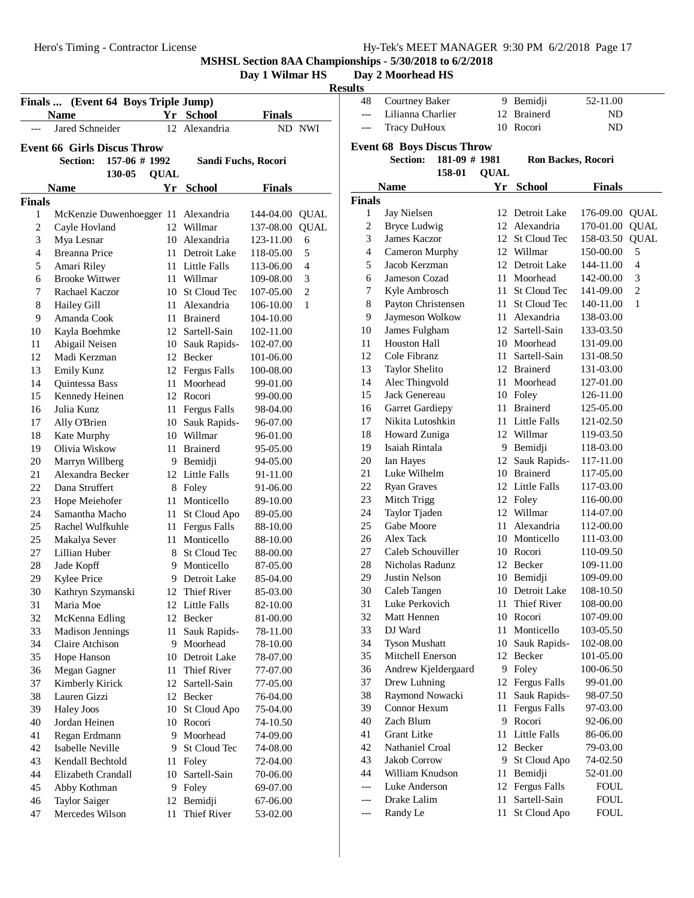### **Day 2 Moorhead HS**

|                |                                     |               |             |                                     |                      |                | <b>Results</b> |                                |
|----------------|-------------------------------------|---------------|-------------|-------------------------------------|----------------------|----------------|----------------|--------------------------------|
|                | Finals  (Event 64 Boys Triple Jump) |               |             |                                     |                      |                | 48             | $\mathsf{C}$                   |
|                | <b>Name</b>                         |               |             | Yr School                           | <b>Finals</b>        |                | ---            | L                              |
|                | Jared Schneider                     |               |             | 12 Alexandria                       |                      | ND NWI         |                | Ί                              |
|                | <b>Event 66 Girls Discus Throw</b>  |               |             |                                     |                      |                | Event 6        |                                |
|                | <b>Section:</b>                     | 157-06 # 1992 |             | Sandi Fuchs, Rocori                 |                      |                |                |                                |
|                |                                     | 130-05        | <b>QUAL</b> |                                     |                      |                |                |                                |
|                | <b>Name</b>                         |               |             | Yr School                           | <b>Finals</b>        |                |                | $N_{\epsilon}$                 |
| <b>Finals</b>  |                                     |               |             |                                     |                      |                | <b>Finals</b>  |                                |
| 1              |                                     |               |             | McKenzie Duwenhoegger 11 Alexandria | 144-04.00 QUAL       |                | 1              | J                              |
| $\mathfrak{2}$ | Cayle Hovland                       |               |             | 12 Willmar                          | 137-08.00            | <b>QUAL</b>    | $\overline{c}$ | E                              |
| 3              | Mya Lesnar                          |               |             | 10 Alexandria                       | 123-11.00            | 6              | 3              | J                              |
| $\overline{4}$ | Breanna Price                       |               |             | 11 Detroit Lake                     | 118-05.00            | 5              | $\overline{4}$ | $\mathsf{C}$                   |
| 5              | Amari Riley                         |               |             | 11 Little Falls                     | 113-06.00            | $\overline{4}$ | 5              | J                              |
| 6              | <b>Brooke Wittwer</b>               |               |             | 11 Willmar                          | 109-08.00            | 3              | 6<br>7         | J                              |
| 7              | Rachael Kaczor                      |               |             | 10 St Cloud Tec                     | 107-05.00            | $\overline{c}$ | 8              | $\boldsymbol{\mathrm{K}}$<br>P |
| 8              | Hailey Gill<br>Amanda Cook          |               |             | 11 Alexandria                       | 106-10.00            | 1              | 9              | J                              |
| 9              |                                     |               |             | 11 Brainerd                         | 104-10.00            |                | 10             | J                              |
| 10             | Kayla Boehmke                       |               |             | 12 Sartell-Sain                     | 102-11.00            |                | 11             | F                              |
| 11             | Abigail Neisen<br>Madi Kerzman      |               |             | 10 Sauk Rapids-                     | 102-07.00            |                | 12             | $\mathsf{C}$                   |
| 12<br>13       |                                     |               |             | 12 Becker<br>12 Fergus Falls        | 101-06.00            |                | 13             | T                              |
| 14             | Emily Kunz<br>Quintessa Bass        |               |             | 11 Moorhead                         | 100-08.00            |                | 14             | A                              |
| 15             | Kennedy Heinen                      |               |             | 12 Rocori                           | 99-01.00<br>99-00.00 |                | 15             | J                              |
| 16             | Julia Kunz                          |               |             | 11 Fergus Falls                     | 98-04.00             |                | 16             | $\mathsf{C}$                   |
| 17             | Ally O'Brien                        |               |             | 10 Sauk Rapids-                     | 96-07.00             |                | 17             | Ŋ                              |
| 18             | Kate Murphy                         |               |             | 10 Willmar                          | 96-01.00             |                | 18             | F                              |
| 19             | Olivia Wiskow                       |               |             | 11 Brainerd                         | 95-05.00             |                | 19             | Ŀ                              |
| 20             | Marryn Willberg                     |               |             | 9 Bemidji                           | 94-05.00             |                | 20             | I                              |
| 21             | Alexandra Becker                    |               |             | 12 Little Falls                     | 91-11.00             |                | 21             | L                              |
| 22             | Dana Struffert                      |               |             | 8 Foley                             | 91-06.00             |                | 22             | R                              |
| 23             | Hope Meiehofer                      |               | 11          | Monticello                          | 89-10.00             |                | 23             | Ν                              |
| 24             | Samantha Macho                      |               | 11          | St Cloud Apo                        | 89-05.00             |                | 24             | $\mathbf T$                    |
| 25             | Rachel Wulfkuhle                    |               |             | 11 Fergus Falls                     | 88-10.00             |                | 25             | $\mathsf{C}$                   |
| 25             | Makalya Sever                       |               |             | 11 Monticello                       | 88-10.00             |                | 26             | A                              |
| 27             | Lillian Huber                       |               |             | 8 St Cloud Tec                      | 88-00.00             |                | 27             | $\mathsf{C}$                   |
| 28             | Jade Kopff                          |               |             | 9 Monticello                        | 87-05.00             |                | 28             | Ŋ                              |
| 29             | Kylee Price                         |               |             | 9 Detroit Lake                      | 85-04.00             |                | 29             | ${\bf J}$                      |
| 30             | Kathryn Szymanski                   |               | 12          | Thief River                         | 85-03.00             |                | 30             | $\mathsf{C}$                   |
| 31             | Maria Moe                           |               |             | 12 Little Falls                     | 82-10.00             |                | 31             | $\mathbf{I}$                   |
| 32             | McKenna Edling                      |               |             | 12 Becker                           | 81-00.00             |                | 32             | Ν                              |
| 33             | <b>Madison Jennings</b>             |               | 11          | Sauk Rapids-                        | 78-11.00             |                | 33             | $\Gamma$                       |
| 34             | Claire Atchison                     |               | 9.          | Moorhead                            | 78-10.00             |                | 34             | Ί                              |
| 35             | Hope Hanson                         |               |             | 10 Detroit Lake                     | 78-07.00             |                | 35             | N                              |
| 36             | Megan Gagner                        |               | 11          | Thief River                         | 77-07.00             |                | 36             | A                              |
| 37             | Kimberly Kirick                     |               |             | 12 Sartell-Sain                     | 77-05.00             |                | 37             | Γ                              |
| 38             | Lauren Gizzi                        |               |             | 12 Becker                           | 76-04.00             |                | 38             | R                              |
| 39             | Haley Joos                          |               | 10          | St Cloud Apo                        | 75-04.00             |                | 39             | $\mathsf{C}$                   |
| 40             | Jordan Heinen                       |               |             | 10 Rocori                           | 74-10.50             |                | 40             | Z                              |
| 41             | Regan Erdmann                       |               |             | 9 Moorhead                          | 74-09.00             |                | 41             | $\mathsf{C}$                   |
| 42             | Isabelle Neville                    |               |             | 9 St Cloud Tec                      | 74-08.00             |                | 42             | Ŋ                              |
| 43             | Kendall Bechtold                    |               | 11          | Foley                               | 72-04.00             |                | 43             | J                              |
| 44             | Elizabeth Crandall                  |               | 10          | Sartell-Sain                        | 70-06.00             |                | 44             | V                              |
| 45             | Abby Kothman                        |               |             | 9 Foley                             | 69-07.00             |                | ---            | L                              |
| 46             | <b>Taylor Saiger</b>                |               | 12          | Bemidji                             | 67-06.00             |                | ---            | Ľ                              |
| 47             | Mercedes Wilson                     |               | 11          | Thief River                         | 53-02.00             |                | ---            | R                              |

| 48                  | <b>Courtney Baker</b>                                | 9.          | Bemidji                              | 52-11.00                |                            |
|---------------------|------------------------------------------------------|-------------|--------------------------------------|-------------------------|----------------------------|
| ---                 | Lilianna Charlier                                    |             | 12 Brainerd                          | ND                      |                            |
| ---                 | <b>Tracy DuHoux</b>                                  | 10          | Rocori                               | ND                      |                            |
|                     |                                                      |             |                                      |                         |                            |
|                     | <b>Event 68 Boys Discus Throw</b><br><b>Section:</b> |             |                                      |                         |                            |
|                     | $181-09$ # 1981                                      |             | <b>Ron Backes, Rocori</b>            |                         |                            |
|                     | 158-01                                               | <b>QUAL</b> |                                      |                         |                            |
|                     | <b>Name</b>                                          |             | Yr School                            | <b>Finals</b>           |                            |
| Finals              |                                                      |             |                                      |                         |                            |
| 1                   | Jay Nielsen                                          |             | 12 Detroit Lake                      | 176-09.00               | <b>QUAL</b>                |
| $\mathfrak{2}$<br>3 | <b>Bryce Ludwig</b><br>James Kaczor                  | 12          | 12 Alexandria<br><b>St Cloud Tec</b> | 170-01.00               | <b>QUAL</b><br><b>QUAL</b> |
| $\overline{4}$      | Cameron Murphy                                       |             | 12 Willmar                           | 158-03.50<br>150-00.00  | 5                          |
| 5                   | Jacob Kerzman                                        |             | 12 Detroit Lake                      | 144-11.00               | 4                          |
| 6                   | Jameson Cozad                                        | 11          | Moorhead                             | 142-00.00               | 3                          |
| 7                   | Kyle Ambrosch                                        | 11          | St Cloud Tec                         | 141-09.00               | 2                          |
| $\,8\,$             | Payton Christensen                                   | 11 -        | St Cloud Tec                         | 140-11.00               | 1                          |
| 9                   | Jaymeson Wolkow                                      |             | 11 Alexandria                        | 138-03.00               |                            |
| 10                  | James Fulgham                                        |             | 12 Sartell-Sain                      | 133-03.50               |                            |
| 11                  | <b>Houston Hall</b>                                  |             | 10 Moorhead                          | 131-09.00               |                            |
| 12                  | Cole Fibranz                                         |             | 11 Sartell-Sain                      | 131-08.50               |                            |
| 13                  | Taylor Shelito                                       |             | 12 Brainerd                          | 131-03.00               |                            |
| 14                  | Alec Thingvold                                       | 11          | Moorhead                             | 127-01.00               |                            |
| 15                  | Jack Genereau                                        |             | 10 Foley                             | 126-11.00               |                            |
| 16                  | <b>Garret Gardiepy</b>                               | 11          | <b>Brainerd</b>                      | 125-05.00               |                            |
| 17                  | Nikita Lutoshkin                                     | 11          | Little Falls                         | 121-02.50               |                            |
| 18                  | Howard Zuniga                                        |             | 12 Willmar                           | 119-03.50               |                            |
| 19                  | Isaiah Rintala                                       |             | 9 Bemidji                            | 118-03.00               |                            |
| 20                  | Ian Hayes                                            |             | 12 Sauk Rapids-                      | 117-11.00               |                            |
| 21                  | Luke Wilhelm                                         |             | 10 Brainerd                          | 117-05.00               |                            |
| 22                  | <b>Ryan Graves</b>                                   |             | 12 Little Falls                      | 117-03.00               |                            |
| 23                  | Mitch Trigg                                          |             | 12 Foley                             | 116-00.00               |                            |
| 24                  | Taylor Tjaden                                        |             | 12 Willmar                           | 114-07.00               |                            |
| 25                  | Gabe Moore                                           | 11 -        | Alexandria                           | 112-00.00               |                            |
| 26                  | Alex Tack                                            |             | 10 Monticello                        | 111-03.00               |                            |
| 27                  | Caleb Schouviller                                    |             | 10 Rocori                            | 110-09.50               |                            |
| 28                  | Nicholas Radunz                                      |             | 12 Becker                            | 109-11.00               |                            |
| 29                  | Justin Nelson                                        | 10          | Bemidji                              | 109-09.00               |                            |
| 30                  | Caleb Tangen                                         |             | 10 Detroit Lake                      | 108-10.50               |                            |
| 31                  | Luke Perkovich                                       | 11          | Thief River                          | 108-00.00               |                            |
| 32                  | Matt Hennen                                          | 10          | Rocori                               | 107-09.00               |                            |
| 33                  | DJ Ward                                              | 11          | Monticello                           | 103-05.50               |                            |
| 34                  | <b>Tyson Mushatt</b>                                 | 10          | Sauk Rapids-                         | 102-08.00               |                            |
| 35                  | Mitchell Enerson                                     |             | 12 Becker                            | 101-05.00               |                            |
| 36                  | Andrew Kjeldergaard                                  |             | 9 Foley                              | 100-06.50               |                            |
| 37                  | Drew Luhning                                         | 12          | Fergus Falls                         | 99-01.00                |                            |
| 38                  | Raymond Nowacki                                      | 11          | Sauk Rapids-                         | 98-07.50                |                            |
| 39                  | Connor Hexum                                         | 11          | <b>Fergus Falls</b>                  | 97-03.00                |                            |
| 40                  | Zach Blum                                            | 9           | Rocori                               | 92-06.00                |                            |
| 41                  | <b>Grant Litke</b>                                   | 11          | Little Falls<br>Becker               | 86-06.00                |                            |
| 42<br>43            | Nathaniel Croal<br>Jakob Corrow                      | 12<br>9     |                                      | 79-03.00                |                            |
| 44                  | William Knudson                                      | 11          | St Cloud Apo                         | 74-02.50                |                            |
| ---                 | Luke Anderson                                        | 12          | Bemidji<br>Fergus Falls              | 52-01.00<br><b>FOUL</b> |                            |
|                     | Drake Lalim                                          | 11          | Sartell-Sain                         | <b>FOUL</b>             |                            |
| ---                 | Randy Le                                             | 11          | St Cloud Apo                         | <b>FOUL</b>             |                            |
|                     |                                                      |             |                                      |                         |                            |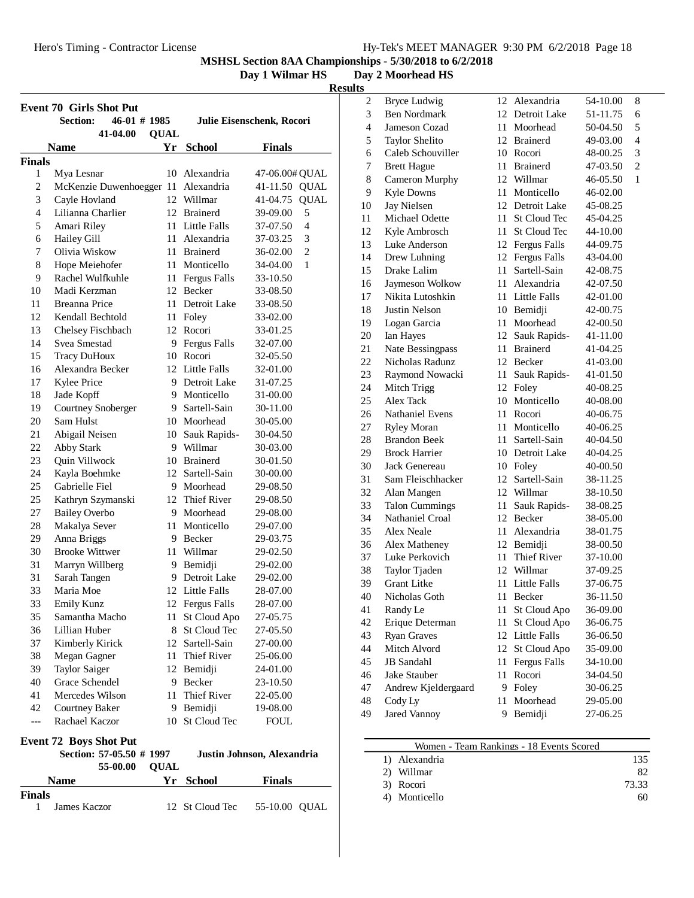Day 1 Wilmar HS Day 2 Moorhead HS

**Results**

|                    | <b>Event 70 Girls Shot Put</b>                            |             |                            |                |                |
|--------------------|-----------------------------------------------------------|-------------|----------------------------|----------------|----------------|
|                    | $46-01$ # 1985<br><b>Section:</b>                         |             | Julie Eisenschenk, Rocori  |                |                |
|                    | 41-04.00                                                  | <b>QUAL</b> |                            |                |                |
|                    | <b>Name</b>                                               | Yr          | <b>School</b>              | <b>Finals</b>  |                |
| <b>Finals</b>      |                                                           |             |                            |                |                |
| 1                  | Mya Lesnar                                                |             | 10 Alexandria              | 47-06.00# QUAL |                |
| 2                  | McKenzie Duwenhoegger 11 Alexandria                       |             |                            | 41-11.50 QUAL  |                |
| 3                  | Cayle Hovland                                             |             | 12 Willmar                 | 41-04.75       | QUAL           |
| 4                  | Lilianna Charlier                                         |             | 12 Brainerd                | 39-09.00       | 5              |
| 5                  | Amari Riley                                               |             | 11 Little Falls            | 37-07.50       | $\overline{4}$ |
| 6                  | Hailey Gill                                               |             | 11 Alexandria              | 37-03.25       | 3              |
| 7                  | Olivia Wiskow                                             |             | 11 Brainerd                | 36-02.00       | 2              |
| 8                  | Hope Meiehofer                                            |             | 11 Monticello              | 34-04.00       | 1              |
| 9                  | Rachel Wulfkuhle                                          |             | 11 Fergus Falls            | 33-10.50       |                |
| 10                 | Madi Kerzman                                              |             | 12 Becker                  | 33-08.50       |                |
| 11                 | <b>Breanna Price</b>                                      |             | 11 Detroit Lake            | 33-08.50       |                |
| 12                 | Kendall Bechtold                                          |             | 11 Foley                   | 33-02.00       |                |
| 13                 | Chelsey Fischbach                                         |             | 12 Rocori                  | 33-01.25       |                |
| 14                 | Svea Smestad                                              |             | 9 Fergus Falls             | 32-07.00       |                |
| 15                 | <b>Tracy DuHoux</b>                                       |             | 10 Rocori                  | 32-05.50       |                |
| 16                 | Alexandra Becker                                          |             | 12 Little Falls            | 32-01.00       |                |
| 17                 | Kylee Price                                               |             | 9 Detroit Lake             | 31-07.25       |                |
| 18                 | Jade Kopff                                                |             | 9 Monticello               | 31-00.00       |                |
| 19                 | Courtney Snoberger                                        |             | 9 Sartell-Sain             | 30-11.00       |                |
| 20                 | Sam Hulst                                                 |             | 10 Moorhead                | 30-05.00       |                |
| 21                 | Abigail Neisen                                            |             | 10 Sauk Rapids-            | 30-04.50       |                |
| 22                 | <b>Abby Stark</b>                                         |             | 9 Willmar                  | 30-03.00       |                |
| 23                 | Quin Villwock                                             |             | 10 Brainerd                | 30-01.50       |                |
| 24                 | Kayla Boehmke                                             |             | 12 Sartell-Sain            | 30-00.00       |                |
| 25                 | Gabrielle Fiel                                            |             | 9 Moorhead                 | 29-08.50       |                |
| 25                 | Kathryn Szymanski                                         |             | 12 Thief River             | 29-08.50       |                |
| 27                 | <b>Bailey Overbo</b>                                      |             | 9 Moorhead                 | 29-08.00       |                |
| 28                 | Makalya Sever                                             |             | 11 Monticello              | 29-07.00       |                |
| 29                 | Anna Briggs                                               |             | 9 Becker                   | 29-03.75       |                |
| 30                 | <b>Brooke Wittwer</b>                                     |             | 11 Willmar                 | 29-02.50       |                |
| 31                 | Marryn Willberg                                           |             | 9 Bemidji                  | 29-02.00       |                |
| 31                 | Sarah Tangen                                              |             | 9 Detroit Lake             | 29-02.00       |                |
| 33                 | Maria Moe                                                 |             | 12 Little Falls            | 28-07.00       |                |
| 33                 | Emily Kunz                                                |             | 12 Fergus Falls            | 28-07.00       |                |
| 35                 | Samantha Macho                                            | 11          | St Cloud Apo               | 27-05.75       |                |
| 36                 | Lillian Huber                                             | 8           | St Cloud Tec               | 27-05.50       |                |
| 37                 | Kimberly Kirick                                           |             | 12 Sartell-Sain            | 27-00.00       |                |
| 38                 | Megan Gagner                                              | 11          | Thief River                | 25-06.00       |                |
| 39                 | <b>Taylor Saiger</b>                                      |             | 12 Bemidji                 | 24-01.00       |                |
| 40                 | Grace Schendel                                            |             | 9 Becker                   | 23-10.50       |                |
| 41                 | Mercedes Wilson                                           | 11          | Thief River                | 22-05.00       |                |
| 42                 | Courtney Baker                                            |             | 9 Bemidji                  | 19-08.00       |                |
| $---$              | Rachael Kaczor                                            | 10          | St Cloud Tec               | <b>FOUL</b>    |                |
|                    |                                                           |             |                            |                |                |
|                    | <b>Event 72 Boys Shot Put</b><br>Section: 57-05.50 # 1997 |             |                            |                |                |
|                    | 55-00.00                                                  |             | Justin Johnson, Alexandria |                |                |
|                    |                                                           | QUAL        |                            |                |                |
|                    | <b>Name</b>                                               | Yr          | <b>School</b>              | <b>Finals</b>  |                |
| <b>Finals</b><br>1 | James Kaczor                                              |             | 12 St Cloud Tec            | 55-10.00 QUAL  |                |

| 2  | <b>Bryce Ludwig</b>    | 12  | Alexandria          | 54-10.00 | 8              |
|----|------------------------|-----|---------------------|----------|----------------|
| 3  | <b>Ben Nordmark</b>    | 12  | Detroit Lake        | 51-11.75 | 6              |
| 4  | Jameson Cozad          | 11  | Moorhead            | 50-04.50 | 5              |
| 5  | Taylor Shelito         | 12  | <b>Brainerd</b>     | 49-03.00 | $\overline{4}$ |
| 6  | Caleb Schouviller      |     | 10 Rocori           | 48-00.25 | 3              |
| 7  | <b>Brett Hague</b>     | 11  | <b>Brainerd</b>     | 47-03.50 | $\overline{2}$ |
| 8  | Cameron Murphy         | 12  | Willmar             | 46-05.50 | 1              |
| 9  | Kyle Downs             | 11  | Monticello          | 46-02.00 |                |
| 10 | Jay Nielsen            |     | 12 Detroit Lake     | 45-08.25 |                |
| 11 | Michael Odette         | 11  | <b>St Cloud Tec</b> | 45-04.25 |                |
| 12 | Kyle Ambrosch          | 11  | <b>St Cloud Tec</b> | 44-10.00 |                |
| 13 | Luke Anderson          |     | 12 Fergus Falls     | 44-09.75 |                |
| 14 | Drew Luhning           | 12  | <b>Fergus Falls</b> | 43-04.00 |                |
| 15 | Drake Lalim            | 11  | Sartell-Sain        | 42-08.75 |                |
| 16 | Jaymeson Wolkow        | 11- | Alexandria          | 42-07.50 |                |
| 17 | Nikita Lutoshkin       | 11- | Little Falls        | 42-01.00 |                |
| 18 | Justin Nelson          | 10  | Bemidji             | 42-00.75 |                |
| 19 | Logan Garcia           | 11  | Moorhead            | 42-00.50 |                |
| 20 | Ian Hayes              | 12  | Sauk Rapids-        | 41-11.00 |                |
| 21 | Nate Bessingpass       | 11  | <b>Brainerd</b>     | 41-04.25 |                |
| 22 | Nicholas Radunz        | 12  | Becker              | 41-03.00 |                |
| 23 | Raymond Nowacki        | 11  | Sauk Rapids-        | 41-01.50 |                |
| 24 | Mitch Trigg            | 12  | Foley               | 40-08.25 |                |
| 25 | <b>Alex Tack</b>       |     | 10 Monticello       | 40-08.00 |                |
| 26 | <b>Nathaniel Evens</b> | 11  | Rocori              | 40-06.75 |                |
| 27 | <b>Ryley Moran</b>     | 11  | Monticello          | 40-06.25 |                |
| 28 | <b>Brandon Beek</b>    | 11  | Sartell-Sain        | 40-04.50 |                |
| 29 | <b>Brock Harrier</b>   | 10  | Detroit Lake        | 40-04.25 |                |
| 30 | Jack Genereau          |     | 10 Foley            | 40-00.50 |                |
| 31 | Sam Fleischhacker      | 12  | Sartell-Sain        | 38-11.25 |                |
| 32 | Alan Mangen            | 12  | Willmar             | 38-10.50 |                |
| 33 | <b>Talon Cummings</b>  | 11  | Sauk Rapids-        | 38-08.25 |                |
| 34 | <b>Nathaniel Croal</b> | 12  | Becker              | 38-05.00 |                |
| 35 | Alex Neale             | 11  | Alexandria          | 38-01.75 |                |
| 36 | Alex Matheney          |     | 12 Bemidji          | 38-00.50 |                |
| 37 | Luke Perkovich         | 11  | <b>Thief River</b>  | 37-10.00 |                |
| 38 | Taylor Tjaden          |     | 12 Willmar          | 37-09.25 |                |
| 39 | <b>Grant Litke</b>     | 11  | <b>Little Falls</b> | 37-06.75 |                |
| 40 | Nicholas Goth          | 11  | Becker              | 36-11.50 |                |
| 41 | Randy Le               | 11  | St Cloud Apo        | 36-09.00 |                |
| 42 | Erique Determan        | 11  | St Cloud Apo        | 36-06.75 |                |
| 43 | <b>Ryan Graves</b>     | 12  | Little Falls        | 36-06.50 |                |
| 44 | Mitch Alvord           | 12  | St Cloud Apo        | 35-09.00 |                |
| 45 | <b>JB</b> Sandahl      | 11  | <b>Fergus Falls</b> | 34-10.00 |                |
| 46 | Jake Stauber           | 11  | Rocori              | 34-04.50 |                |
| 47 | Andrew Kjeldergaard    | 9   | Foley               | 30-06.25 |                |
| 48 | Cody Ly                | 11  | Moorhead            | 29-05.00 |                |
| 49 | <b>Jared Vannoy</b>    | 9   | Bemidji             | 27-06.25 |                |
|    |                        |     |                     |          |                |

|  | Women - Team Rankings - 18 Events Scored |       |
|--|------------------------------------------|-------|
|  | 1) Alexandria                            | 135   |
|  | 2) Willmar                               | 82    |
|  | 3) Rocori                                | 73.33 |
|  | 4) Monticello                            |       |
|  |                                          |       |